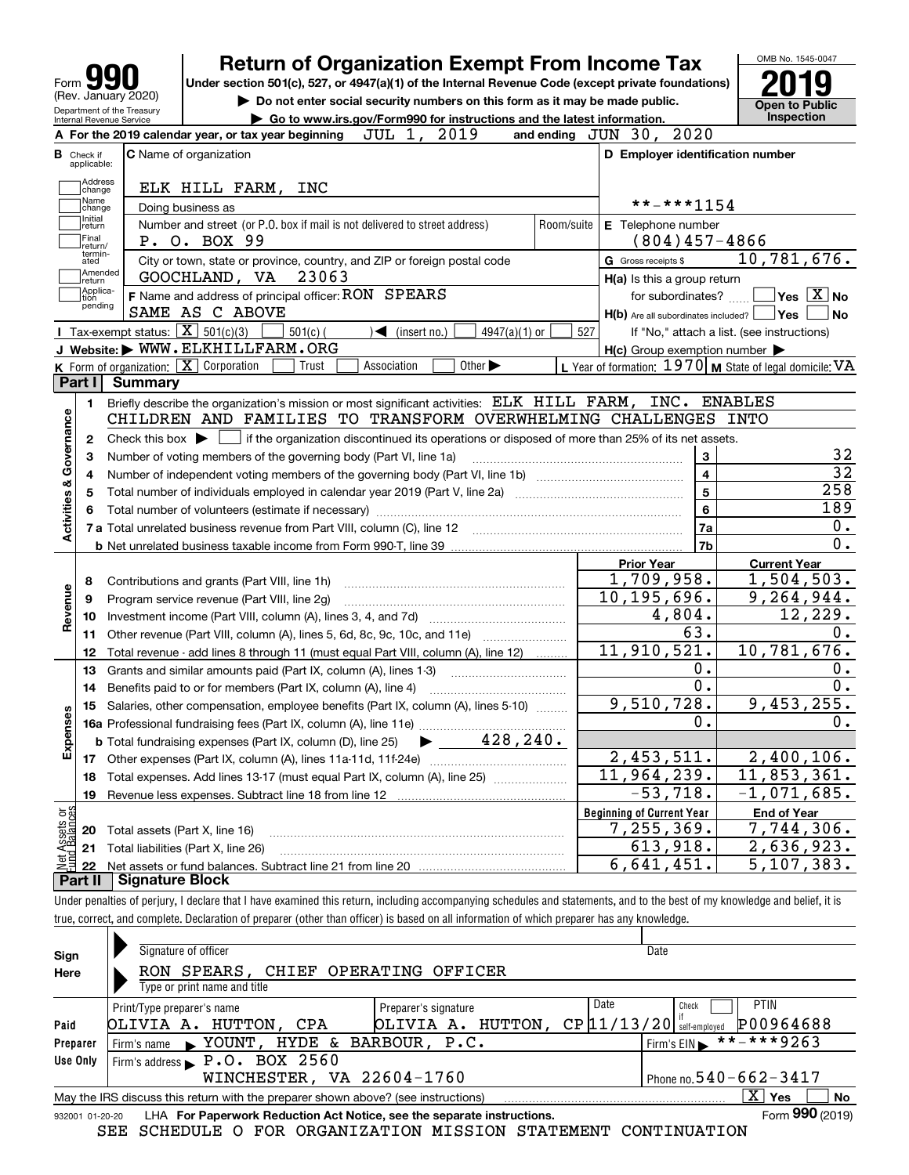| <b>Return of Organization Exempt From Income Tax</b><br>Under section 501(c), 527, or 4947(a)(1) of the Internal Revenue Code (except private foundations)<br>Form<br>(Rev. January 2020)<br>Do not enter social security numbers on this form as it may be made public.<br>Department of the Treasury<br>Go to www.irs.gov/Form990 for instructions and the latest information.<br>Internal Revenue Service |                                                           |                                             |  |  |  |
|--------------------------------------------------------------------------------------------------------------------------------------------------------------------------------------------------------------------------------------------------------------------------------------------------------------------------------------------------------------------------------------------------------------|-----------------------------------------------------------|---------------------------------------------|--|--|--|
| JUL 1, 2019<br>A For the 2019 calendar year, or tax year beginning                                                                                                                                                                                                                                                                                                                                           | and ending JUN 30, 2020                                   | Inspection                                  |  |  |  |
| <b>C</b> Name of organization<br><b>B</b> Check if                                                                                                                                                                                                                                                                                                                                                           | D Employer identification number                          |                                             |  |  |  |
| applicable:                                                                                                                                                                                                                                                                                                                                                                                                  |                                                           |                                             |  |  |  |
| Address<br>ELK HILL FARM, INC<br>change                                                                                                                                                                                                                                                                                                                                                                      |                                                           |                                             |  |  |  |
| Name<br>Doing business as<br>change                                                                                                                                                                                                                                                                                                                                                                          | **-***1154                                                |                                             |  |  |  |
| Initial<br>Number and street (or P.O. box if mail is not delivered to street address)<br>Room/suite<br>return                                                                                                                                                                                                                                                                                                | E Telephone number                                        |                                             |  |  |  |
| Final<br>P. O. BOX 99<br>return/                                                                                                                                                                                                                                                                                                                                                                             | $(804)457 - 4866$                                         |                                             |  |  |  |
| termin-<br>City or town, state or province, country, and ZIP or foreign postal code<br>ated                                                                                                                                                                                                                                                                                                                  | <b>G</b> Gross receipts \$                                | 10,781,676.                                 |  |  |  |
| Amended<br>GOOCHLAND, VA 23063<br> return                                                                                                                                                                                                                                                                                                                                                                    | H(a) Is this a group return                               |                                             |  |  |  |
| Applica-<br>F Name and address of principal officer: RON SPEARS<br>tion                                                                                                                                                                                                                                                                                                                                      |                                                           | for subordinates? $\Box$ Yes $\boxed{X}$ No |  |  |  |
| pending<br>SAME AS C ABOVE                                                                                                                                                                                                                                                                                                                                                                                   | $H(b)$ Are all subordinates included? $\Box$ Yes $\Box$   | ∣No                                         |  |  |  |
| Tax-exempt status: $\boxed{\mathbf{X}}$ 501(c)(3)<br>$501(c)$ (<br>$\sqrt{\bullet}$ (insert no.)<br>4947(a)(1) or                                                                                                                                                                                                                                                                                            | 527                                                       | If "No," attach a list. (see instructions)  |  |  |  |
| J Website: WWW.ELKHILLFARM.ORG                                                                                                                                                                                                                                                                                                                                                                               | $H(c)$ Group exemption number $\blacktriangleright$       |                                             |  |  |  |
| K Form of organization: $\boxed{\mathbf{X}}$ Corporation<br>Association<br>Other $\blacktriangleright$<br>Trust                                                                                                                                                                                                                                                                                              | L Year of formation: $1970$ M State of legal domicile: VA |                                             |  |  |  |
| Part I<br><b>Summary</b>                                                                                                                                                                                                                                                                                                                                                                                     |                                                           |                                             |  |  |  |
| Briefly describe the organization's mission or most significant activities: ELK HILL FARM, INC. ENABLES<br>1.                                                                                                                                                                                                                                                                                                |                                                           |                                             |  |  |  |
| CHILDREN AND FAMILIES TO TRANSFORM OVERWHELMING CHALLENGES INTO                                                                                                                                                                                                                                                                                                                                              |                                                           |                                             |  |  |  |
| Check this box $\blacktriangleright$ $\Box$ if the organization discontinued its operations or disposed of more than 25% of its net assets.<br>2                                                                                                                                                                                                                                                             |                                                           |                                             |  |  |  |
| Activities & Governance<br>Number of voting members of the governing body (Part VI, line 1a)<br>з                                                                                                                                                                                                                                                                                                            | 3                                                         | 32                                          |  |  |  |
| 4                                                                                                                                                                                                                                                                                                                                                                                                            | $\overline{\mathbf{4}}$                                   | $\overline{32}$                             |  |  |  |
| 5                                                                                                                                                                                                                                                                                                                                                                                                            | 5                                                         | 258                                         |  |  |  |
|                                                                                                                                                                                                                                                                                                                                                                                                              | 6                                                         | 189                                         |  |  |  |
|                                                                                                                                                                                                                                                                                                                                                                                                              | l 7a                                                      | $0$ .                                       |  |  |  |
|                                                                                                                                                                                                                                                                                                                                                                                                              | 7b                                                        | $0$ .                                       |  |  |  |
|                                                                                                                                                                                                                                                                                                                                                                                                              | <b>Prior Year</b>                                         | <b>Current Year</b>                         |  |  |  |
| Contributions and grants (Part VIII, line 1h)<br>8                                                                                                                                                                                                                                                                                                                                                           | 1,709,958.                                                | 1,504,503.                                  |  |  |  |
| Revenue<br>Program service revenue (Part VIII, line 2g)<br>9                                                                                                                                                                                                                                                                                                                                                 | 10, 195, 696.                                             | 9, 264, 944.                                |  |  |  |
| 10                                                                                                                                                                                                                                                                                                                                                                                                           | 4,804.                                                    | 12,229.                                     |  |  |  |
| Other revenue (Part VIII, column (A), lines 5, 6d, 8c, 9c, 10c, and 11e)<br>11                                                                                                                                                                                                                                                                                                                               | 63.                                                       | 0.                                          |  |  |  |
| Total revenue - add lines 8 through 11 (must equal Part VIII, column (A), line 12)<br>12                                                                                                                                                                                                                                                                                                                     | 11,910,521.                                               | 10,781,676.                                 |  |  |  |
| Grants and similar amounts paid (Part IX, column (A), lines 1-3)<br>13                                                                                                                                                                                                                                                                                                                                       | 0.                                                        | 0.                                          |  |  |  |
| Benefits paid to or for members (Part IX, column (A), line 4)<br>14                                                                                                                                                                                                                                                                                                                                          | 0.                                                        | $0$ .                                       |  |  |  |
| 15 Salaries, other compensation, employee benefits (Part IX, column (A), lines 5-10)<br>w                                                                                                                                                                                                                                                                                                                    | 9,510,728.                                                | 9,453,255.                                  |  |  |  |
|                                                                                                                                                                                                                                                                                                                                                                                                              | 0.                                                        | $0$ .                                       |  |  |  |
| Expense<br><b>b</b> Total fundraising expenses (Part IX, column (D), line 25) $\rightarrow$ 428, 240.                                                                                                                                                                                                                                                                                                        |                                                           |                                             |  |  |  |
| 17                                                                                                                                                                                                                                                                                                                                                                                                           | 2,453,511.                                                | 2,400,106.                                  |  |  |  |
| Total expenses. Add lines 13-17 (must equal Part IX, column (A), line 25)<br>18                                                                                                                                                                                                                                                                                                                              | 11,964,239.                                               | 11,853,361.                                 |  |  |  |
| Revenue less expenses. Subtract line 18 from line 12<br>19                                                                                                                                                                                                                                                                                                                                                   | $-53,718.$                                                | $-1,071,685.$                               |  |  |  |
|                                                                                                                                                                                                                                                                                                                                                                                                              | <b>Beginning of Current Year</b>                          | <b>End of Year</b>                          |  |  |  |
| : Assets or<br>dBalances<br>Total assets (Part X, line 16)<br>20                                                                                                                                                                                                                                                                                                                                             | 7,255,369.                                                | 7,744,306.                                  |  |  |  |
| Total liabilities (Part X, line 26)<br>21                                                                                                                                                                                                                                                                                                                                                                    | 613,918.<br>6,641,451.                                    | $\overline{2,636,923}$ .<br>5, 107, 383.    |  |  |  |
| 22                                                                                                                                                                                                                                                                                                                                                                                                           |                                                           |                                             |  |  |  |
| Part II<br><b>Signature Block</b>                                                                                                                                                                                                                                                                                                                                                                            |                                                           |                                             |  |  |  |

true, correct, and complete. Declaration of preparer (other than officer) is based on all information of which preparer has any knowledge.

| Sign            | Signature of officer                                                                                                          | Date                                             |  |  |  |  |  |  |  |  |
|-----------------|-------------------------------------------------------------------------------------------------------------------------------|--------------------------------------------------|--|--|--|--|--|--|--|--|
| Here            | RON SPEARS, CHIEF OPERATING OFFICER                                                                                           |                                                  |  |  |  |  |  |  |  |  |
|                 | Type or print name and title                                                                                                  |                                                  |  |  |  |  |  |  |  |  |
|                 | Preparer's signature<br>Print/Type preparer's name                                                                            | <b>PTIN</b><br>Date<br>Check                     |  |  |  |  |  |  |  |  |
| Paid            | OLIVIA A. HUTTON,<br>OLIVIA A. HUTTON,<br>CPA                                                                                 | P00964688<br>$CP$ [11/13/20]<br>self-emploved    |  |  |  |  |  |  |  |  |
| Preparer        | Firm's name > YOUNT, HYDE & BARBOUR, P.C.                                                                                     | $\overline{\text{***-***}}$ 9263<br>Firm's $EIN$ |  |  |  |  |  |  |  |  |
| Use Only        | Firm's address P.O. BOX 2560                                                                                                  |                                                  |  |  |  |  |  |  |  |  |
|                 | WINCHESTER, VA 22604-1760<br>Phone no. $540 - 662 - 3417$                                                                     |                                                  |  |  |  |  |  |  |  |  |
|                 | $\overline{\mathrm{X}}$ Yes<br><b>No</b><br>May the IRS discuss this return with the preparer shown above? (see instructions) |                                                  |  |  |  |  |  |  |  |  |
| 932001 01-20-20 | LHA For Paperwork Reduction Act Notice, see the separate instructions.                                                        | Form 990 (2019)                                  |  |  |  |  |  |  |  |  |

SEE SCHEDULE O FOR ORGANIZATION MISSION STATEMENT CONTINUATION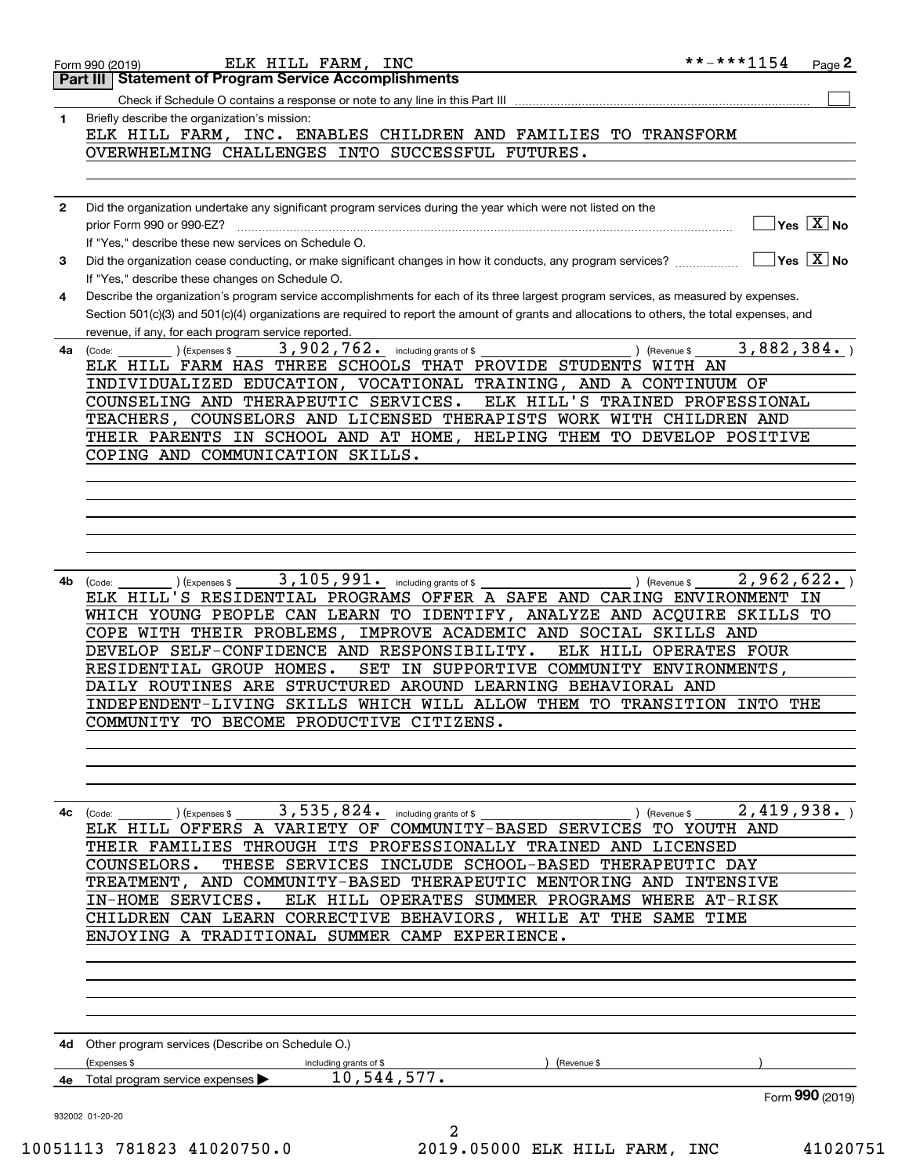| 1            | Briefly describe the organization's mission:<br>ELK HILL FARM, INC. ENABLES CHILDREN AND FAMILIES TO TRANSFORM                                                                          |  |
|--------------|-----------------------------------------------------------------------------------------------------------------------------------------------------------------------------------------|--|
|              | OVERWHELMING CHALLENGES INTO SUCCESSFUL FUTURES.                                                                                                                                        |  |
|              |                                                                                                                                                                                         |  |
|              |                                                                                                                                                                                         |  |
| $\mathbf{2}$ | Did the organization undertake any significant program services during the year which were not listed on the                                                                            |  |
|              | $\sqrt{\mathsf{Yes}\ \boxed{\mathrm{X}}}$ No<br>prior Form 990 or 990-EZ?                                                                                                               |  |
|              | If "Yes," describe these new services on Schedule O.                                                                                                                                    |  |
| 3            | $\boxed{\phantom{1}}$ Yes $\boxed{\text{X}}$ No<br>Did the organization cease conducting, or make significant changes in how it conducts, any program services?                         |  |
| 4            | If "Yes," describe these changes on Schedule O.<br>Describe the organization's program service accomplishments for each of its three largest program services, as measured by expenses. |  |
|              | Section 501(c)(3) and 501(c)(4) organizations are required to report the amount of grants and allocations to others, the total expenses, and                                            |  |
|              | revenue, if any, for each program service reported.                                                                                                                                     |  |
| 4a           | 3,882,384.<br>3,902,762. including grants of \$<br>(Expenses \$<br>) (Revenue \$<br>(Code:                                                                                              |  |
|              | ELK HILL FARM HAS THREE SCHOOLS THAT PROVIDE STUDENTS WITH AN                                                                                                                           |  |
|              | INDIVIDUALIZED EDUCATION, VOCATIONAL TRAINING, AND A CONTINUUM OF                                                                                                                       |  |
|              | ELK HILL'S TRAINED PROFESSIONAL<br>COUNSELING AND THERAPEUTIC SERVICES.<br>TEACHERS, COUNSELORS AND LICENSED THERAPISTS WORK WITH CHILDREN AND                                          |  |
|              | THEIR PARENTS IN SCHOOL AND AT HOME, HELPING THEM TO DEVELOP POSITIVE                                                                                                                   |  |
|              | COPING AND COMMUNICATION SKILLS.                                                                                                                                                        |  |
|              |                                                                                                                                                                                         |  |
|              |                                                                                                                                                                                         |  |
|              |                                                                                                                                                                                         |  |
|              |                                                                                                                                                                                         |  |
|              |                                                                                                                                                                                         |  |
|              |                                                                                                                                                                                         |  |
| 4b           | $3,105,991.$ including grants of \$<br>2,962,622.<br>$\int$ (Revenue \$ ___<br>) (Expenses \$<br>(Code:<br>ELK HILL'S RESIDENTIAL PROGRAMS OFFER A SAFE AND CARING ENVIRONMENT IN       |  |
|              | WHICH YOUNG PEOPLE CAN LEARN TO IDENTIFY, ANALYZE AND ACQUIRE SKILLS TO                                                                                                                 |  |
|              | COPE WITH THEIR PROBLEMS, IMPROVE ACADEMIC AND SOCIAL SKILLS AND                                                                                                                        |  |
|              | DEVELOP SELF-CONFIDENCE AND RESPONSIBILITY.<br>ELK HILL OPERATES FOUR                                                                                                                   |  |
|              | RESIDENTIAL GROUP HOMES.<br>SET IN SUPPORTIVE COMMUNITY ENVIRONMENTS,                                                                                                                   |  |
|              | DAILY ROUTINES ARE STRUCTURED AROUND LEARNING BEHAVIORAL AND                                                                                                                            |  |
|              | INDEPENDENT-LIVING SKILLS WHICH WILL ALLOW THEM TO TRANSITION INTO THE                                                                                                                  |  |
|              | COMMUNITY TO BECOME PRODUCTIVE CITIZENS.                                                                                                                                                |  |
|              |                                                                                                                                                                                         |  |
|              |                                                                                                                                                                                         |  |
|              |                                                                                                                                                                                         |  |
| 4c           | 3,535,824.<br>2,419,938.<br>(Expenses \$<br>including grants of \$<br>(Revenue \$<br>(Code:                                                                                             |  |
|              | ELK HILL OFFERS A VARIETY OF COMMUNITY-BASED SERVICES TO YOUTH AND                                                                                                                      |  |
|              | THEIR FAMILIES THROUGH ITS PROFESSIONALLY TRAINED AND LICENSED                                                                                                                          |  |
|              | THESE SERVICES INCLUDE SCHOOL-BASED THERAPEUTIC DAY<br>COUNSELORS.                                                                                                                      |  |
|              | TREATMENT, AND COMMUNITY-BASED THERAPEUTIC MENTORING AND INTENSIVE                                                                                                                      |  |
|              | IN-HOME SERVICES.<br>ELK HILL OPERATES SUMMER PROGRAMS WHERE AT-RISK<br>CHILDREN CAN LEARN CORRECTIVE BEHAVIORS, WHILE AT THE SAME TIME                                                 |  |
|              | ENJOYING A TRADITIONAL SUMMER CAMP EXPERIENCE.                                                                                                                                          |  |
|              |                                                                                                                                                                                         |  |
|              |                                                                                                                                                                                         |  |
|              |                                                                                                                                                                                         |  |
|              |                                                                                                                                                                                         |  |
|              |                                                                                                                                                                                         |  |
|              |                                                                                                                                                                                         |  |
|              | 4d Other program services (Describe on Schedule O.)                                                                                                                                     |  |
|              | (Expenses \$<br>including grants of \$<br>(Revenue \$                                                                                                                                   |  |
| 4е           | 10,544,577.<br>Total program service expenses<br>Form 990 (2019)                                                                                                                        |  |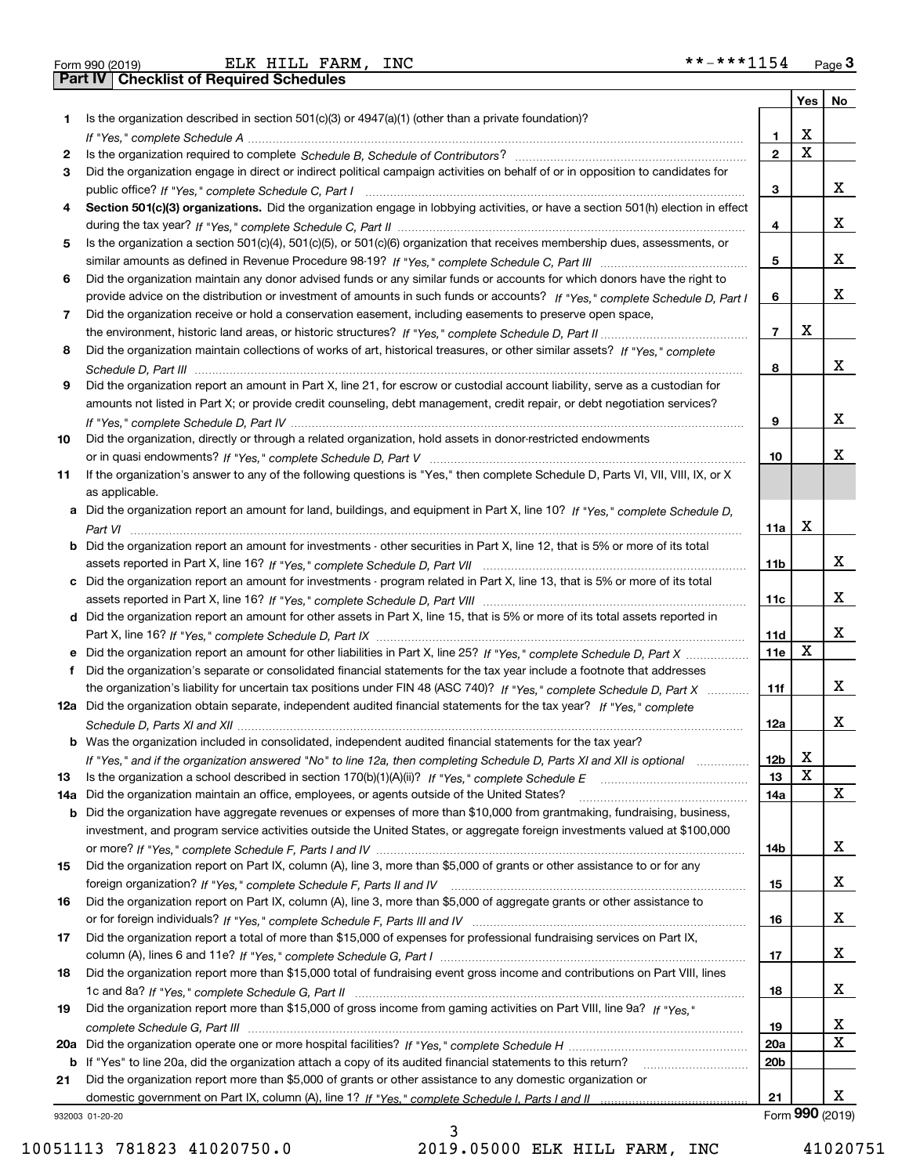| Form 990 (2019 |  |  |
|----------------|--|--|

Form 990 (2019) Page **3Part IV Checklist of Required Schedules** ELK HILL FARM, INC \*\*-\*\*\*1154

|     |                                                                                                                                       |                 | Yes         | No                   |
|-----|---------------------------------------------------------------------------------------------------------------------------------------|-----------------|-------------|----------------------|
| 1.  | Is the organization described in section $501(c)(3)$ or $4947(a)(1)$ (other than a private foundation)?                               |                 |             |                      |
|     |                                                                                                                                       | 1.              | X           |                      |
| 2   |                                                                                                                                       | $\overline{2}$  | $\mathbf x$ |                      |
| 3   | Did the organization engage in direct or indirect political campaign activities on behalf of or in opposition to candidates for       |                 |             |                      |
|     |                                                                                                                                       | 3               |             | х                    |
| 4   | Section 501(c)(3) organizations. Did the organization engage in lobbying activities, or have a section 501(h) election in effect      |                 |             |                      |
|     |                                                                                                                                       | 4               |             | х                    |
| 5   | Is the organization a section 501(c)(4), 501(c)(5), or 501(c)(6) organization that receives membership dues, assessments, or          |                 |             |                      |
|     |                                                                                                                                       | 5               |             | х                    |
| 6   | Did the organization maintain any donor advised funds or any similar funds or accounts for which donors have the right to             |                 |             |                      |
|     | provide advice on the distribution or investment of amounts in such funds or accounts? If "Yes," complete Schedule D, Part I          | 6               |             | х                    |
| 7   | Did the organization receive or hold a conservation easement, including easements to preserve open space,                             |                 |             |                      |
|     |                                                                                                                                       | $\overline{7}$  | X           |                      |
| 8   | Did the organization maintain collections of works of art, historical treasures, or other similar assets? If "Yes," complete          |                 |             |                      |
|     |                                                                                                                                       | 8               |             | х                    |
| 9   | Did the organization report an amount in Part X, line 21, for escrow or custodial account liability, serve as a custodian for         |                 |             |                      |
|     | amounts not listed in Part X; or provide credit counseling, debt management, credit repair, or debt negotiation services?             |                 |             |                      |
|     |                                                                                                                                       | 9               |             | х                    |
| 10  | Did the organization, directly or through a related organization, hold assets in donor-restricted endowments                          |                 |             |                      |
|     |                                                                                                                                       | 10              |             | х                    |
| 11  | If the organization's answer to any of the following questions is "Yes," then complete Schedule D, Parts VI, VIII, VIII, IX, or X     |                 |             |                      |
|     | as applicable.                                                                                                                        |                 |             |                      |
|     | a Did the organization report an amount for land, buildings, and equipment in Part X, line 10? If "Yes," complete Schedule D,         |                 | X           |                      |
|     |                                                                                                                                       | 11a             |             |                      |
|     | <b>b</b> Did the organization report an amount for investments - other securities in Part X, line 12, that is 5% or more of its total |                 |             | х                    |
|     | c Did the organization report an amount for investments - program related in Part X, line 13, that is 5% or more of its total         | 11 <sub>b</sub> |             |                      |
|     |                                                                                                                                       | 11c             |             | х                    |
|     | d Did the organization report an amount for other assets in Part X, line 15, that is 5% or more of its total assets reported in       |                 |             |                      |
|     |                                                                                                                                       | 11d             |             | х                    |
|     | e Did the organization report an amount for other liabilities in Part X, line 25? If "Yes," complete Schedule D, Part X               | 11e             | X           |                      |
| f   | Did the organization's separate or consolidated financial statements for the tax year include a footnote that addresses               |                 |             |                      |
|     | the organization's liability for uncertain tax positions under FIN 48 (ASC 740)? If "Yes," complete Schedule D, Part X                | 11f             |             | х                    |
|     | 12a Did the organization obtain separate, independent audited financial statements for the tax year? If "Yes," complete               |                 |             |                      |
|     |                                                                                                                                       | 12a             |             | х                    |
|     | <b>b</b> Was the organization included in consolidated, independent audited financial statements for the tax year?                    |                 |             |                      |
|     | If "Yes," and if the organization answered "No" to line 12a, then completing Schedule D, Parts XI and XII is optional                 | 12D             | ▵           |                      |
| 13  | Is the organization a school described in section $170(b)(1)(A)(ii)?$ If "Yes," complete Schedule E                                   | 13              | X           |                      |
| 14a | Did the organization maintain an office, employees, or agents outside of the United States?                                           | 14a             |             | X                    |
|     | <b>b</b> Did the organization have aggregate revenues or expenses of more than \$10,000 from grantmaking, fundraising, business,      |                 |             |                      |
|     | investment, and program service activities outside the United States, or aggregate foreign investments valued at \$100,000            |                 |             |                      |
|     |                                                                                                                                       | 14b             |             | x                    |
| 15  | Did the organization report on Part IX, column (A), line 3, more than \$5,000 of grants or other assistance to or for any             |                 |             |                      |
|     |                                                                                                                                       | 15              |             | x                    |
| 16  | Did the organization report on Part IX, column (A), line 3, more than \$5,000 of aggregate grants or other assistance to              |                 |             |                      |
|     |                                                                                                                                       | 16              |             | x                    |
| 17  | Did the organization report a total of more than \$15,000 of expenses for professional fundraising services on Part IX,               |                 |             |                      |
|     |                                                                                                                                       | 17              |             | x                    |
| 18  | Did the organization report more than \$15,000 total of fundraising event gross income and contributions on Part VIII, lines          |                 |             |                      |
|     |                                                                                                                                       | 18              |             | x                    |
| 19  | Did the organization report more than \$15,000 of gross income from gaming activities on Part VIII, line 9a? If "Yes."                |                 |             |                      |
|     |                                                                                                                                       | 19              |             | х                    |
|     |                                                                                                                                       | 20a             |             | $\mathbf X$          |
|     | b If "Yes" to line 20a, did the organization attach a copy of its audited financial statements to this return?                        | 20 <sub>b</sub> |             |                      |
| 21  | Did the organization report more than \$5,000 of grants or other assistance to any domestic organization or                           |                 |             |                      |
|     |                                                                                                                                       | 21              |             | х<br>Form 990 (2019) |
|     | 932003 01-20-20                                                                                                                       |                 |             |                      |

932003 01-20-20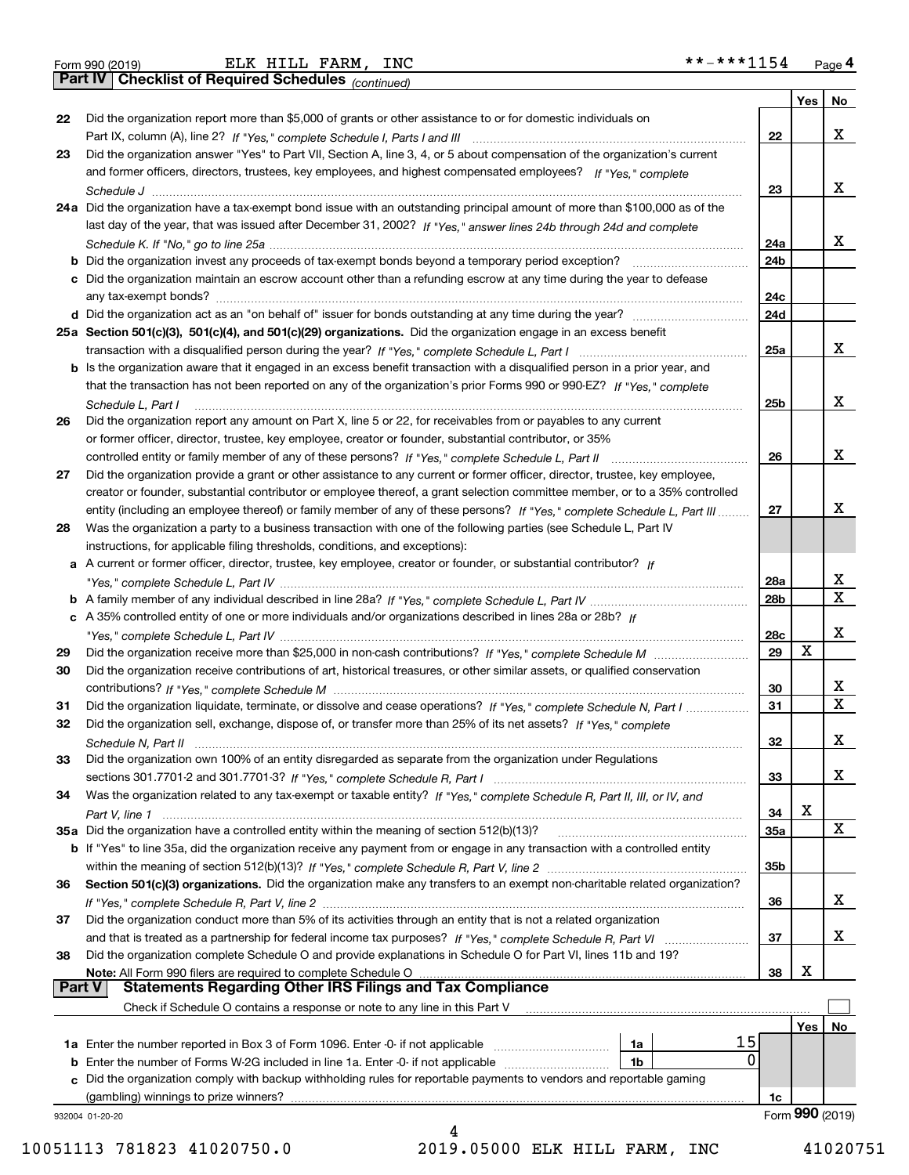|  | Form 990 (2019) |
|--|-----------------|

*(continued)*

|          |                                                                                                                              |                 | Yes | <b>No</b>       |
|----------|------------------------------------------------------------------------------------------------------------------------------|-----------------|-----|-----------------|
| 22       | Did the organization report more than \$5,000 of grants or other assistance to or for domestic individuals on                |                 |     |                 |
|          |                                                                                                                              | 22              |     | x               |
| 23       | Did the organization answer "Yes" to Part VII, Section A, line 3, 4, or 5 about compensation of the organization's current   |                 |     |                 |
|          | and former officers, directors, trustees, key employees, and highest compensated employees? If "Yes," complete               |                 |     |                 |
|          |                                                                                                                              | 23              |     | x               |
|          | 24a Did the organization have a tax-exempt bond issue with an outstanding principal amount of more than \$100,000 as of the  |                 |     |                 |
|          | last day of the year, that was issued after December 31, 2002? If "Yes," answer lines 24b through 24d and complete           |                 |     |                 |
|          |                                                                                                                              | 24a             |     | x               |
|          | b Did the organization invest any proceeds of tax-exempt bonds beyond a temporary period exception?                          | 24b             |     |                 |
|          | c Did the organization maintain an escrow account other than a refunding escrow at any time during the year to defease       |                 |     |                 |
|          |                                                                                                                              | 24c             |     |                 |
|          | d Did the organization act as an "on behalf of" issuer for bonds outstanding at any time during the year?                    | 24d             |     |                 |
|          | 25a Section 501(c)(3), 501(c)(4), and 501(c)(29) organizations. Did the organization engage in an excess benefit             |                 |     |                 |
|          |                                                                                                                              | 25a             |     | x               |
|          | b Is the organization aware that it engaged in an excess benefit transaction with a disqualified person in a prior year, and |                 |     |                 |
|          | that the transaction has not been reported on any of the organization's prior Forms 990 or 990-EZ? If "Yes," complete        |                 |     |                 |
|          | Schedule L. Part I                                                                                                           | 25 <sub>b</sub> |     | x               |
| 26       | Did the organization report any amount on Part X, line 5 or 22, for receivables from or payables to any current              |                 |     |                 |
|          | or former officer, director, trustee, key employee, creator or founder, substantial contributor, or 35%                      |                 |     |                 |
|          |                                                                                                                              | 26              |     | x               |
| 27       | Did the organization provide a grant or other assistance to any current or former officer, director, trustee, key employee,  |                 |     |                 |
|          | creator or founder, substantial contributor or employee thereof, a grant selection committee member, or to a 35% controlled  |                 |     |                 |
|          | entity (including an employee thereof) or family member of any of these persons? If "Yes," complete Schedule L, Part III     | 27              |     | x               |
| 28       | Was the organization a party to a business transaction with one of the following parties (see Schedule L, Part IV            |                 |     |                 |
|          | instructions, for applicable filing thresholds, conditions, and exceptions):                                                 |                 |     |                 |
|          | a A current or former officer, director, trustee, key employee, creator or founder, or substantial contributor? If           |                 |     |                 |
|          |                                                                                                                              | 28a             |     | х               |
|          |                                                                                                                              | 28 <sub>b</sub> |     | $\mathbf x$     |
|          | c A 35% controlled entity of one or more individuals and/or organizations described in lines 28a or 28b? If                  |                 |     |                 |
|          |                                                                                                                              | 28c             |     | x               |
| 29       |                                                                                                                              | 29              | X   |                 |
| 30       | Did the organization receive contributions of art, historical treasures, or other similar assets, or qualified conservation  |                 |     |                 |
|          |                                                                                                                              | 30              |     | x               |
| 31       | Did the organization liquidate, terminate, or dissolve and cease operations? If "Yes," complete Schedule N, Part I           | 31              |     | $\mathbf X$     |
| 32       | Did the organization sell, exchange, dispose of, or transfer more than 25% of its net assets? If "Yes," complete             |                 |     |                 |
|          |                                                                                                                              | 32              |     | х               |
| 33       | Did the organization own 100% of an entity disregarded as separate from the organization under Regulations                   |                 |     |                 |
|          |                                                                                                                              | 33              |     | X               |
| 34       | Was the organization related to any tax-exempt or taxable entity? If "Yes," complete Schedule R, Part II, III, or IV, and    |                 |     |                 |
|          |                                                                                                                              | 34              | X   |                 |
|          | 35a Did the organization have a controlled entity within the meaning of section 512(b)(13)?                                  | <b>35a</b>      |     | X               |
|          | b If "Yes" to line 35a, did the organization receive any payment from or engage in any transaction with a controlled entity  |                 |     |                 |
|          |                                                                                                                              | 35 <sub>b</sub> |     |                 |
| 36       | Section 501(c)(3) organizations. Did the organization make any transfers to an exempt non-charitable related organization?   |                 |     |                 |
|          |                                                                                                                              | 36              |     | x               |
| 37       | Did the organization conduct more than 5% of its activities through an entity that is not a related organization             |                 |     |                 |
|          |                                                                                                                              | 37              |     | x               |
| 38       | Did the organization complete Schedule O and provide explanations in Schedule O for Part VI, lines 11b and 19?               |                 |     |                 |
|          | Note: All Form 990 filers are required to complete Schedule O                                                                | 38              | х   |                 |
| ∣ Part V | <b>Statements Regarding Other IRS Filings and Tax Compliance</b>                                                             |                 |     |                 |
|          | Check if Schedule O contains a response or note to any line in this Part V                                                   |                 |     |                 |
|          |                                                                                                                              |                 | Yes | No              |
|          | 15<br>1a                                                                                                                     |                 |     |                 |
|          | 0<br><b>b</b> Enter the number of Forms W-2G included in line 1a. Enter -0- if not applicable <i>manumumumum</i><br>1b       |                 |     |                 |
| c        | Did the organization comply with backup withholding rules for reportable payments to vendors and reportable gaming           |                 |     |                 |
|          | (gambling) winnings to prize winners?                                                                                        | 1c              |     |                 |
|          | 932004 01-20-20                                                                                                              |                 |     | Form 990 (2019) |
|          |                                                                                                                              |                 |     |                 |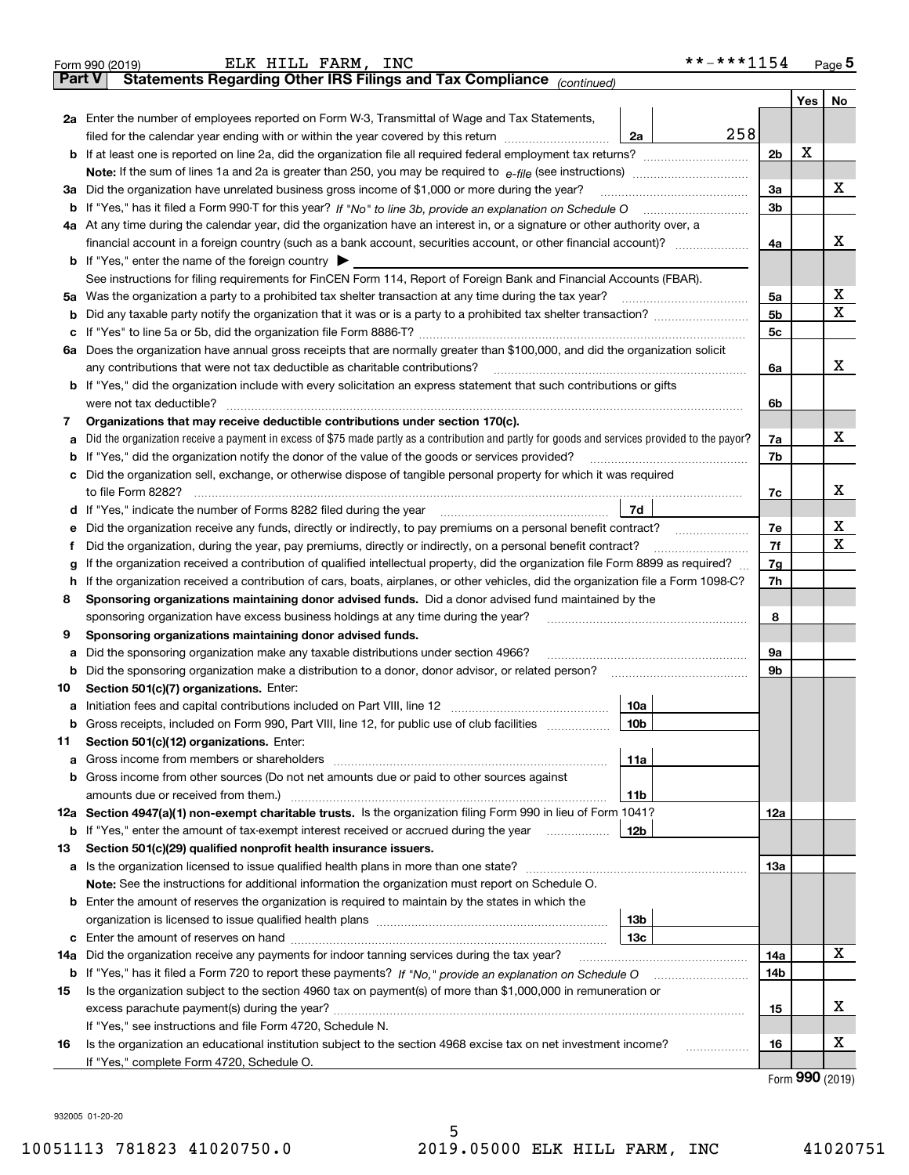| Part V | Statements Regarding Other IRS Filings and Tax Compliance (continued)<br>2a Enter the number of employees reported on Form W-3, Transmittal of Wage and Tax Statements,<br>258<br>filed for the calendar year ending with or within the year covered by this return <i>manumumumum</i><br>2a                                                     |                      | Yes                         | No |  |  |  |  |
|--------|--------------------------------------------------------------------------------------------------------------------------------------------------------------------------------------------------------------------------------------------------------------------------------------------------------------------------------------------------|----------------------|-----------------------------|----|--|--|--|--|
|        |                                                                                                                                                                                                                                                                                                                                                  |                      |                             |    |  |  |  |  |
|        |                                                                                                                                                                                                                                                                                                                                                  |                      |                             |    |  |  |  |  |
|        |                                                                                                                                                                                                                                                                                                                                                  |                      |                             |    |  |  |  |  |
|        |                                                                                                                                                                                                                                                                                                                                                  | 2 <sub>b</sub>       | х                           |    |  |  |  |  |
|        |                                                                                                                                                                                                                                                                                                                                                  |                      |                             |    |  |  |  |  |
|        | 3a Did the organization have unrelated business gross income of \$1,000 or more during the year?                                                                                                                                                                                                                                                 |                      |                             |    |  |  |  |  |
|        | b If "Yes," has it filed a Form 990-T for this year? If "No" to line 3b, provide an explanation on Schedule O                                                                                                                                                                                                                                    | 3a<br>3 <sub>b</sub> |                             | х  |  |  |  |  |
|        | 4a At any time during the calendar year, did the organization have an interest in, or a signature or other authority over, a                                                                                                                                                                                                                     |                      |                             |    |  |  |  |  |
|        |                                                                                                                                                                                                                                                                                                                                                  | 4a                   |                             | x  |  |  |  |  |
|        | <b>b</b> If "Yes," enter the name of the foreign country $\blacktriangleright$                                                                                                                                                                                                                                                                   |                      |                             |    |  |  |  |  |
|        | See instructions for filing requirements for FinCEN Form 114, Report of Foreign Bank and Financial Accounts (FBAR).                                                                                                                                                                                                                              |                      |                             |    |  |  |  |  |
|        | 5a Was the organization a party to a prohibited tax shelter transaction at any time during the tax year?                                                                                                                                                                                                                                         | 5a                   |                             | х  |  |  |  |  |
| b      |                                                                                                                                                                                                                                                                                                                                                  | 5 <sub>b</sub>       |                             | х  |  |  |  |  |
| c      |                                                                                                                                                                                                                                                                                                                                                  | 5c                   |                             |    |  |  |  |  |
|        | 6a Does the organization have annual gross receipts that are normally greater than \$100,000, and did the organization solicit                                                                                                                                                                                                                   |                      |                             |    |  |  |  |  |
|        | any contributions that were not tax deductible as charitable contributions?                                                                                                                                                                                                                                                                      | 6a                   |                             | x  |  |  |  |  |
|        | <b>b</b> If "Yes," did the organization include with every solicitation an express statement that such contributions or gifts                                                                                                                                                                                                                    |                      |                             |    |  |  |  |  |
|        | were not tax deductible?                                                                                                                                                                                                                                                                                                                         | 6b                   |                             |    |  |  |  |  |
| 7      | Organizations that may receive deductible contributions under section 170(c).                                                                                                                                                                                                                                                                    |                      |                             |    |  |  |  |  |
| а      | Did the organization receive a payment in excess of \$75 made partly as a contribution and partly for goods and services provided to the payor?                                                                                                                                                                                                  | 7a                   |                             | x  |  |  |  |  |
| b      | If "Yes," did the organization notify the donor of the value of the goods or services provided?                                                                                                                                                                                                                                                  | 7b                   |                             |    |  |  |  |  |
| c      | Did the organization sell, exchange, or otherwise dispose of tangible personal property for which it was required                                                                                                                                                                                                                                |                      |                             |    |  |  |  |  |
|        | to file Form 8282?                                                                                                                                                                                                                                                                                                                               | 7c                   |                             | х  |  |  |  |  |
| d      | 7d<br>If "Yes," indicate the number of Forms 8282 filed during the year                                                                                                                                                                                                                                                                          |                      |                             |    |  |  |  |  |
| е      | Did the organization receive any funds, directly or indirectly, to pay premiums on a personal benefit contract?<br>and a construction of the construction of the construction of the construction of the construction of the construction of the construction of the construction of the construction of the construction of the construction of | 7e                   |                             | х  |  |  |  |  |
| f      | Did the organization, during the year, pay premiums, directly or indirectly, on a personal benefit contract?                                                                                                                                                                                                                                     | 7f                   |                             | X  |  |  |  |  |
| g      | If the organization received a contribution of qualified intellectual property, did the organization file Form 8899 as required?                                                                                                                                                                                                                 | 7g                   |                             |    |  |  |  |  |
| h.     | If the organization received a contribution of cars, boats, airplanes, or other vehicles, did the organization file a Form 1098-C?                                                                                                                                                                                                               | 7h                   |                             |    |  |  |  |  |
| 8      | Sponsoring organizations maintaining donor advised funds. Did a donor advised fund maintained by the                                                                                                                                                                                                                                             |                      |                             |    |  |  |  |  |
|        | sponsoring organization have excess business holdings at any time during the year?                                                                                                                                                                                                                                                               | 8                    |                             |    |  |  |  |  |
| 9      | Sponsoring organizations maintaining donor advised funds.                                                                                                                                                                                                                                                                                        |                      |                             |    |  |  |  |  |
| а      | Did the sponsoring organization make any taxable distributions under section 4966?                                                                                                                                                                                                                                                               | 9а                   |                             |    |  |  |  |  |
| b      | Did the sponsoring organization make a distribution to a donor, donor advisor, or related person?                                                                                                                                                                                                                                                | 9b                   |                             |    |  |  |  |  |
| 10     | Section 501(c)(7) organizations. Enter:                                                                                                                                                                                                                                                                                                          |                      |                             |    |  |  |  |  |
|        | a Initiation fees and capital contributions included on Part VIII, line 12<br>10a                                                                                                                                                                                                                                                                |                      |                             |    |  |  |  |  |
|        | <b>b</b> Gross receipts, included on Form 990, Part VIII, line 12, for public use of club facilities<br>10 <sub>b</sub>                                                                                                                                                                                                                          |                      |                             |    |  |  |  |  |
| 11     | Section 501(c)(12) organizations. Enter:                                                                                                                                                                                                                                                                                                         |                      |                             |    |  |  |  |  |
| а      | 11a                                                                                                                                                                                                                                                                                                                                              |                      |                             |    |  |  |  |  |
| b      | Gross income from other sources (Do not net amounts due or paid to other sources against                                                                                                                                                                                                                                                         |                      |                             |    |  |  |  |  |
|        | amounts due or received from them.)<br>11b                                                                                                                                                                                                                                                                                                       |                      |                             |    |  |  |  |  |
|        | 12a Section 4947(a)(1) non-exempt charitable trusts. Is the organization filing Form 990 in lieu of Form 1041?                                                                                                                                                                                                                                   | 12a                  |                             |    |  |  |  |  |
| b      | If "Yes," enter the amount of tax-exempt interest received or accrued during the year<br>12b                                                                                                                                                                                                                                                     |                      |                             |    |  |  |  |  |
| 13     | Section 501(c)(29) qualified nonprofit health insurance issuers.                                                                                                                                                                                                                                                                                 |                      |                             |    |  |  |  |  |
| a      |                                                                                                                                                                                                                                                                                                                                                  | 13a                  |                             |    |  |  |  |  |
|        | Note: See the instructions for additional information the organization must report on Schedule O.                                                                                                                                                                                                                                                |                      |                             |    |  |  |  |  |
|        | <b>b</b> Enter the amount of reserves the organization is required to maintain by the states in which the                                                                                                                                                                                                                                        |                      |                             |    |  |  |  |  |
|        | 13b                                                                                                                                                                                                                                                                                                                                              |                      |                             |    |  |  |  |  |
| c      | 13с                                                                                                                                                                                                                                                                                                                                              |                      |                             |    |  |  |  |  |
| 14a    | Did the organization receive any payments for indoor tanning services during the tax year?                                                                                                                                                                                                                                                       | 14a                  |                             | х  |  |  |  |  |
| b      |                                                                                                                                                                                                                                                                                                                                                  | 14b                  |                             |    |  |  |  |  |
| 15     | Is the organization subject to the section 4960 tax on payment(s) of more than \$1,000,000 in remuneration or                                                                                                                                                                                                                                    |                      |                             |    |  |  |  |  |
|        |                                                                                                                                                                                                                                                                                                                                                  | 15                   |                             | х  |  |  |  |  |
|        | If "Yes," see instructions and file Form 4720, Schedule N.                                                                                                                                                                                                                                                                                       |                      |                             |    |  |  |  |  |
| 16     | Is the organization an educational institution subject to the section 4968 excise tax on net investment income?<br>.                                                                                                                                                                                                                             | 16                   |                             | х  |  |  |  |  |
|        | If "Yes," complete Form 4720, Schedule O.                                                                                                                                                                                                                                                                                                        |                      | $E_{\text{arm}}$ 990 (2010) |    |  |  |  |  |

Form (2019) **990**

932005 01-20-20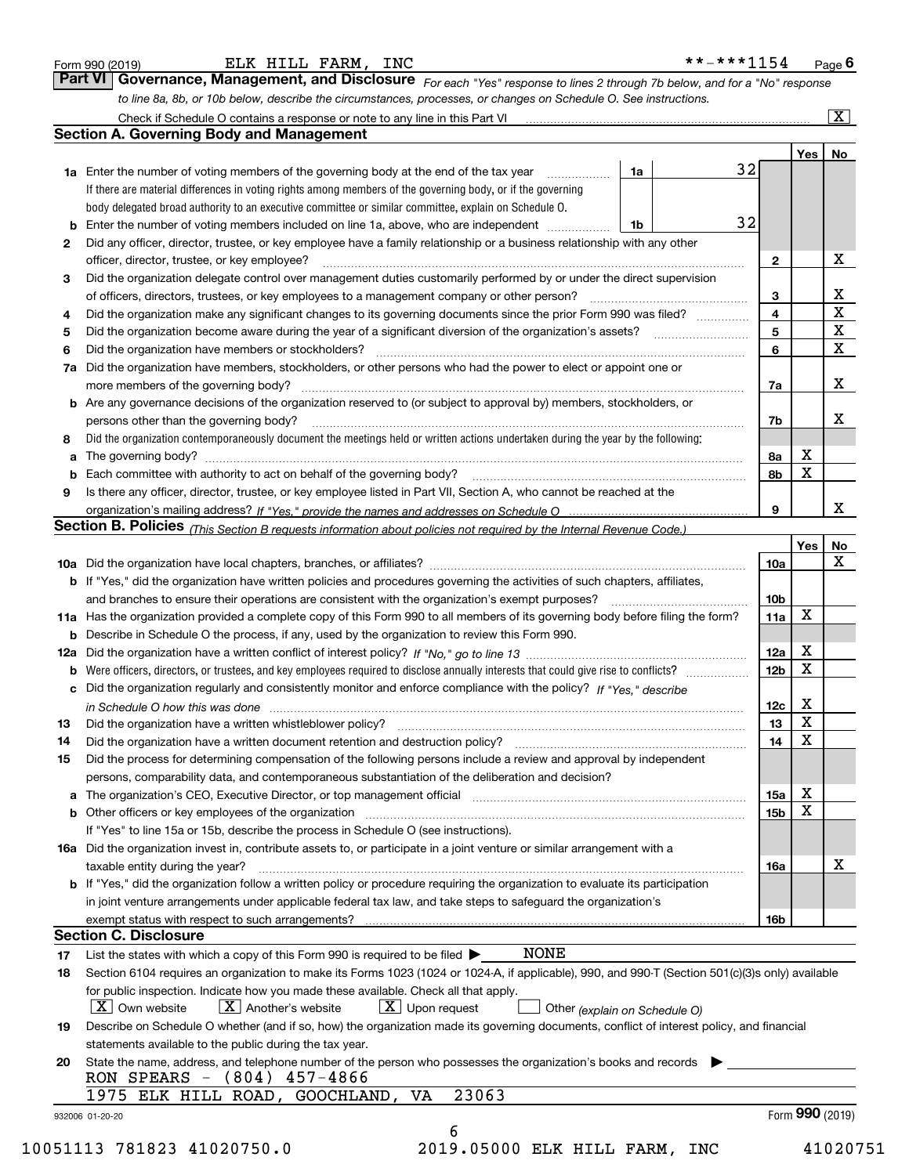| Form 990 (2019) |  |  |
|-----------------|--|--|
|                 |  |  |

*For each "Yes" response to lines 2 through 7b below, and for a "No" response to line 8a, 8b, or 10b below, describe the circumstances, processes, or changes on Schedule O. See instructions.* Form 990 (2019) **ELK HILL FARM, INC**<br>**Part VI Governance, Management, and Disclosure** For each "Yes" response to lines 2 through 7b below, and for a "No" response Check if Schedule O contains a response or note to any line in this Part VI

|                 |                                                                                                                                                                                                                                |    |    |                         | Yes <sub>1</sub> | No                      |
|-----------------|--------------------------------------------------------------------------------------------------------------------------------------------------------------------------------------------------------------------------------|----|----|-------------------------|------------------|-------------------------|
|                 | <b>1a</b> Enter the number of voting members of the governing body at the end of the tax year                                                                                                                                  | 1a | 32 |                         |                  |                         |
|                 | If there are material differences in voting rights among members of the governing body, or if the governing                                                                                                                    |    |    |                         |                  |                         |
|                 | body delegated broad authority to an executive committee or similar committee, explain on Schedule O.                                                                                                                          |    |    |                         |                  |                         |
| b               | Enter the number of voting members included on line 1a, above, who are independent                                                                                                                                             | 1b | 32 |                         |                  |                         |
| 2               | Did any officer, director, trustee, or key employee have a family relationship or a business relationship with any other                                                                                                       |    |    |                         |                  |                         |
|                 | officer, director, trustee, or key employee?                                                                                                                                                                                   |    |    | $\mathbf{2}$            |                  | X                       |
| З               | Did the organization delegate control over management duties customarily performed by or under the direct supervision                                                                                                          |    |    |                         |                  |                         |
|                 | of officers, directors, trustees, or key employees to a management company or other person?                                                                                                                                    |    |    | 3                       |                  | X                       |
| 4               | Did the organization make any significant changes to its governing documents since the prior Form 990 was filed?                                                                                                               |    |    | $\overline{\mathbf{4}}$ |                  | $\overline{\mathbf{x}}$ |
| 5               |                                                                                                                                                                                                                                |    |    | 5                       |                  | $\overline{\mathbf{x}}$ |
| 6               | Did the organization have members or stockholders?                                                                                                                                                                             |    |    | 6                       |                  | $\mathbf X$             |
| 7a              | Did the organization have members, stockholders, or other persons who had the power to elect or appoint one or                                                                                                                 |    |    |                         |                  |                         |
|                 |                                                                                                                                                                                                                                |    |    | 7a                      |                  | X                       |
|                 | <b>b</b> Are any governance decisions of the organization reserved to (or subject to approval by) members, stockholders, or                                                                                                    |    |    |                         |                  |                         |
|                 | persons other than the governing body?                                                                                                                                                                                         |    |    | 7b                      |                  | х                       |
| 8               | Did the organization contemporaneously document the meetings held or written actions undertaken during the year by the following:                                                                                              |    |    |                         |                  |                         |
| a               |                                                                                                                                                                                                                                |    |    | 8а                      | X                |                         |
| b               |                                                                                                                                                                                                                                |    |    | 8b                      | X                |                         |
| 9               | Is there any officer, director, trustee, or key employee listed in Part VII, Section A, who cannot be reached at the                                                                                                           |    |    |                         |                  |                         |
|                 |                                                                                                                                                                                                                                |    |    | 9                       |                  | X                       |
|                 | Section B. Policies (This Section B requests information about policies not required by the Internal Revenue Code.)                                                                                                            |    |    |                         |                  |                         |
|                 |                                                                                                                                                                                                                                |    |    |                         | Yes              | No                      |
|                 |                                                                                                                                                                                                                                |    |    | 10a                     |                  | X                       |
|                 | <b>b</b> If "Yes," did the organization have written policies and procedures governing the activities of such chapters, affiliates,                                                                                            |    |    |                         |                  |                         |
|                 |                                                                                                                                                                                                                                |    |    |                         |                  |                         |
|                 |                                                                                                                                                                                                                                |    |    | 10 <sub>b</sub><br>11a  | X                |                         |
|                 | 11a Has the organization provided a complete copy of this Form 990 to all members of its governing body before filing the form?                                                                                                |    |    |                         |                  |                         |
|                 | <b>b</b> Describe in Schedule O the process, if any, used by the organization to review this Form 990.                                                                                                                         |    |    |                         | X                |                         |
|                 |                                                                                                                                                                                                                                |    |    | 12a                     | х                |                         |
|                 | <b>b</b> Were officers, directors, or trustees, and key employees required to disclose annually interests that could give rise to conflicts?                                                                                   |    |    | 12 <sub>b</sub>         |                  |                         |
|                 | c Did the organization regularly and consistently monitor and enforce compliance with the policy? If "Yes," describe                                                                                                           |    |    |                         |                  |                         |
|                 | in Schedule O how this was done manufactured and continuum control of the Schedule O how this was done manufactured and continuum control of the Schedule O how this was done                                                  |    |    | 12c                     | X<br>X           |                         |
| 13              |                                                                                                                                                                                                                                |    |    | 13                      | X                |                         |
| 14              |                                                                                                                                                                                                                                |    |    | 14                      |                  |                         |
| 15              | Did the process for determining compensation of the following persons include a review and approval by independent                                                                                                             |    |    |                         |                  |                         |
|                 | persons, comparability data, and contemporaneous substantiation of the deliberation and decision?                                                                                                                              |    |    |                         |                  |                         |
|                 | a The organization's CEO, Executive Director, or top management official manufactured content content of the organization's CEO, Executive Director, or top management official manufactured content of the state of the conte |    |    | 15a                     | х                |                         |
|                 |                                                                                                                                                                                                                                |    |    | 15b                     | X                |                         |
|                 | If "Yes" to line 15a or 15b, describe the process in Schedule O (see instructions).                                                                                                                                            |    |    |                         |                  |                         |
|                 | 16a Did the organization invest in, contribute assets to, or participate in a joint venture or similar arrangement with a                                                                                                      |    |    |                         |                  |                         |
|                 | taxable entity during the year?                                                                                                                                                                                                |    |    | 16a                     |                  | X                       |
|                 | b If "Yes," did the organization follow a written policy or procedure requiring the organization to evaluate its participation                                                                                                 |    |    |                         |                  |                         |
|                 | in joint venture arrangements under applicable federal tax law, and take steps to safeguard the organization's                                                                                                                 |    |    |                         |                  |                         |
|                 | exempt status with respect to such arrangements?                                                                                                                                                                               |    |    | 16b                     |                  |                         |
|                 | <b>Section C. Disclosure</b>                                                                                                                                                                                                   |    |    |                         |                  |                         |
| 17              | <b>NONE</b><br>List the states with which a copy of this Form 990 is required to be filed $\blacktriangleright$                                                                                                                |    |    |                         |                  |                         |
| 18              | Section 6104 requires an organization to make its Forms 1023 (1024 or 1024-A, if applicable), 990, and 990-T (Section 501(c)(3)s only) available                                                                               |    |    |                         |                  |                         |
|                 | for public inspection. Indicate how you made these available. Check all that apply.                                                                                                                                            |    |    |                         |                  |                         |
|                 | $\lfloor x \rfloor$ Upon request<br>$\mid$ $\rm X\mid$ Own website<br>$ X $ Another's website<br>Other (explain on Schedule O)                                                                                                 |    |    |                         |                  |                         |
| 19              | Describe on Schedule O whether (and if so, how) the organization made its governing documents, conflict of interest policy, and financial                                                                                      |    |    |                         |                  |                         |
|                 | statements available to the public during the tax year.                                                                                                                                                                        |    |    |                         |                  |                         |
| 20              | State the name, address, and telephone number of the person who possesses the organization's books and records                                                                                                                 |    |    |                         |                  |                         |
|                 | RON SPEARS - (804) 457-4866                                                                                                                                                                                                    |    |    |                         |                  |                         |
|                 | 23063<br>1975 ELK HILL ROAD, GOOCHLAND,<br>VA                                                                                                                                                                                  |    |    |                         |                  |                         |
| 932006 01-20-20 |                                                                                                                                                                                                                                |    |    |                         | Form 990 (2019)  |                         |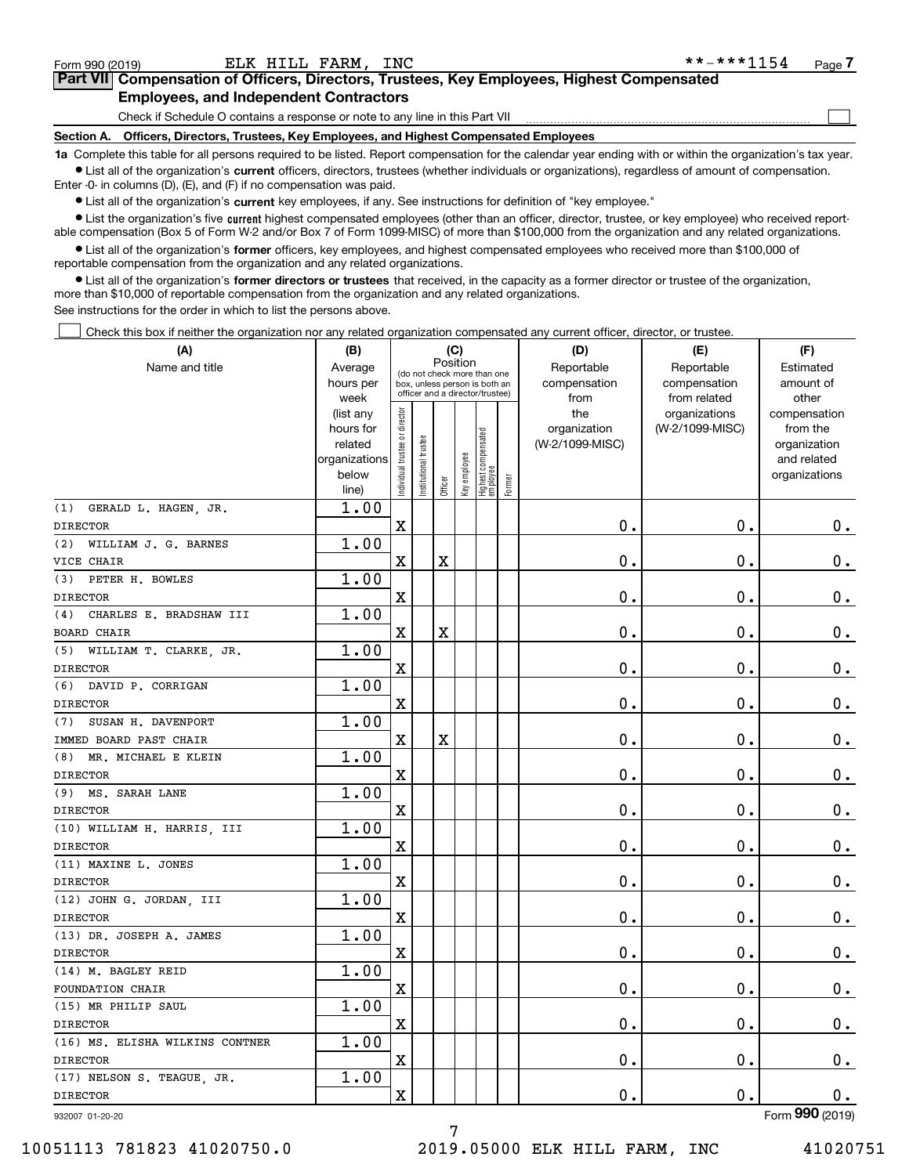|  | Form 990 (2019) |
|--|-----------------|
|  |                 |

 $\mathcal{L}^{\text{max}}$ 

| Form 990 (2019) |                                               | ELK HILL FARM, INC | **-***1154                                                                                 | Page 7 |
|-----------------|-----------------------------------------------|--------------------|--------------------------------------------------------------------------------------------|--------|
|                 |                                               |                    | Part VII Compensation of Officers, Directors, Trustees, Key Employees, Highest Compensated |        |
|                 | <b>Employees, and Independent Contractors</b> |                    |                                                                                            |        |

Check if Schedule O contains a response or note to any line in this Part VII

**Section A. Officers, Directors, Trustees, Key Employees, and Highest Compensated Employees**

**1a**  Complete this table for all persons required to be listed. Report compensation for the calendar year ending with or within the organization's tax year. **•** List all of the organization's current officers, directors, trustees (whether individuals or organizations), regardless of amount of compensation.

Enter -0- in columns (D), (E), and (F) if no compensation was paid.

 $\bullet$  List all of the organization's  $\,$ current key employees, if any. See instructions for definition of "key employee."

**•** List the organization's five current highest compensated employees (other than an officer, director, trustee, or key employee) who received reportable compensation (Box 5 of Form W-2 and/or Box 7 of Form 1099-MISC) of more than \$100,000 from the organization and any related organizations.

**•** List all of the organization's former officers, key employees, and highest compensated employees who received more than \$100,000 of reportable compensation from the organization and any related organizations.

**former directors or trustees**  ¥ List all of the organization's that received, in the capacity as a former director or trustee of the organization, more than \$10,000 of reportable compensation from the organization and any related organizations.

See instructions for the order in which to list the persons above.

Check this box if neither the organization nor any related organization compensated any current officer, director, or trustee.  $\mathcal{L}^{\text{max}}$ 

| (A)                             | (B)                      |                                |                                 |         | (C)          |                                  |        | (D)             | (E)             | (F)                         |
|---------------------------------|--------------------------|--------------------------------|---------------------------------|---------|--------------|----------------------------------|--------|-----------------|-----------------|-----------------------------|
| Name and title                  | Average                  |                                | (do not check more than one     |         | Position     |                                  |        | Reportable      | Reportable      | Estimated                   |
|                                 | hours per                |                                | box, unless person is both an   |         |              |                                  |        | compensation    | compensation    | amount of                   |
|                                 | week                     |                                | officer and a director/trustee) |         |              |                                  |        | from            | from related    | other                       |
|                                 | (list any                |                                |                                 |         |              |                                  |        | the             | organizations   | compensation                |
|                                 | hours for                |                                |                                 |         |              |                                  |        | organization    | (W-2/1099-MISC) | from the                    |
|                                 | related<br>organizations |                                |                                 |         |              |                                  |        | (W-2/1099-MISC) |                 | organization<br>and related |
|                                 | below                    |                                |                                 |         |              |                                  |        |                 |                 | organizations               |
|                                 | line)                    | Individual trustee or director | Institutional trustee           | Officer | Key employee | Highest compensated<br> employee | Former |                 |                 |                             |
| (1) GERALD L. HAGEN, JR.        | 1.00                     |                                |                                 |         |              |                                  |        |                 |                 |                             |
| <b>DIRECTOR</b>                 |                          | X                              |                                 |         |              |                                  |        | 0.              | $\mathbf 0$ .   | 0.                          |
| (2) WILLIAM J. G. BARNES        | 1.00                     |                                |                                 |         |              |                                  |        |                 |                 |                             |
| VICE CHAIR                      |                          | $\mathbf X$                    |                                 | X       |              |                                  |        | 0.              | $\mathbf 0$ .   | 0.                          |
| (3) PETER H. BOWLES             | 1.00                     |                                |                                 |         |              |                                  |        |                 |                 |                             |
| <b>DIRECTOR</b>                 |                          | X                              |                                 |         |              |                                  |        | 0.              | $\mathbf 0$ .   | 0.                          |
| CHARLES E. BRADSHAW III<br>(4)  | 1.00                     |                                |                                 |         |              |                                  |        |                 |                 |                             |
| <b>BOARD CHAIR</b>              |                          | $\mathbf X$                    |                                 | X       |              |                                  |        | 0.              | $\mathbf 0$ .   | $0_{.}$                     |
| (5) WILLIAM T. CLARKE, JR.      | 1.00                     |                                |                                 |         |              |                                  |        |                 |                 |                             |
| <b>DIRECTOR</b>                 |                          | X                              |                                 |         |              |                                  |        | 0.              | $\mathbf 0$ .   | $0_{.}$                     |
| (6) DAVID P. CORRIGAN           | 1.00                     |                                |                                 |         |              |                                  |        |                 |                 |                             |
| <b>DIRECTOR</b>                 |                          | X                              |                                 |         |              |                                  |        | 0.              | $\mathbf 0$ .   | $0_{.}$                     |
| (7) SUSAN H. DAVENPORT          | 1.00                     |                                |                                 |         |              |                                  |        |                 |                 |                             |
| IMMED BOARD PAST CHAIR          |                          | $\mathbf X$                    |                                 | X       |              |                                  |        | 0.              | $\mathbf 0$ .   | $0_{.}$                     |
| (8) MR. MICHAEL E KLEIN         | 1.00                     |                                |                                 |         |              |                                  |        |                 |                 |                             |
| <b>DIRECTOR</b>                 |                          | X                              |                                 |         |              |                                  |        | 0.              | $\mathbf 0$ .   | $0_{.}$                     |
| (9) MS. SARAH LANE              | 1.00                     |                                |                                 |         |              |                                  |        |                 |                 |                             |
| <b>DIRECTOR</b>                 |                          | X                              |                                 |         |              |                                  |        | 0.              | $\mathbf 0$ .   | 0.                          |
| (10) WILLIAM H. HARRIS, III     | 1.00                     |                                |                                 |         |              |                                  |        |                 |                 |                             |
| <b>DIRECTOR</b>                 |                          | X                              |                                 |         |              |                                  |        | 0.              | $\mathbf 0$ .   | 0.                          |
| (11) MAXINE L. JONES            | 1.00                     |                                |                                 |         |              |                                  |        |                 |                 |                             |
| <b>DIRECTOR</b>                 |                          | X                              |                                 |         |              |                                  |        | 0.              | $\mathbf 0$ .   | 0.                          |
| (12) JOHN G. JORDAN, III        | 1.00                     |                                |                                 |         |              |                                  |        |                 |                 |                             |
| <b>DIRECTOR</b>                 |                          | X                              |                                 |         |              |                                  |        | 0.              | $\mathbf 0$ .   | 0.                          |
| (13) DR. JOSEPH A. JAMES        | 1.00                     |                                |                                 |         |              |                                  |        |                 |                 |                             |
| <b>DIRECTOR</b>                 |                          | $\mathbf X$                    |                                 |         |              |                                  |        | 0.              | $\mathbf 0$ .   | 0.                          |
| (14) M. BAGLEY REID             | 1.00                     |                                |                                 |         |              |                                  |        |                 |                 |                             |
| FOUNDATION CHAIR                |                          | X                              |                                 |         |              |                                  |        | 0.              | Ο.              | 0.                          |
| (15) MR PHILIP SAUL             | 1.00                     |                                |                                 |         |              |                                  |        |                 |                 |                             |
| <b>DIRECTOR</b>                 |                          | X                              |                                 |         |              |                                  |        | $\mathbf 0$ .   | $\mathbf 0$ .   | 0.                          |
| (16) MS. ELISHA WILKINS CONTNER | 1.00                     |                                |                                 |         |              |                                  |        |                 |                 |                             |
| <b>DIRECTOR</b>                 |                          | x                              |                                 |         |              |                                  |        | 0.              | $\mathbf 0$ .   | $\mathbf{0}$ .              |
| (17) NELSON S. TEAGUE, JR.      | 1.00                     |                                |                                 |         |              |                                  |        |                 |                 |                             |
| DIRECTOR                        |                          | x                              |                                 |         |              |                                  |        | 0.              | $\mathbf 0$ .   | 0.                          |
| 932007 01-20-20                 |                          |                                |                                 |         |              |                                  |        |                 |                 | Form 990 (2019)             |

10051113 781823 41020750.0 2019.05000 ELK HILL FARM, INC 41020751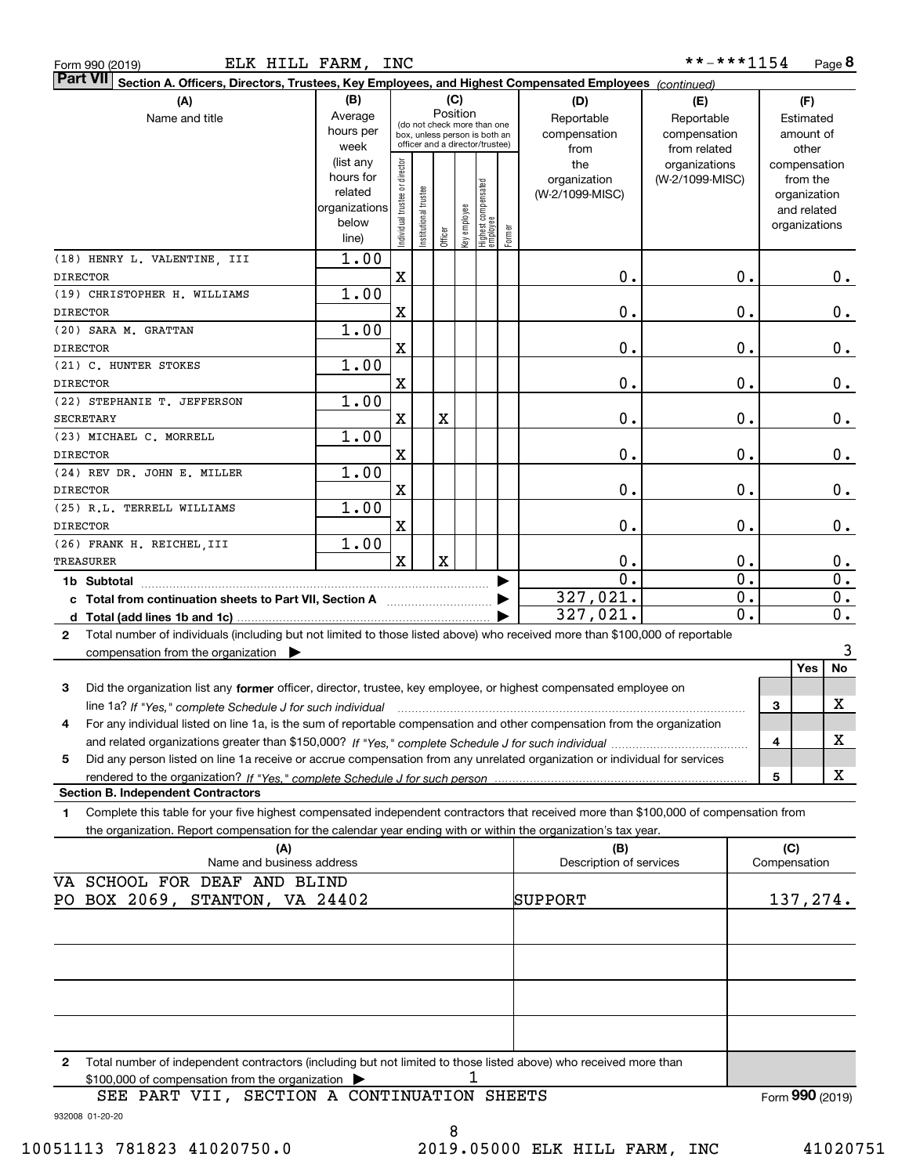Form 990 (2019) Page ELK HILL FARM, INC

**8** \*\*-\*\*\*1154

| $\vert$ Part VII $\vert$ Section A. Officers, Directors, Trustees, Key Employees, and Highest Compensated Employees $\vert$ $_{\rm {Continued)}}$ |                              |                                |                       |             |              |                                                              |        |                                |                 |                  |                     |                  |
|---------------------------------------------------------------------------------------------------------------------------------------------------|------------------------------|--------------------------------|-----------------------|-------------|--------------|--------------------------------------------------------------|--------|--------------------------------|-----------------|------------------|---------------------|------------------|
| (A)                                                                                                                                               | (B)                          |                                |                       |             | (C)          |                                                              |        | (D)                            | (E)             |                  | (F)                 |                  |
| Name and title                                                                                                                                    | Average                      |                                |                       |             | Position     |                                                              |        | Reportable                     | Reportable      |                  | Estimated           |                  |
|                                                                                                                                                   | hours per                    |                                |                       |             |              | (do not check more than one<br>box, unless person is both an |        | compensation                   | compensation    |                  | amount of           |                  |
|                                                                                                                                                   | week                         |                                |                       |             |              | officer and a director/trustee)                              |        | from                           | from related    |                  | other               |                  |
|                                                                                                                                                   | (list any                    |                                |                       |             |              |                                                              |        | the                            | organizations   |                  | compensation        |                  |
|                                                                                                                                                   | hours for                    |                                |                       |             |              |                                                              |        | organization                   | (W-2/1099-MISC) |                  | from the            |                  |
|                                                                                                                                                   | related                      |                                |                       |             |              |                                                              |        | (W-2/1099-MISC)                |                 |                  | organization        |                  |
|                                                                                                                                                   | organizations<br>below       |                                |                       |             |              |                                                              |        |                                |                 |                  | and related         |                  |
|                                                                                                                                                   | line)                        | Individual trustee or director | Institutional trustee | Officer     | key employee | Highest compensated<br> employee                             | Former |                                |                 |                  | organizations       |                  |
| (18) HENRY L. VALENTINE, III                                                                                                                      | 1.00                         |                                |                       |             |              |                                                              |        |                                |                 |                  |                     |                  |
| <b>DIRECTOR</b>                                                                                                                                   |                              | $\mathbf x$                    |                       |             |              |                                                              |        | 0.                             |                 | 0.               |                     |                  |
|                                                                                                                                                   |                              |                                |                       |             |              |                                                              |        |                                |                 |                  |                     | 0.               |
| (19) CHRISTOPHER H. WILLIAMS                                                                                                                      | 1.00                         |                                |                       |             |              |                                                              |        |                                |                 |                  |                     |                  |
| <b>DIRECTOR</b>                                                                                                                                   |                              | X                              |                       |             |              |                                                              |        | 0.                             |                 | 0.               |                     | 0.               |
| (20) SARA M. GRATTAN                                                                                                                              | 1.00                         |                                |                       |             |              |                                                              |        |                                |                 |                  |                     |                  |
| <b>DIRECTOR</b>                                                                                                                                   |                              | X                              |                       |             |              |                                                              |        | 0.                             |                 | 0.               |                     | 0.               |
| (21) C. HUNTER STOKES                                                                                                                             | 1.00                         |                                |                       |             |              |                                                              |        |                                |                 |                  |                     |                  |
| <b>DIRECTOR</b>                                                                                                                                   |                              | X                              |                       |             |              |                                                              |        | 0.                             |                 | 0.               |                     | 0.               |
| (22) STEPHANIE T. JEFFERSON                                                                                                                       | 1.00                         |                                |                       |             |              |                                                              |        |                                |                 |                  |                     |                  |
| <b>SECRETARY</b>                                                                                                                                  |                              | X                              |                       | X           |              |                                                              |        | 0.                             |                 | 0.               |                     | 0.               |
| (23) MICHAEL C. MORRELL                                                                                                                           | 1.00                         |                                |                       |             |              |                                                              |        |                                |                 |                  |                     |                  |
| <b>DIRECTOR</b>                                                                                                                                   |                              | X                              |                       |             |              |                                                              |        | $0$ .                          |                 | 0.               |                     | 0.               |
| (24) REV DR. JOHN E. MILLER                                                                                                                       | 1.00                         |                                |                       |             |              |                                                              |        |                                |                 |                  |                     |                  |
| <b>DIRECTOR</b>                                                                                                                                   |                              | X                              |                       |             |              |                                                              |        | $0$ .                          |                 | 0.               |                     | 0.               |
| (25) R.L. TERRELL WILLIAMS                                                                                                                        | 1.00                         |                                |                       |             |              |                                                              |        |                                |                 |                  |                     |                  |
| <b>DIRECTOR</b>                                                                                                                                   |                              | X                              |                       |             |              |                                                              |        | $0$ .                          |                 | 0.               |                     | 0.               |
| (26) FRANK H. REICHEL III                                                                                                                         | 1.00                         |                                |                       |             |              |                                                              |        |                                |                 |                  |                     |                  |
| <b>TREASURER</b>                                                                                                                                  |                              | $\mathbf x$                    |                       | $\mathbf X$ |              |                                                              |        | $\mathbf 0$ .                  |                 | 0.               |                     | 0.               |
| 1b Subtotal                                                                                                                                       |                              |                                |                       |             |              |                                                              |        | $\overline{0}$ .               |                 | $\overline{0}$ . |                     | $\overline{0}$ . |
|                                                                                                                                                   |                              |                                |                       |             |              |                                                              |        | 327,021.                       |                 | $\overline{0}$ . |                     | 0.               |
|                                                                                                                                                   |                              |                                |                       |             |              |                                                              |        | 327,021.                       |                 | $\overline{0}$ . |                     | $\overline{0}$ . |
| Total number of individuals (including but not limited to those listed above) who received more than \$100,000 of reportable<br>$\mathbf{2}$      |                              |                                |                       |             |              |                                                              |        |                                |                 |                  |                     |                  |
| compensation from the organization $\blacktriangleright$                                                                                          |                              |                                |                       |             |              |                                                              |        |                                |                 |                  |                     | 3                |
|                                                                                                                                                   |                              |                                |                       |             |              |                                                              |        |                                |                 |                  | Yes                 | No               |
| Did the organization list any former officer, director, trustee, key employee, or highest compensated employee on<br>3                            |                              |                                |                       |             |              |                                                              |        |                                |                 |                  |                     |                  |
|                                                                                                                                                   |                              |                                |                       |             |              |                                                              |        |                                |                 |                  | 3                   | Χ                |
| For any individual listed on line 1a, is the sum of reportable compensation and other compensation from the organization<br>4                     |                              |                                |                       |             |              |                                                              |        |                                |                 |                  |                     |                  |
|                                                                                                                                                   |                              |                                |                       |             |              |                                                              |        |                                |                 |                  | 4                   | X                |
|                                                                                                                                                   |                              |                                |                       |             |              |                                                              |        |                                |                 |                  |                     |                  |
| Did any person listed on line 1a receive or accrue compensation from any unrelated organization or individual for services<br>5                   |                              |                                |                       |             |              |                                                              |        |                                |                 |                  |                     | х                |
| <b>Section B. Independent Contractors</b>                                                                                                         |                              |                                |                       |             |              |                                                              |        |                                |                 |                  | 5                   |                  |
|                                                                                                                                                   |                              |                                |                       |             |              |                                                              |        |                                |                 |                  |                     |                  |
| Complete this table for your five highest compensated independent contractors that received more than \$100,000 of compensation from<br>1         |                              |                                |                       |             |              |                                                              |        |                                |                 |                  |                     |                  |
| the organization. Report compensation for the calendar year ending with or within the organization's tax year.                                    |                              |                                |                       |             |              |                                                              |        |                                |                 |                  |                     |                  |
| (A)<br>Name and business address                                                                                                                  |                              |                                |                       |             |              |                                                              |        | (B)<br>Description of services |                 |                  | (C)<br>Compensation |                  |
|                                                                                                                                                   |                              |                                |                       |             |              |                                                              |        |                                |                 |                  |                     |                  |
|                                                                                                                                                   | VA SCHOOL FOR DEAF AND BLIND |                                |                       |             |              |                                                              |        |                                |                 |                  |                     |                  |
| PO BOX 2069, STANTON, VA 24402                                                                                                                    |                              |                                |                       |             |              |                                                              |        | SUPPORT                        |                 |                  | 137,274.            |                  |
|                                                                                                                                                   |                              |                                |                       |             |              |                                                              |        |                                |                 |                  |                     |                  |
|                                                                                                                                                   |                              |                                |                       |             |              |                                                              |        |                                |                 |                  |                     |                  |
|                                                                                                                                                   |                              |                                |                       |             |              |                                                              |        |                                |                 |                  |                     |                  |
|                                                                                                                                                   |                              |                                |                       |             |              |                                                              |        |                                |                 |                  |                     |                  |
|                                                                                                                                                   |                              |                                |                       |             |              |                                                              |        |                                |                 |                  |                     |                  |
|                                                                                                                                                   |                              |                                |                       |             |              |                                                              |        |                                |                 |                  |                     |                  |
|                                                                                                                                                   |                              |                                |                       |             |              |                                                              |        |                                |                 |                  |                     |                  |
|                                                                                                                                                   |                              |                                |                       |             |              |                                                              |        |                                |                 |                  |                     |                  |
| Total number of independent contractors (including but not limited to those listed above) who received more than<br>2                             |                              |                                |                       |             |              |                                                              |        |                                |                 |                  |                     |                  |
| \$100,000 of compensation from the organization                                                                                                   |                              |                                |                       |             |              |                                                              |        |                                |                 |                  |                     |                  |
| PART VII, SECTION A CONTINUATION SHEETS<br>SEE                                                                                                    |                              |                                |                       |             |              |                                                              |        |                                |                 |                  | Form 990 (2019)     |                  |
| 932008 01-20-20                                                                                                                                   |                              |                                |                       |             |              |                                                              |        |                                |                 |                  |                     |                  |
|                                                                                                                                                   |                              |                                |                       | 8           |              |                                                              |        |                                |                 |                  |                     |                  |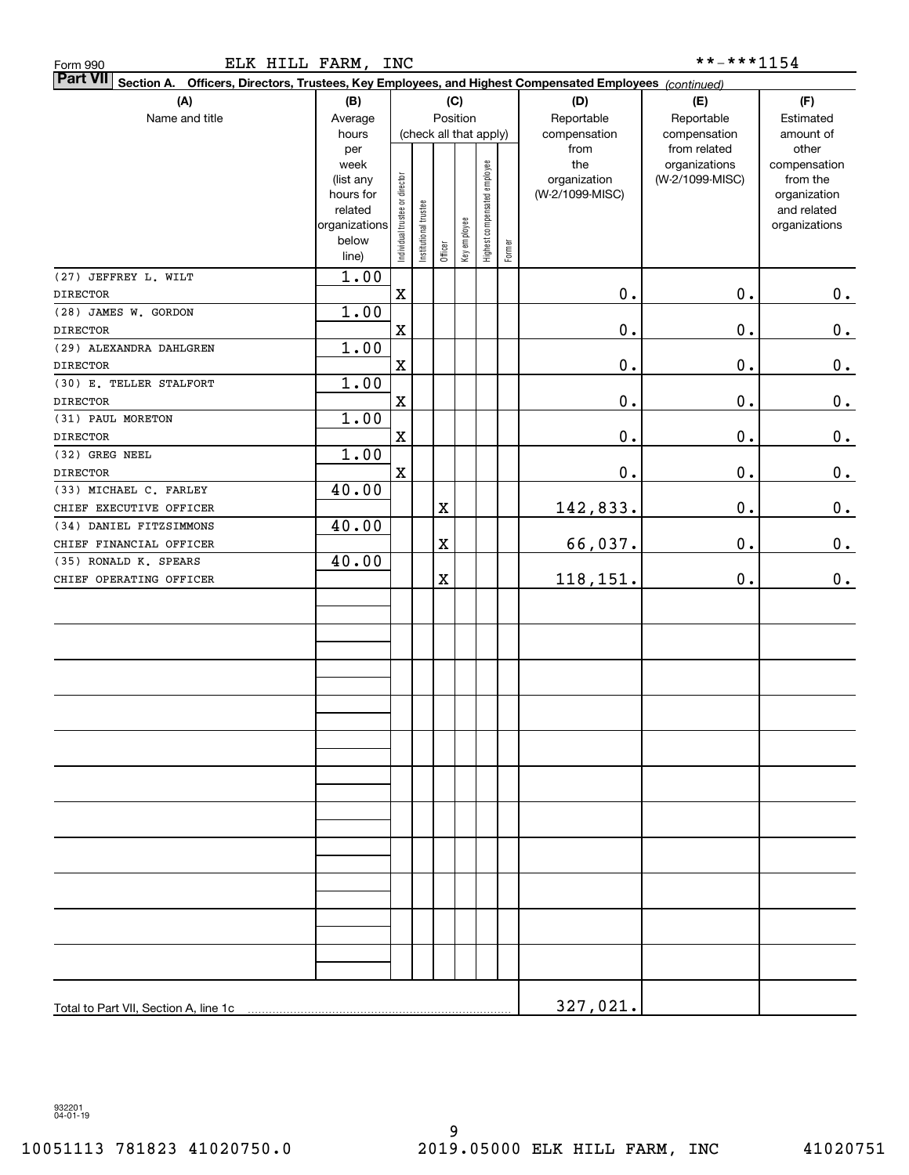| <b>Part VII</b> Section A. Officers, Directors, Trustees, Key Employees, and Highest Compensated Employees (continued) |                        |                                |                      |         |                        |                              |        |                      |                              |                    |
|------------------------------------------------------------------------------------------------------------------------|------------------------|--------------------------------|----------------------|---------|------------------------|------------------------------|--------|----------------------|------------------------------|--------------------|
| (A)                                                                                                                    | (B)                    |                                |                      |         | (C)                    |                              |        | (D)                  | (E)                          | (F)                |
| Name and title                                                                                                         | Average                |                                |                      |         | Position               |                              |        | Reportable           | Reportable                   | Estimated          |
|                                                                                                                        | hours<br>per           |                                |                      |         | (check all that apply) |                              |        | compensation<br>from | compensation<br>from related | amount of<br>other |
|                                                                                                                        | week                   |                                |                      |         |                        |                              |        | the                  | organizations                | compensation       |
|                                                                                                                        | (list any              |                                |                      |         |                        |                              |        | organization         | (W-2/1099-MISC)              | from the           |
|                                                                                                                        | hours for              |                                |                      |         |                        |                              |        | (W-2/1099-MISC)      |                              | organization       |
|                                                                                                                        | related                |                                |                      |         |                        |                              |        |                      |                              | and related        |
|                                                                                                                        | organizations<br>below | Individual trustee or director | nstitutional trustee |         | Key employee           |                              |        |                      |                              | organizations      |
|                                                                                                                        | line)                  |                                |                      | Officer |                        | Highest compensated employee | Former |                      |                              |                    |
| (27) JEFFREY L. WILT                                                                                                   | 1.00                   |                                |                      |         |                        |                              |        |                      |                              |                    |
| <b>DIRECTOR</b>                                                                                                        |                        | $\mathbf X$                    |                      |         |                        |                              |        | $0$ .                | $0$ .                        | 0.                 |
| (28) JAMES W. GORDON                                                                                                   | 1.00                   |                                |                      |         |                        |                              |        |                      |                              |                    |
| <b>DIRECTOR</b>                                                                                                        |                        | $\mathbf X$                    |                      |         |                        |                              |        | $\mathbf 0$ .        | $0$ .                        | $\pmb{0}$ .        |
| (29) ALEXANDRA DAHLGREN                                                                                                | 1.00                   |                                |                      |         |                        |                              |        |                      |                              |                    |
| <b>DIRECTOR</b>                                                                                                        |                        | $\mathbf X$                    |                      |         |                        |                              |        | $\mathbf 0$ .        | $0$ .                        | $\pmb{0}$ .        |
| (30) E. TELLER STALFORT                                                                                                | 1.00                   |                                |                      |         |                        |                              |        |                      |                              |                    |
| <b>DIRECTOR</b>                                                                                                        |                        | $\mathbf X$                    |                      |         |                        |                              |        | $\mathbf 0$ .        | $0$ .                        | $\pmb{0}$ .        |
| (31) PAUL MORETON                                                                                                      | 1.00                   |                                |                      |         |                        |                              |        |                      |                              |                    |
| <b>DIRECTOR</b>                                                                                                        |                        | $\mathbf X$                    |                      |         |                        |                              |        | $\mathbf 0$ .        | $0$ .                        | 0.                 |
| (32) GREG NEEL                                                                                                         | 1.00                   |                                |                      |         |                        |                              |        |                      |                              |                    |
| <b>DIRECTOR</b>                                                                                                        |                        | $\mathbf X$                    |                      |         |                        |                              |        | $\mathbf 0$ .        | $0$ .                        | 0.                 |
| (33) MICHAEL C. FARLEY<br>CHIEF EXECUTIVE OFFICER                                                                      | 40.00                  |                                |                      | X       |                        |                              |        |                      | 0.                           | 0.                 |
| (34) DANIEL FITZSIMMONS                                                                                                | 40.00                  |                                |                      |         |                        |                              |        | 142,833.             |                              |                    |
| CHIEF FINANCIAL OFFICER                                                                                                |                        |                                |                      | X       |                        |                              |        | 66,037.              | 0.                           | 0.                 |
| (35) RONALD K. SPEARS                                                                                                  | 40.00                  |                                |                      |         |                        |                              |        |                      |                              |                    |
| CHIEF OPERATING OFFICER                                                                                                |                        |                                |                      | X       |                        |                              |        | 118,151.             | $\mathbf 0$ .                | 0.                 |
|                                                                                                                        |                        |                                |                      |         |                        |                              |        |                      |                              |                    |
|                                                                                                                        |                        |                                |                      |         |                        |                              |        |                      |                              |                    |
|                                                                                                                        |                        |                                |                      |         |                        |                              |        |                      |                              |                    |
|                                                                                                                        |                        |                                |                      |         |                        |                              |        |                      |                              |                    |
|                                                                                                                        |                        |                                |                      |         |                        |                              |        |                      |                              |                    |
|                                                                                                                        |                        |                                |                      |         |                        |                              |        |                      |                              |                    |
|                                                                                                                        |                        |                                |                      |         |                        |                              |        |                      |                              |                    |
|                                                                                                                        |                        |                                |                      |         |                        |                              |        |                      |                              |                    |
|                                                                                                                        |                        |                                |                      |         |                        |                              |        |                      |                              |                    |
|                                                                                                                        |                        |                                |                      |         |                        |                              |        |                      |                              |                    |
|                                                                                                                        |                        |                                |                      |         |                        |                              |        |                      |                              |                    |
|                                                                                                                        |                        |                                |                      |         |                        |                              |        |                      |                              |                    |
|                                                                                                                        |                        |                                |                      |         |                        |                              |        |                      |                              |                    |
|                                                                                                                        |                        |                                |                      |         |                        |                              |        |                      |                              |                    |
|                                                                                                                        |                        |                                |                      |         |                        |                              |        |                      |                              |                    |
|                                                                                                                        |                        |                                |                      |         |                        |                              |        |                      |                              |                    |
|                                                                                                                        |                        |                                |                      |         |                        |                              |        |                      |                              |                    |
|                                                                                                                        |                        |                                |                      |         |                        |                              |        |                      |                              |                    |
|                                                                                                                        |                        |                                |                      |         |                        |                              |        |                      |                              |                    |
|                                                                                                                        |                        |                                |                      |         |                        |                              |        |                      |                              |                    |
|                                                                                                                        |                        |                                |                      |         |                        |                              |        |                      |                              |                    |
|                                                                                                                        |                        |                                |                      |         |                        |                              |        |                      |                              |                    |
|                                                                                                                        |                        |                                |                      |         |                        |                              |        | 327,021.             |                              |                    |

ELK HILL FARM, INC \*\*-\*\*\*1154

Form 990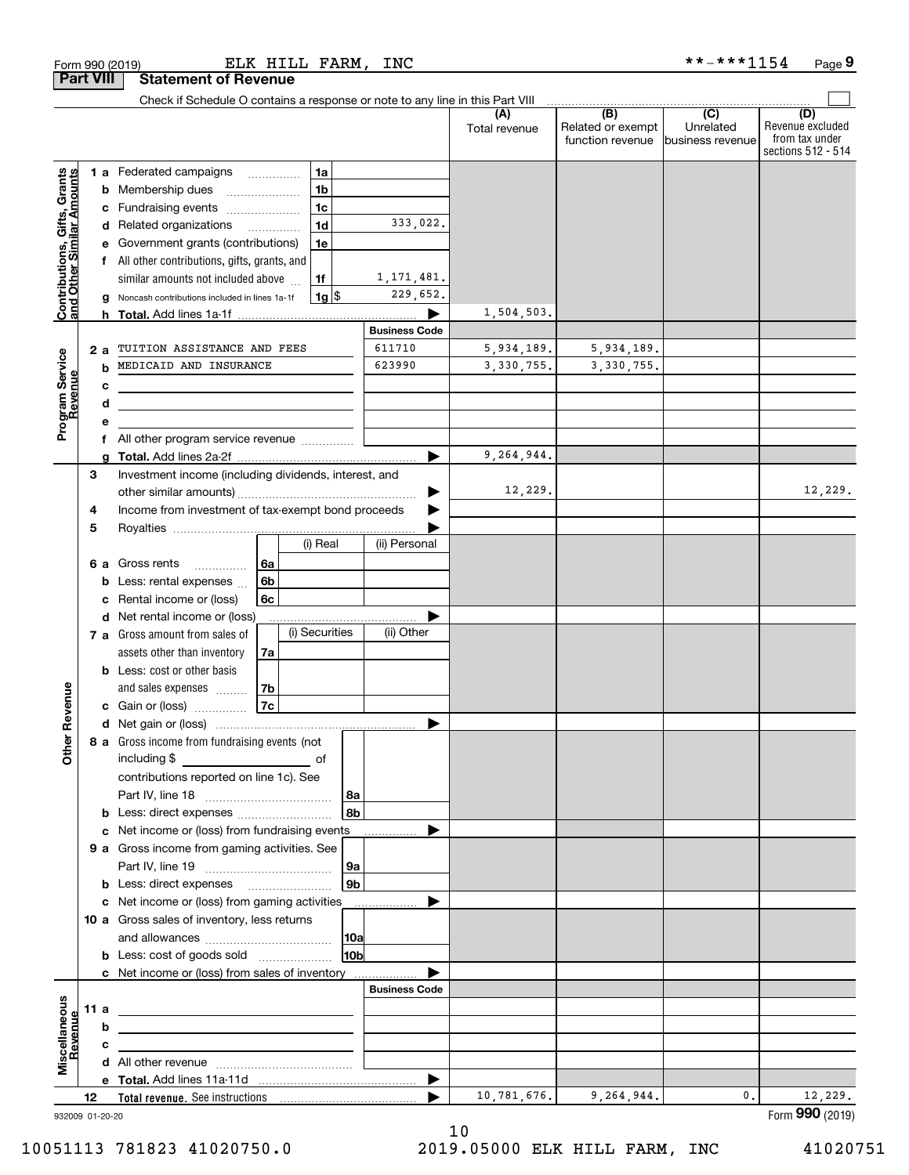| Check if Schedule O contains a response or note to any line in this Part VIII<br>(B)<br>(C)<br>(D)<br>(A)<br>Unrelated<br>Related or exempt<br>Total revenue<br>from tax under<br>function revenue<br>business revenue<br>1 a Federated campaigns<br>1a<br>Contributions, Gifts, Grants<br>and Other Similar Amounts<br>1 <sub>b</sub><br><b>b</b> Membership dues<br>1 <sub>c</sub><br>c Fundraising events<br>333,022.<br>1 <sub>d</sub><br>d Related organizations<br>$\overline{\phantom{a}}$<br>e Government grants (contributions)<br>1e<br>f All other contributions, gifts, grants, and<br>1, 171, 481.<br>similar amounts not included above<br>1f<br>229,652.<br>$1g$ \$<br>Noncash contributions included in lines 1a-1f<br>g<br>1,504,503.<br><b>Business Code</b><br>611710<br>TUITION ASSISTANCE AND FEES<br>5,934,189.<br>5,934,189.<br>2а<br>Program Service<br>Revenue<br>MEDICAID AND INSURANCE<br>623990<br>3,330,755.<br>3, 330, 755.<br>b<br>c<br>d<br>All other program service revenue<br>f<br>9,264,944.<br>ь<br>a<br>Investment income (including dividends, interest, and<br>3<br>12,229.<br>▶<br>Income from investment of tax-exempt bond proceeds<br>4<br>5<br>(i) Real<br>(ii) Personal<br>6a<br>Gross rents<br>6а<br>.<br>6b<br>Less: rental expenses<br>b<br>Rental income or (loss)<br>6с<br>c<br>d Net rental income or (loss)<br>(i) Securities<br>(ii) Other<br>7 a Gross amount from sales of<br>assets other than inventory<br>7a<br><b>b</b> Less: cost or other basis<br>Revenue<br>and sales expenses<br>7b<br>7c<br>c Gain or (loss)<br>ð<br>8 a Gross income from fundraising events (not<br>ŏ<br>including \$<br>оf<br>contributions reported on line 1c). See<br>8a<br>8b<br><b>b</b> Less: direct expenses<br>Net income or (loss) from fundraising events<br>c<br>9 a Gross income from gaming activities. See<br>9a<br><b>b</b> Less: direct expenses <b>manually</b><br>9b<br>c Net income or (loss) from gaming activities<br>10 a Gross sales of inventory, less returns<br> 10a<br><b>b</b> Less: cost of goods sold<br>10bl<br>c Net income or (loss) from sales of inventory<br><b>Business Code</b><br>Miscellaneous<br>11 a<br>Revenue<br>b<br>c<br>the control of the control of the control of the control of the control of<br>10,781,676.<br>9,264,944.<br>0.<br>12<br>932009 01-20-20 |  |  |  |  |  |  |                                        |
|----------------------------------------------------------------------------------------------------------------------------------------------------------------------------------------------------------------------------------------------------------------------------------------------------------------------------------------------------------------------------------------------------------------------------------------------------------------------------------------------------------------------------------------------------------------------------------------------------------------------------------------------------------------------------------------------------------------------------------------------------------------------------------------------------------------------------------------------------------------------------------------------------------------------------------------------------------------------------------------------------------------------------------------------------------------------------------------------------------------------------------------------------------------------------------------------------------------------------------------------------------------------------------------------------------------------------------------------------------------------------------------------------------------------------------------------------------------------------------------------------------------------------------------------------------------------------------------------------------------------------------------------------------------------------------------------------------------------------------------------------------------------------------------------------------------------------------------------------------------------------------------------------------------------------------------------------------------------------------------------------------------------------------------------------------------------------------------------------------------------------------------------------------------------------------------------------------------------------------------------------------------------------------------------------------------------------------------------------|--|--|--|--|--|--|----------------------------------------|
|                                                                                                                                                                                                                                                                                                                                                                                                                                                                                                                                                                                                                                                                                                                                                                                                                                                                                                                                                                                                                                                                                                                                                                                                                                                                                                                                                                                                                                                                                                                                                                                                                                                                                                                                                                                                                                                                                                                                                                                                                                                                                                                                                                                                                                                                                                                                                    |  |  |  |  |  |  | Revenue excluded<br>sections 512 - 514 |
|                                                                                                                                                                                                                                                                                                                                                                                                                                                                                                                                                                                                                                                                                                                                                                                                                                                                                                                                                                                                                                                                                                                                                                                                                                                                                                                                                                                                                                                                                                                                                                                                                                                                                                                                                                                                                                                                                                                                                                                                                                                                                                                                                                                                                                                                                                                                                    |  |  |  |  |  |  |                                        |
|                                                                                                                                                                                                                                                                                                                                                                                                                                                                                                                                                                                                                                                                                                                                                                                                                                                                                                                                                                                                                                                                                                                                                                                                                                                                                                                                                                                                                                                                                                                                                                                                                                                                                                                                                                                                                                                                                                                                                                                                                                                                                                                                                                                                                                                                                                                                                    |  |  |  |  |  |  |                                        |
|                                                                                                                                                                                                                                                                                                                                                                                                                                                                                                                                                                                                                                                                                                                                                                                                                                                                                                                                                                                                                                                                                                                                                                                                                                                                                                                                                                                                                                                                                                                                                                                                                                                                                                                                                                                                                                                                                                                                                                                                                                                                                                                                                                                                                                                                                                                                                    |  |  |  |  |  |  |                                        |
|                                                                                                                                                                                                                                                                                                                                                                                                                                                                                                                                                                                                                                                                                                                                                                                                                                                                                                                                                                                                                                                                                                                                                                                                                                                                                                                                                                                                                                                                                                                                                                                                                                                                                                                                                                                                                                                                                                                                                                                                                                                                                                                                                                                                                                                                                                                                                    |  |  |  |  |  |  |                                        |
|                                                                                                                                                                                                                                                                                                                                                                                                                                                                                                                                                                                                                                                                                                                                                                                                                                                                                                                                                                                                                                                                                                                                                                                                                                                                                                                                                                                                                                                                                                                                                                                                                                                                                                                                                                                                                                                                                                                                                                                                                                                                                                                                                                                                                                                                                                                                                    |  |  |  |  |  |  |                                        |
|                                                                                                                                                                                                                                                                                                                                                                                                                                                                                                                                                                                                                                                                                                                                                                                                                                                                                                                                                                                                                                                                                                                                                                                                                                                                                                                                                                                                                                                                                                                                                                                                                                                                                                                                                                                                                                                                                                                                                                                                                                                                                                                                                                                                                                                                                                                                                    |  |  |  |  |  |  |                                        |
|                                                                                                                                                                                                                                                                                                                                                                                                                                                                                                                                                                                                                                                                                                                                                                                                                                                                                                                                                                                                                                                                                                                                                                                                                                                                                                                                                                                                                                                                                                                                                                                                                                                                                                                                                                                                                                                                                                                                                                                                                                                                                                                                                                                                                                                                                                                                                    |  |  |  |  |  |  |                                        |
|                                                                                                                                                                                                                                                                                                                                                                                                                                                                                                                                                                                                                                                                                                                                                                                                                                                                                                                                                                                                                                                                                                                                                                                                                                                                                                                                                                                                                                                                                                                                                                                                                                                                                                                                                                                                                                                                                                                                                                                                                                                                                                                                                                                                                                                                                                                                                    |  |  |  |  |  |  |                                        |
|                                                                                                                                                                                                                                                                                                                                                                                                                                                                                                                                                                                                                                                                                                                                                                                                                                                                                                                                                                                                                                                                                                                                                                                                                                                                                                                                                                                                                                                                                                                                                                                                                                                                                                                                                                                                                                                                                                                                                                                                                                                                                                                                                                                                                                                                                                                                                    |  |  |  |  |  |  |                                        |
|                                                                                                                                                                                                                                                                                                                                                                                                                                                                                                                                                                                                                                                                                                                                                                                                                                                                                                                                                                                                                                                                                                                                                                                                                                                                                                                                                                                                                                                                                                                                                                                                                                                                                                                                                                                                                                                                                                                                                                                                                                                                                                                                                                                                                                                                                                                                                    |  |  |  |  |  |  |                                        |
|                                                                                                                                                                                                                                                                                                                                                                                                                                                                                                                                                                                                                                                                                                                                                                                                                                                                                                                                                                                                                                                                                                                                                                                                                                                                                                                                                                                                                                                                                                                                                                                                                                                                                                                                                                                                                                                                                                                                                                                                                                                                                                                                                                                                                                                                                                                                                    |  |  |  |  |  |  |                                        |
|                                                                                                                                                                                                                                                                                                                                                                                                                                                                                                                                                                                                                                                                                                                                                                                                                                                                                                                                                                                                                                                                                                                                                                                                                                                                                                                                                                                                                                                                                                                                                                                                                                                                                                                                                                                                                                                                                                                                                                                                                                                                                                                                                                                                                                                                                                                                                    |  |  |  |  |  |  |                                        |
|                                                                                                                                                                                                                                                                                                                                                                                                                                                                                                                                                                                                                                                                                                                                                                                                                                                                                                                                                                                                                                                                                                                                                                                                                                                                                                                                                                                                                                                                                                                                                                                                                                                                                                                                                                                                                                                                                                                                                                                                                                                                                                                                                                                                                                                                                                                                                    |  |  |  |  |  |  |                                        |
|                                                                                                                                                                                                                                                                                                                                                                                                                                                                                                                                                                                                                                                                                                                                                                                                                                                                                                                                                                                                                                                                                                                                                                                                                                                                                                                                                                                                                                                                                                                                                                                                                                                                                                                                                                                                                                                                                                                                                                                                                                                                                                                                                                                                                                                                                                                                                    |  |  |  |  |  |  |                                        |
|                                                                                                                                                                                                                                                                                                                                                                                                                                                                                                                                                                                                                                                                                                                                                                                                                                                                                                                                                                                                                                                                                                                                                                                                                                                                                                                                                                                                                                                                                                                                                                                                                                                                                                                                                                                                                                                                                                                                                                                                                                                                                                                                                                                                                                                                                                                                                    |  |  |  |  |  |  |                                        |
|                                                                                                                                                                                                                                                                                                                                                                                                                                                                                                                                                                                                                                                                                                                                                                                                                                                                                                                                                                                                                                                                                                                                                                                                                                                                                                                                                                                                                                                                                                                                                                                                                                                                                                                                                                                                                                                                                                                                                                                                                                                                                                                                                                                                                                                                                                                                                    |  |  |  |  |  |  |                                        |
|                                                                                                                                                                                                                                                                                                                                                                                                                                                                                                                                                                                                                                                                                                                                                                                                                                                                                                                                                                                                                                                                                                                                                                                                                                                                                                                                                                                                                                                                                                                                                                                                                                                                                                                                                                                                                                                                                                                                                                                                                                                                                                                                                                                                                                                                                                                                                    |  |  |  |  |  |  |                                        |
|                                                                                                                                                                                                                                                                                                                                                                                                                                                                                                                                                                                                                                                                                                                                                                                                                                                                                                                                                                                                                                                                                                                                                                                                                                                                                                                                                                                                                                                                                                                                                                                                                                                                                                                                                                                                                                                                                                                                                                                                                                                                                                                                                                                                                                                                                                                                                    |  |  |  |  |  |  |                                        |
|                                                                                                                                                                                                                                                                                                                                                                                                                                                                                                                                                                                                                                                                                                                                                                                                                                                                                                                                                                                                                                                                                                                                                                                                                                                                                                                                                                                                                                                                                                                                                                                                                                                                                                                                                                                                                                                                                                                                                                                                                                                                                                                                                                                                                                                                                                                                                    |  |  |  |  |  |  | 12,229.                                |
|                                                                                                                                                                                                                                                                                                                                                                                                                                                                                                                                                                                                                                                                                                                                                                                                                                                                                                                                                                                                                                                                                                                                                                                                                                                                                                                                                                                                                                                                                                                                                                                                                                                                                                                                                                                                                                                                                                                                                                                                                                                                                                                                                                                                                                                                                                                                                    |  |  |  |  |  |  |                                        |
|                                                                                                                                                                                                                                                                                                                                                                                                                                                                                                                                                                                                                                                                                                                                                                                                                                                                                                                                                                                                                                                                                                                                                                                                                                                                                                                                                                                                                                                                                                                                                                                                                                                                                                                                                                                                                                                                                                                                                                                                                                                                                                                                                                                                                                                                                                                                                    |  |  |  |  |  |  |                                        |
|                                                                                                                                                                                                                                                                                                                                                                                                                                                                                                                                                                                                                                                                                                                                                                                                                                                                                                                                                                                                                                                                                                                                                                                                                                                                                                                                                                                                                                                                                                                                                                                                                                                                                                                                                                                                                                                                                                                                                                                                                                                                                                                                                                                                                                                                                                                                                    |  |  |  |  |  |  |                                        |
|                                                                                                                                                                                                                                                                                                                                                                                                                                                                                                                                                                                                                                                                                                                                                                                                                                                                                                                                                                                                                                                                                                                                                                                                                                                                                                                                                                                                                                                                                                                                                                                                                                                                                                                                                                                                                                                                                                                                                                                                                                                                                                                                                                                                                                                                                                                                                    |  |  |  |  |  |  |                                        |
|                                                                                                                                                                                                                                                                                                                                                                                                                                                                                                                                                                                                                                                                                                                                                                                                                                                                                                                                                                                                                                                                                                                                                                                                                                                                                                                                                                                                                                                                                                                                                                                                                                                                                                                                                                                                                                                                                                                                                                                                                                                                                                                                                                                                                                                                                                                                                    |  |  |  |  |  |  |                                        |
|                                                                                                                                                                                                                                                                                                                                                                                                                                                                                                                                                                                                                                                                                                                                                                                                                                                                                                                                                                                                                                                                                                                                                                                                                                                                                                                                                                                                                                                                                                                                                                                                                                                                                                                                                                                                                                                                                                                                                                                                                                                                                                                                                                                                                                                                                                                                                    |  |  |  |  |  |  |                                        |
|                                                                                                                                                                                                                                                                                                                                                                                                                                                                                                                                                                                                                                                                                                                                                                                                                                                                                                                                                                                                                                                                                                                                                                                                                                                                                                                                                                                                                                                                                                                                                                                                                                                                                                                                                                                                                                                                                                                                                                                                                                                                                                                                                                                                                                                                                                                                                    |  |  |  |  |  |  |                                        |
|                                                                                                                                                                                                                                                                                                                                                                                                                                                                                                                                                                                                                                                                                                                                                                                                                                                                                                                                                                                                                                                                                                                                                                                                                                                                                                                                                                                                                                                                                                                                                                                                                                                                                                                                                                                                                                                                                                                                                                                                                                                                                                                                                                                                                                                                                                                                                    |  |  |  |  |  |  |                                        |
|                                                                                                                                                                                                                                                                                                                                                                                                                                                                                                                                                                                                                                                                                                                                                                                                                                                                                                                                                                                                                                                                                                                                                                                                                                                                                                                                                                                                                                                                                                                                                                                                                                                                                                                                                                                                                                                                                                                                                                                                                                                                                                                                                                                                                                                                                                                                                    |  |  |  |  |  |  |                                        |
|                                                                                                                                                                                                                                                                                                                                                                                                                                                                                                                                                                                                                                                                                                                                                                                                                                                                                                                                                                                                                                                                                                                                                                                                                                                                                                                                                                                                                                                                                                                                                                                                                                                                                                                                                                                                                                                                                                                                                                                                                                                                                                                                                                                                                                                                                                                                                    |  |  |  |  |  |  |                                        |
|                                                                                                                                                                                                                                                                                                                                                                                                                                                                                                                                                                                                                                                                                                                                                                                                                                                                                                                                                                                                                                                                                                                                                                                                                                                                                                                                                                                                                                                                                                                                                                                                                                                                                                                                                                                                                                                                                                                                                                                                                                                                                                                                                                                                                                                                                                                                                    |  |  |  |  |  |  |                                        |
|                                                                                                                                                                                                                                                                                                                                                                                                                                                                                                                                                                                                                                                                                                                                                                                                                                                                                                                                                                                                                                                                                                                                                                                                                                                                                                                                                                                                                                                                                                                                                                                                                                                                                                                                                                                                                                                                                                                                                                                                                                                                                                                                                                                                                                                                                                                                                    |  |  |  |  |  |  |                                        |
|                                                                                                                                                                                                                                                                                                                                                                                                                                                                                                                                                                                                                                                                                                                                                                                                                                                                                                                                                                                                                                                                                                                                                                                                                                                                                                                                                                                                                                                                                                                                                                                                                                                                                                                                                                                                                                                                                                                                                                                                                                                                                                                                                                                                                                                                                                                                                    |  |  |  |  |  |  |                                        |
|                                                                                                                                                                                                                                                                                                                                                                                                                                                                                                                                                                                                                                                                                                                                                                                                                                                                                                                                                                                                                                                                                                                                                                                                                                                                                                                                                                                                                                                                                                                                                                                                                                                                                                                                                                                                                                                                                                                                                                                                                                                                                                                                                                                                                                                                                                                                                    |  |  |  |  |  |  |                                        |
|                                                                                                                                                                                                                                                                                                                                                                                                                                                                                                                                                                                                                                                                                                                                                                                                                                                                                                                                                                                                                                                                                                                                                                                                                                                                                                                                                                                                                                                                                                                                                                                                                                                                                                                                                                                                                                                                                                                                                                                                                                                                                                                                                                                                                                                                                                                                                    |  |  |  |  |  |  |                                        |
|                                                                                                                                                                                                                                                                                                                                                                                                                                                                                                                                                                                                                                                                                                                                                                                                                                                                                                                                                                                                                                                                                                                                                                                                                                                                                                                                                                                                                                                                                                                                                                                                                                                                                                                                                                                                                                                                                                                                                                                                                                                                                                                                                                                                                                                                                                                                                    |  |  |  |  |  |  |                                        |
|                                                                                                                                                                                                                                                                                                                                                                                                                                                                                                                                                                                                                                                                                                                                                                                                                                                                                                                                                                                                                                                                                                                                                                                                                                                                                                                                                                                                                                                                                                                                                                                                                                                                                                                                                                                                                                                                                                                                                                                                                                                                                                                                                                                                                                                                                                                                                    |  |  |  |  |  |  |                                        |
|                                                                                                                                                                                                                                                                                                                                                                                                                                                                                                                                                                                                                                                                                                                                                                                                                                                                                                                                                                                                                                                                                                                                                                                                                                                                                                                                                                                                                                                                                                                                                                                                                                                                                                                                                                                                                                                                                                                                                                                                                                                                                                                                                                                                                                                                                                                                                    |  |  |  |  |  |  |                                        |
|                                                                                                                                                                                                                                                                                                                                                                                                                                                                                                                                                                                                                                                                                                                                                                                                                                                                                                                                                                                                                                                                                                                                                                                                                                                                                                                                                                                                                                                                                                                                                                                                                                                                                                                                                                                                                                                                                                                                                                                                                                                                                                                                                                                                                                                                                                                                                    |  |  |  |  |  |  |                                        |
|                                                                                                                                                                                                                                                                                                                                                                                                                                                                                                                                                                                                                                                                                                                                                                                                                                                                                                                                                                                                                                                                                                                                                                                                                                                                                                                                                                                                                                                                                                                                                                                                                                                                                                                                                                                                                                                                                                                                                                                                                                                                                                                                                                                                                                                                                                                                                    |  |  |  |  |  |  |                                        |
|                                                                                                                                                                                                                                                                                                                                                                                                                                                                                                                                                                                                                                                                                                                                                                                                                                                                                                                                                                                                                                                                                                                                                                                                                                                                                                                                                                                                                                                                                                                                                                                                                                                                                                                                                                                                                                                                                                                                                                                                                                                                                                                                                                                                                                                                                                                                                    |  |  |  |  |  |  |                                        |
|                                                                                                                                                                                                                                                                                                                                                                                                                                                                                                                                                                                                                                                                                                                                                                                                                                                                                                                                                                                                                                                                                                                                                                                                                                                                                                                                                                                                                                                                                                                                                                                                                                                                                                                                                                                                                                                                                                                                                                                                                                                                                                                                                                                                                                                                                                                                                    |  |  |  |  |  |  |                                        |
|                                                                                                                                                                                                                                                                                                                                                                                                                                                                                                                                                                                                                                                                                                                                                                                                                                                                                                                                                                                                                                                                                                                                                                                                                                                                                                                                                                                                                                                                                                                                                                                                                                                                                                                                                                                                                                                                                                                                                                                                                                                                                                                                                                                                                                                                                                                                                    |  |  |  |  |  |  |                                        |
|                                                                                                                                                                                                                                                                                                                                                                                                                                                                                                                                                                                                                                                                                                                                                                                                                                                                                                                                                                                                                                                                                                                                                                                                                                                                                                                                                                                                                                                                                                                                                                                                                                                                                                                                                                                                                                                                                                                                                                                                                                                                                                                                                                                                                                                                                                                                                    |  |  |  |  |  |  |                                        |
|                                                                                                                                                                                                                                                                                                                                                                                                                                                                                                                                                                                                                                                                                                                                                                                                                                                                                                                                                                                                                                                                                                                                                                                                                                                                                                                                                                                                                                                                                                                                                                                                                                                                                                                                                                                                                                                                                                                                                                                                                                                                                                                                                                                                                                                                                                                                                    |  |  |  |  |  |  |                                        |
|                                                                                                                                                                                                                                                                                                                                                                                                                                                                                                                                                                                                                                                                                                                                                                                                                                                                                                                                                                                                                                                                                                                                                                                                                                                                                                                                                                                                                                                                                                                                                                                                                                                                                                                                                                                                                                                                                                                                                                                                                                                                                                                                                                                                                                                                                                                                                    |  |  |  |  |  |  |                                        |
|                                                                                                                                                                                                                                                                                                                                                                                                                                                                                                                                                                                                                                                                                                                                                                                                                                                                                                                                                                                                                                                                                                                                                                                                                                                                                                                                                                                                                                                                                                                                                                                                                                                                                                                                                                                                                                                                                                                                                                                                                                                                                                                                                                                                                                                                                                                                                    |  |  |  |  |  |  |                                        |
|                                                                                                                                                                                                                                                                                                                                                                                                                                                                                                                                                                                                                                                                                                                                                                                                                                                                                                                                                                                                                                                                                                                                                                                                                                                                                                                                                                                                                                                                                                                                                                                                                                                                                                                                                                                                                                                                                                                                                                                                                                                                                                                                                                                                                                                                                                                                                    |  |  |  |  |  |  |                                        |
|                                                                                                                                                                                                                                                                                                                                                                                                                                                                                                                                                                                                                                                                                                                                                                                                                                                                                                                                                                                                                                                                                                                                                                                                                                                                                                                                                                                                                                                                                                                                                                                                                                                                                                                                                                                                                                                                                                                                                                                                                                                                                                                                                                                                                                                                                                                                                    |  |  |  |  |  |  |                                        |
|                                                                                                                                                                                                                                                                                                                                                                                                                                                                                                                                                                                                                                                                                                                                                                                                                                                                                                                                                                                                                                                                                                                                                                                                                                                                                                                                                                                                                                                                                                                                                                                                                                                                                                                                                                                                                                                                                                                                                                                                                                                                                                                                                                                                                                                                                                                                                    |  |  |  |  |  |  |                                        |
|                                                                                                                                                                                                                                                                                                                                                                                                                                                                                                                                                                                                                                                                                                                                                                                                                                                                                                                                                                                                                                                                                                                                                                                                                                                                                                                                                                                                                                                                                                                                                                                                                                                                                                                                                                                                                                                                                                                                                                                                                                                                                                                                                                                                                                                                                                                                                    |  |  |  |  |  |  |                                        |
|                                                                                                                                                                                                                                                                                                                                                                                                                                                                                                                                                                                                                                                                                                                                                                                                                                                                                                                                                                                                                                                                                                                                                                                                                                                                                                                                                                                                                                                                                                                                                                                                                                                                                                                                                                                                                                                                                                                                                                                                                                                                                                                                                                                                                                                                                                                                                    |  |  |  |  |  |  |                                        |
|                                                                                                                                                                                                                                                                                                                                                                                                                                                                                                                                                                                                                                                                                                                                                                                                                                                                                                                                                                                                                                                                                                                                                                                                                                                                                                                                                                                                                                                                                                                                                                                                                                                                                                                                                                                                                                                                                                                                                                                                                                                                                                                                                                                                                                                                                                                                                    |  |  |  |  |  |  | 12,229.                                |
|                                                                                                                                                                                                                                                                                                                                                                                                                                                                                                                                                                                                                                                                                                                                                                                                                                                                                                                                                                                                                                                                                                                                                                                                                                                                                                                                                                                                                                                                                                                                                                                                                                                                                                                                                                                                                                                                                                                                                                                                                                                                                                                                                                                                                                                                                                                                                    |  |  |  |  |  |  | Form 990 (2019)                        |

10

10051113 781823 41020750.0 2019.05000 ELK HILL FARM, INC 41020751

Form 990 (2019) Page ELK HILL FARM, INC

**Part VIII Statement of Revenue**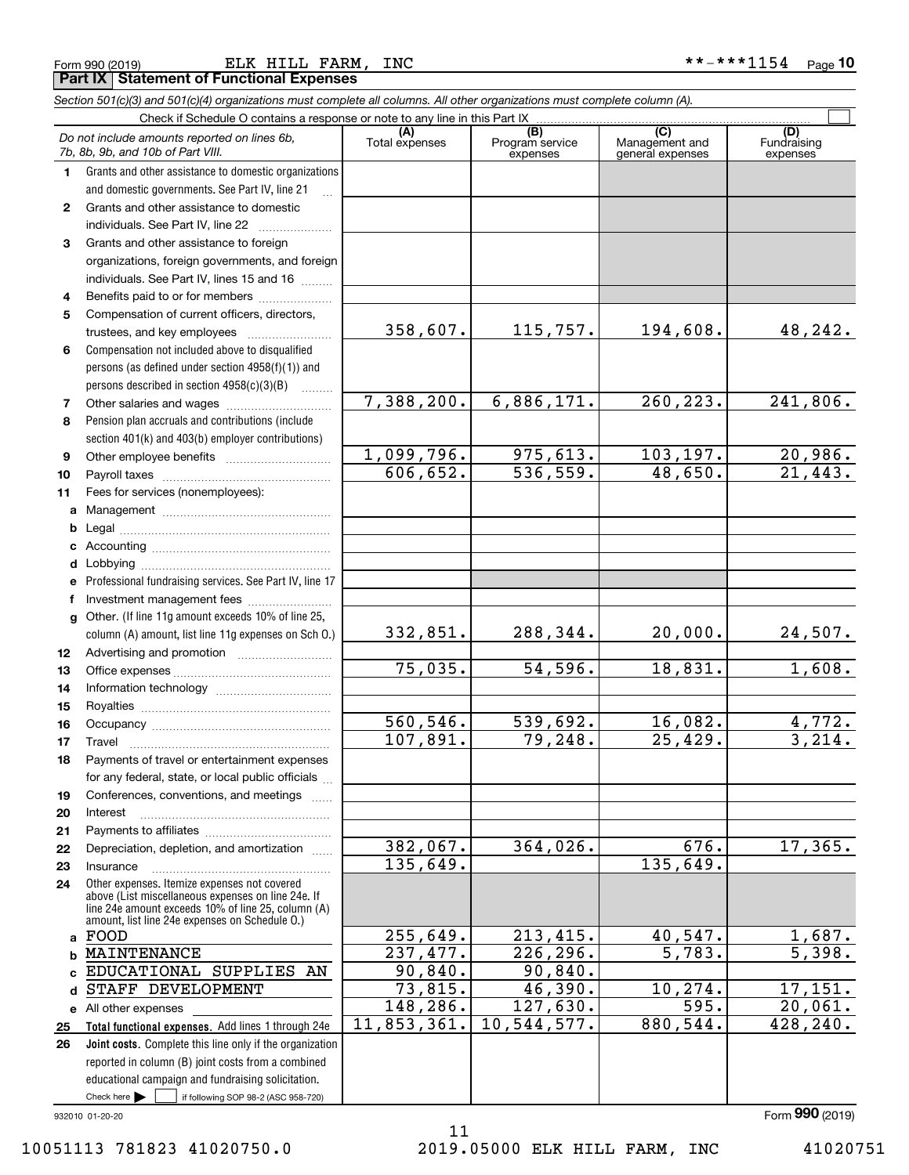|  | Form 990 (2019) |  |
|--|-----------------|--|
|  |                 |  |

Form 990 (2019) ELK HILL FARM, INC \* \* - \* \* \* 1154 Page **Part IX Statement of Functional Expenses**

|              | Section 501(c)(3) and 501(c)(4) organizations must complete all columns. All other organizations must complete column (A).                                                                                 |                       |                                    |                                                      |                                |
|--------------|------------------------------------------------------------------------------------------------------------------------------------------------------------------------------------------------------------|-----------------------|------------------------------------|------------------------------------------------------|--------------------------------|
|              | Check if Schedule O contains a response or note to any line in this Part IX.                                                                                                                               |                       |                                    |                                                      |                                |
|              | Do not include amounts reported on lines 6b,<br>7b, 8b, 9b, and 10b of Part VIII.                                                                                                                          | (A)<br>Total expenses | (B)<br>Program service<br>expenses | $\overline{C}$<br>Management and<br>general expenses | (D)<br>Fundraising<br>expenses |
| 1.           | Grants and other assistance to domestic organizations                                                                                                                                                      |                       |                                    |                                                      |                                |
|              | and domestic governments. See Part IV, line 21                                                                                                                                                             |                       |                                    |                                                      |                                |
| $\mathbf{2}$ | Grants and other assistance to domestic                                                                                                                                                                    |                       |                                    |                                                      |                                |
|              | individuals. See Part IV, line 22                                                                                                                                                                          |                       |                                    |                                                      |                                |
| 3            | Grants and other assistance to foreign                                                                                                                                                                     |                       |                                    |                                                      |                                |
|              | organizations, foreign governments, and foreign                                                                                                                                                            |                       |                                    |                                                      |                                |
|              | individuals. See Part IV, lines 15 and 16                                                                                                                                                                  |                       |                                    |                                                      |                                |
| 4            | Benefits paid to or for members                                                                                                                                                                            |                       |                                    |                                                      |                                |
| 5            | Compensation of current officers, directors,                                                                                                                                                               |                       |                                    |                                                      |                                |
|              | trustees, and key employees                                                                                                                                                                                | 358,607.              | 115,757.                           | 194,608.                                             | 48,242.                        |
| 6            | Compensation not included above to disqualified                                                                                                                                                            |                       |                                    |                                                      |                                |
|              | persons (as defined under section 4958(f)(1)) and                                                                                                                                                          |                       |                                    |                                                      |                                |
|              | persons described in section 4958(c)(3)(B)                                                                                                                                                                 |                       |                                    |                                                      |                                |
| 7            | Other salaries and wages                                                                                                                                                                                   | 7,388,200.            | 6,886,171.                         | 260, 223.                                            | 241,806.                       |
| 8            | Pension plan accruals and contributions (include                                                                                                                                                           |                       |                                    |                                                      |                                |
|              | section 401(k) and 403(b) employer contributions)                                                                                                                                                          |                       |                                    |                                                      |                                |
| 9            |                                                                                                                                                                                                            | 1,099,796.            | 975,613.                           | 103, 197.                                            | 20,986.                        |
| 10           |                                                                                                                                                                                                            | 606, 652.             | 536, 559.                          | 48,650.                                              | 21,443.                        |
| 11           | Fees for services (nonemployees):                                                                                                                                                                          |                       |                                    |                                                      |                                |
| a            |                                                                                                                                                                                                            |                       |                                    |                                                      |                                |
| b            |                                                                                                                                                                                                            |                       |                                    |                                                      |                                |
| c            |                                                                                                                                                                                                            |                       |                                    |                                                      |                                |
| d            |                                                                                                                                                                                                            |                       |                                    |                                                      |                                |
| е            | Professional fundraising services. See Part IV, line 17                                                                                                                                                    |                       |                                    |                                                      |                                |
| f            | Investment management fees                                                                                                                                                                                 |                       |                                    |                                                      |                                |
| g            | Other. (If line 11g amount exceeds 10% of line 25,<br>column (A) amount, list line 11g expenses on Sch O.)                                                                                                 | 332,851.              | 288,344.                           | 20,000.                                              | 24,507.                        |
| 12           |                                                                                                                                                                                                            |                       |                                    |                                                      |                                |
| 13           |                                                                                                                                                                                                            | 75,035.               | 54,596.                            | 18,831.                                              | 1,608.                         |
| 14           |                                                                                                                                                                                                            |                       |                                    |                                                      |                                |
| 15           |                                                                                                                                                                                                            |                       |                                    |                                                      |                                |
| 16           |                                                                                                                                                                                                            | 560, 546.             | 539,692.                           | 16,082.                                              | 4,772.                         |
| 17           |                                                                                                                                                                                                            | 107,891.              | 79,248.                            | 25,429.                                              | 3,214.                         |
| 18           | Payments of travel or entertainment expenses                                                                                                                                                               |                       |                                    |                                                      |                                |
|              | for any federal, state, or local public officials                                                                                                                                                          |                       |                                    |                                                      |                                |
| 19           | Conferences, conventions, and meetings                                                                                                                                                                     |                       |                                    |                                                      |                                |
| 20           | Interest                                                                                                                                                                                                   |                       |                                    |                                                      |                                |
| 21           |                                                                                                                                                                                                            |                       |                                    |                                                      |                                |
| 22           | Depreciation, depletion, and amortization                                                                                                                                                                  | $382,067$ .           | 364,026.                           | 676.                                                 | 17, 365.                       |
| 23           | Insurance                                                                                                                                                                                                  | 135,649.              |                                    | 135,649.                                             |                                |
| 24           | Other expenses. Itemize expenses not covered<br>above (List miscellaneous expenses on line 24e. If<br>line 24e amount exceeds 10% of line 25, column (A)<br>amount, list line 24e expenses on Schedule O.) |                       |                                    |                                                      |                                |
|              | a FOOD                                                                                                                                                                                                     | 255,649.              | 213,415.                           | 40,547.                                              | 1,687.                         |
| b            | MAINTENANCE                                                                                                                                                                                                | 237,477.              | 226, 296.                          | 5,783.                                               | 5,398.                         |
|              | EDUCATIONAL SUPPLIES AN                                                                                                                                                                                    | 90,840.               | 90,840.                            |                                                      |                                |
| d            | STAFF DEVELOPMENT                                                                                                                                                                                          | 73,815.               | 46,390.                            | 10,274.                                              | 17, 151.                       |
|              | e All other expenses                                                                                                                                                                                       | 148,286.              | 127,630.                           | 595.                                                 | 20,061.                        |
| 25           | Total functional expenses. Add lines 1 through 24e                                                                                                                                                         | 11,853,361.           | 10,544,577.                        | 880,544.                                             | 428, 240.                      |
| 26           | <b>Joint costs.</b> Complete this line only if the organization                                                                                                                                            |                       |                                    |                                                      |                                |
|              | reported in column (B) joint costs from a combined                                                                                                                                                         |                       |                                    |                                                      |                                |
|              | educational campaign and fundraising solicitation.                                                                                                                                                         |                       |                                    |                                                      |                                |
|              | Check here $\blacktriangleright$<br>if following SOP 98-2 (ASC 958-720)                                                                                                                                    |                       |                                    |                                                      |                                |

932010 01-20-20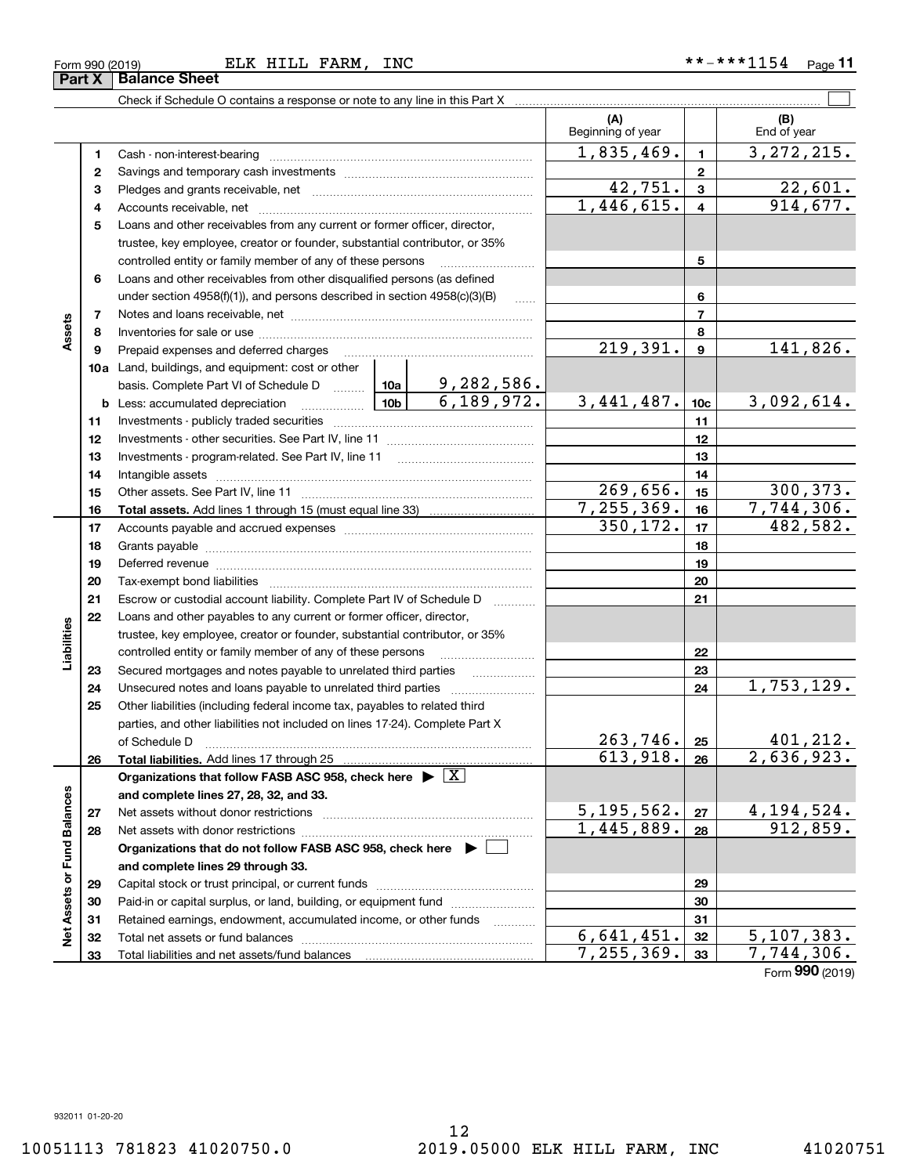| (A)<br>Beginning of year<br>1,835,469.<br>$\mathbf{1}$<br>1.<br>$\mathbf{2}$<br>2<br>42,751.<br>$\mathbf{3}$<br>3<br>1,446,615.<br>$\overline{\mathbf{4}}$<br>4<br>Loans and other receivables from any current or former officer, director,<br>5<br>trustee, key employee, creator or founder, substantial contributor, or 35% | (B)<br>End of year<br>3, 272, 215.<br>22,601.<br>914,677. |
|---------------------------------------------------------------------------------------------------------------------------------------------------------------------------------------------------------------------------------------------------------------------------------------------------------------------------------|-----------------------------------------------------------|
|                                                                                                                                                                                                                                                                                                                                 |                                                           |
|                                                                                                                                                                                                                                                                                                                                 |                                                           |
|                                                                                                                                                                                                                                                                                                                                 |                                                           |
|                                                                                                                                                                                                                                                                                                                                 |                                                           |
|                                                                                                                                                                                                                                                                                                                                 |                                                           |
|                                                                                                                                                                                                                                                                                                                                 |                                                           |
|                                                                                                                                                                                                                                                                                                                                 |                                                           |
| 5<br>controlled entity or family member of any of these persons                                                                                                                                                                                                                                                                 |                                                           |
| Loans and other receivables from other disqualified persons (as defined<br>6                                                                                                                                                                                                                                                    |                                                           |
| 6<br>under section $4958(f)(1)$ , and persons described in section $4958(c)(3)(B)$<br>$\ldots$                                                                                                                                                                                                                                  |                                                           |
| $\overline{7}$<br>7                                                                                                                                                                                                                                                                                                             |                                                           |
| Assets<br>8<br>8                                                                                                                                                                                                                                                                                                                |                                                           |
| 219,391.<br>$\boldsymbol{9}$<br>Prepaid expenses and deferred charges<br>9                                                                                                                                                                                                                                                      | 141,826.                                                  |
| 10a Land, buildings, and equipment: cost or other                                                                                                                                                                                                                                                                               |                                                           |
| basis. Complete Part VI of Schedule D    10a   9, 282, 586.                                                                                                                                                                                                                                                                     |                                                           |
| 6, 189, 972.<br>3,441,487.<br>10 <sub>c</sub><br><b>b</b> Less: accumulated depreciation                                                                                                                                                                                                                                        | 3,092,614.                                                |
| 11<br>11                                                                                                                                                                                                                                                                                                                        |                                                           |
| 12<br>12                                                                                                                                                                                                                                                                                                                        |                                                           |
| 13<br>13                                                                                                                                                                                                                                                                                                                        |                                                           |
| 14<br>14<br>269,656.                                                                                                                                                                                                                                                                                                            | 300, 373.                                                 |
| 15<br>15<br>7, 255, 369.                                                                                                                                                                                                                                                                                                        | 7,744,306.                                                |
| 16<br>16<br>350,172.<br>17                                                                                                                                                                                                                                                                                                      | 482,582.                                                  |
| 17                                                                                                                                                                                                                                                                                                                              |                                                           |
| 18<br>18<br>19                                                                                                                                                                                                                                                                                                                  |                                                           |
| 19<br>Deferred revenue manual contracts and contracts are contracted and contract and contract are contracted and contract are contracted and contract are contracted and contract are contracted and contract are contracted and co<br>20<br>20                                                                                |                                                           |
| 21<br>21<br>Escrow or custodial account liability. Complete Part IV of Schedule D                                                                                                                                                                                                                                               |                                                           |
| 1.1.1.1.1.1.1.1.1<br>22<br>Loans and other payables to any current or former officer, director,                                                                                                                                                                                                                                 |                                                           |
| Liabilities<br>trustee, key employee, creator or founder, substantial contributor, or 35%                                                                                                                                                                                                                                       |                                                           |
| 22<br>controlled entity or family member of any of these persons                                                                                                                                                                                                                                                                |                                                           |
| 23<br>Secured mortgages and notes payable to unrelated third parties<br>23                                                                                                                                                                                                                                                      |                                                           |
| 24<br>24                                                                                                                                                                                                                                                                                                                        | 1,753,129.                                                |
| Other liabilities (including federal income tax, payables to related third<br>25                                                                                                                                                                                                                                                |                                                           |
| parties, and other liabilities not included on lines 17-24). Complete Part X                                                                                                                                                                                                                                                    |                                                           |
| 263,746.<br>25<br>of Schedule D                                                                                                                                                                                                                                                                                                 | 401,212.                                                  |
| 613,918.<br>26<br>26                                                                                                                                                                                                                                                                                                            | 2,636,923.                                                |
| Organizations that follow FASB ASC 958, check here $\blacktriangleright \lfloor X \rfloor$                                                                                                                                                                                                                                      |                                                           |
| and complete lines 27, 28, 32, and 33.                                                                                                                                                                                                                                                                                          |                                                           |
| 5, 195, 562.<br>27<br>27                                                                                                                                                                                                                                                                                                        | 4, 194, 524.                                              |
| $\overline{1,445,889}$ .<br>28<br>28                                                                                                                                                                                                                                                                                            | 912,859.                                                  |
| Organizations that do not follow FASB ASC 958, check here $\blacktriangleright \ \lfloor$                                                                                                                                                                                                                                       |                                                           |
| and complete lines 29 through 33.                                                                                                                                                                                                                                                                                               |                                                           |
| Net Assets or Fund Balances<br>29<br>29                                                                                                                                                                                                                                                                                         |                                                           |
| Paid-in or capital surplus, or land, building, or equipment fund<br>30<br>30                                                                                                                                                                                                                                                    |                                                           |
| Retained earnings, endowment, accumulated income, or other funds<br>31<br>31                                                                                                                                                                                                                                                    |                                                           |
| 6,641,451.<br>32<br>32                                                                                                                                                                                                                                                                                                          | 5,107,383.                                                |
| 7,255,369.<br>33<br>33                                                                                                                                                                                                                                                                                                          | 7,744,306.<br>$F_{\text{sum}}$ 990 (2010)                 |

Form (2019) **990**

**Part X Balance Sheet**<br>**Part X Balance Sheet**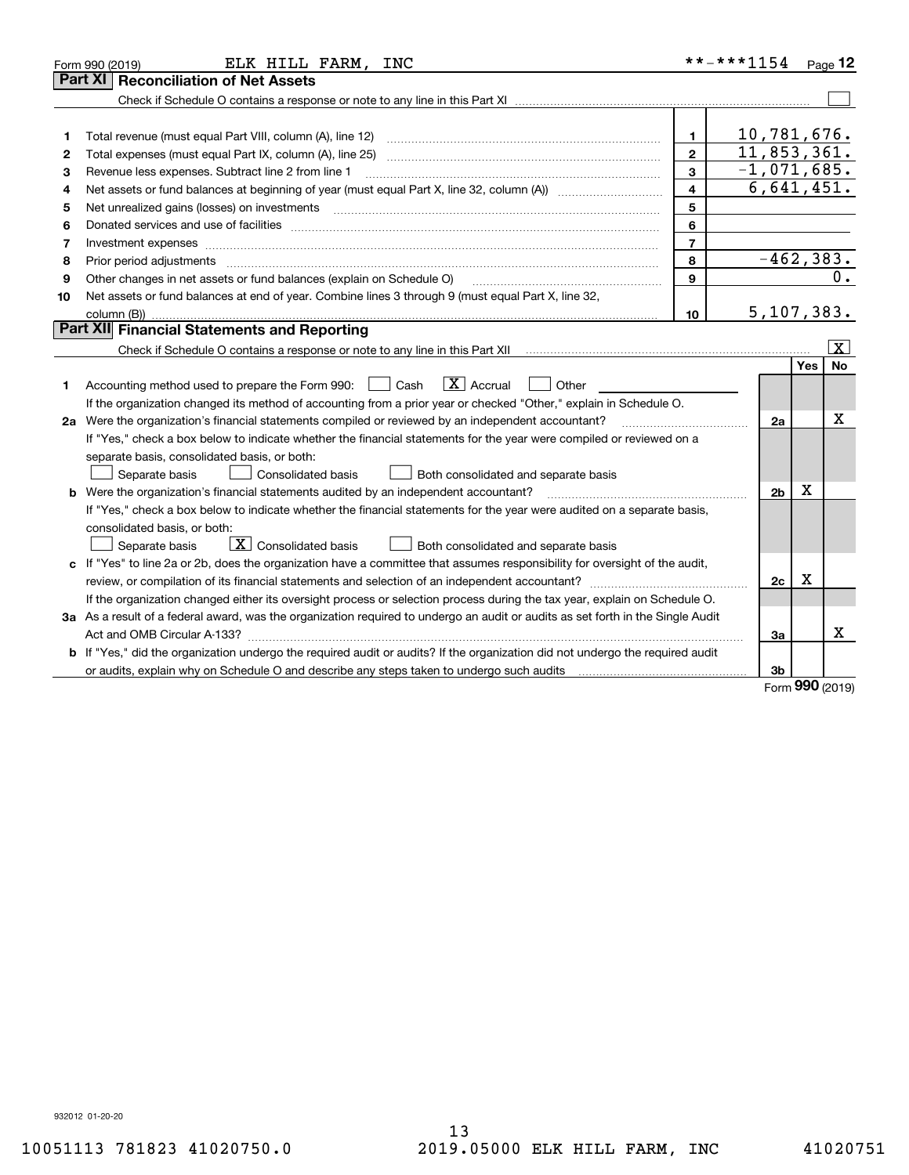|    | ELK HILL FARM, INC<br>Form 990 (2019)                                                                                                                                                                                          |                | **-***1154     |            | $P$ age 12              |
|----|--------------------------------------------------------------------------------------------------------------------------------------------------------------------------------------------------------------------------------|----------------|----------------|------------|-------------------------|
|    | <b>Reconciliation of Net Assets</b><br>Part XI                                                                                                                                                                                 |                |                |            |                         |
|    |                                                                                                                                                                                                                                |                |                |            |                         |
|    |                                                                                                                                                                                                                                |                |                |            |                         |
| 1  | Total revenue (must equal Part VIII, column (A), line 12)                                                                                                                                                                      | $\mathbf{1}$   | 10,781,676.    |            |                         |
| 2  | Total expenses (must equal Part IX, column (A), line 25)                                                                                                                                                                       | $\mathbf{2}$   | 11,853,361.    |            |                         |
| 3  | Revenue less expenses. Subtract line 2 from line 1                                                                                                                                                                             | 3              | $-1,071,685.$  |            |                         |
| 4  |                                                                                                                                                                                                                                | 4              | 6,641,451.     |            |                         |
| 5  |                                                                                                                                                                                                                                | 5              |                |            |                         |
| 6  | Donated services and use of facilities [111] matter contracts and the service of facilities [11] matter contracts and use of facilities [11] matter contracts and the service of facilities [11] matter contracts and the serv | 6              |                |            |                         |
| 7  | Investment expenses www.communication.communication.com/www.communication.com/www.communication.com                                                                                                                            | $\overline{7}$ |                |            |                         |
| 8  | Prior period adjustments                                                                                                                                                                                                       | 8              | $-462, 383.$   |            |                         |
| 9  | Other changes in net assets or fund balances (explain on Schedule O)                                                                                                                                                           | 9              |                |            | 0.                      |
| 10 | Net assets or fund balances at end of year. Combine lines 3 through 9 (must equal Part X, line 32,                                                                                                                             |                |                |            |                         |
|    | column (B))                                                                                                                                                                                                                    | 10             | 5, 107, 383.   |            |                         |
|    | Part XII Financial Statements and Reporting                                                                                                                                                                                    |                |                |            |                         |
|    |                                                                                                                                                                                                                                |                |                |            | $\overline{\mathbf{X}}$ |
|    |                                                                                                                                                                                                                                |                |                | Yes        | No                      |
| 1  | $\boxed{\mathbf{X}}$ Accrual<br>Accounting method used to prepare the Form 990: <u>I</u> Cash<br>Other                                                                                                                         |                |                |            |                         |
|    | If the organization changed its method of accounting from a prior year or checked "Other," explain in Schedule O.                                                                                                              |                |                |            |                         |
|    | 2a Were the organization's financial statements compiled or reviewed by an independent accountant?                                                                                                                             |                | 2a             |            | x                       |
|    | If "Yes," check a box below to indicate whether the financial statements for the year were compiled or reviewed on a                                                                                                           |                |                |            |                         |
|    | separate basis, consolidated basis, or both:                                                                                                                                                                                   |                |                |            |                         |
|    | Separate basis<br><b>Consolidated basis</b><br>Both consolidated and separate basis                                                                                                                                            |                |                |            |                         |
|    | <b>b</b> Were the organization's financial statements audited by an independent accountant?                                                                                                                                    |                | 2 <sub>b</sub> | Х          |                         |
|    | If "Yes," check a box below to indicate whether the financial statements for the year were audited on a separate basis,                                                                                                        |                |                |            |                         |
|    | consolidated basis, or both:                                                                                                                                                                                                   |                |                |            |                         |
|    | $\overline{X}$ Consolidated basis<br>Both consolidated and separate basis<br>Separate basis                                                                                                                                    |                |                |            |                         |
|    | c If "Yes" to line 2a or 2b, does the organization have a committee that assumes responsibility for oversight of the audit,                                                                                                    |                |                |            |                         |
|    | review, or compilation of its financial statements and selection of an independent accountant?                                                                                                                                 |                | 2c             | x          |                         |
|    | If the organization changed either its oversight process or selection process during the tax year, explain on Schedule O.                                                                                                      |                |                |            |                         |
|    | 3a As a result of a federal award, was the organization required to undergo an audit or audits as set forth in the Single Audit                                                                                                |                |                |            |                         |
|    |                                                                                                                                                                                                                                |                | Зa             |            | х                       |
|    | b If "Yes," did the organization undergo the required audit or audits? If the organization did not undergo the required audit                                                                                                  |                |                |            |                         |
|    |                                                                                                                                                                                                                                |                | 3b             | <u>nnn</u> |                         |

Form (2019) **990**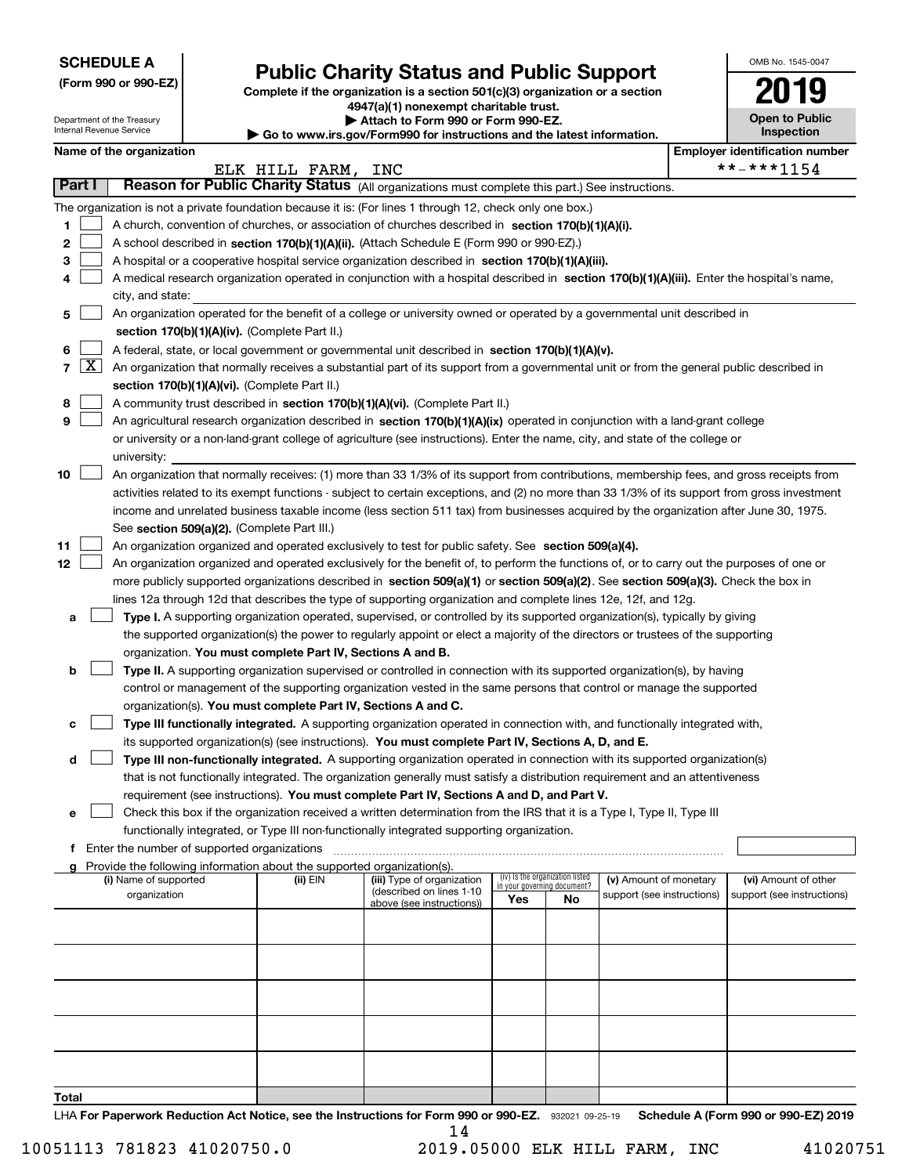| <b>SCHEDULE A</b> |
|-------------------|
|-------------------|

Department of the Treasury Internal Revenue Service

**(Form 990 or 990-EZ)**

# **Public Charity Status and Public Support**

**Complete if the organization is a section 501(c)(3) organization or a section 4947(a)(1) nonexempt charitable trust. | Attach to Form 990 or Form 990-EZ.** 

| Go to www.irs.gov/Form990 for instructions and the latest information |  |
|-----------------------------------------------------------------------|--|

| OMB No. 1545-0047                   |
|-------------------------------------|
|                                     |
| <b>Open to Public</b><br>Inspection |

|  | Name of the organization |
|--|--------------------------|
|--|--------------------------|

|                | Name of the organization |                                                                                                                                                     |                    |                                                        |                             |                                 |                            | <b>Employer identification number</b> |                            |
|----------------|--------------------------|-----------------------------------------------------------------------------------------------------------------------------------------------------|--------------------|--------------------------------------------------------|-----------------------------|---------------------------------|----------------------------|---------------------------------------|----------------------------|
|                |                          |                                                                                                                                                     | ELK HILL FARM, INC |                                                        |                             |                                 |                            |                                       | **-***1154                 |
|                | Part I                   | Reason for Public Charity Status (All organizations must complete this part.) See instructions.                                                     |                    |                                                        |                             |                                 |                            |                                       |                            |
|                |                          | The organization is not a private foundation because it is: (For lines 1 through 12, check only one box.)                                           |                    |                                                        |                             |                                 |                            |                                       |                            |
| 1              |                          | A church, convention of churches, or association of churches described in section 170(b)(1)(A)(i).                                                  |                    |                                                        |                             |                                 |                            |                                       |                            |
| 2              |                          | A school described in section 170(b)(1)(A)(ii). (Attach Schedule E (Form 990 or 990-EZ).)                                                           |                    |                                                        |                             |                                 |                            |                                       |                            |
| з              |                          | A hospital or a cooperative hospital service organization described in section 170(b)(1)(A)(iii).                                                   |                    |                                                        |                             |                                 |                            |                                       |                            |
|                |                          | A medical research organization operated in conjunction with a hospital described in section 170(b)(1)(A)(iii). Enter the hospital's name,          |                    |                                                        |                             |                                 |                            |                                       |                            |
|                |                          | city, and state:                                                                                                                                    |                    |                                                        |                             |                                 |                            |                                       |                            |
| 5              |                          | An organization operated for the benefit of a college or university owned or operated by a governmental unit described in                           |                    |                                                        |                             |                                 |                            |                                       |                            |
|                |                          | section 170(b)(1)(A)(iv). (Complete Part II.)                                                                                                       |                    |                                                        |                             |                                 |                            |                                       |                            |
| 6              |                          | A federal, state, or local government or governmental unit described in section 170(b)(1)(A)(v).                                                    |                    |                                                        |                             |                                 |                            |                                       |                            |
| $\overline{7}$ | $\lfloor x \rfloor$      | An organization that normally receives a substantial part of its support from a governmental unit or from the general public described in           |                    |                                                        |                             |                                 |                            |                                       |                            |
|                |                          | section 170(b)(1)(A)(vi). (Complete Part II.)                                                                                                       |                    |                                                        |                             |                                 |                            |                                       |                            |
| 8              |                          | A community trust described in section 170(b)(1)(A)(vi). (Complete Part II.)                                                                        |                    |                                                        |                             |                                 |                            |                                       |                            |
| 9              |                          | An agricultural research organization described in section 170(b)(1)(A)(ix) operated in conjunction with a land-grant college                       |                    |                                                        |                             |                                 |                            |                                       |                            |
|                |                          | or university or a non-land-grant college of agriculture (see instructions). Enter the name, city, and state of the college or                      |                    |                                                        |                             |                                 |                            |                                       |                            |
|                |                          | university:                                                                                                                                         |                    |                                                        |                             |                                 |                            |                                       |                            |
| 10             |                          | An organization that normally receives: (1) more than 33 1/3% of its support from contributions, membership fees, and gross receipts from           |                    |                                                        |                             |                                 |                            |                                       |                            |
|                |                          | activities related to its exempt functions - subject to certain exceptions, and (2) no more than 33 1/3% of its support from gross investment       |                    |                                                        |                             |                                 |                            |                                       |                            |
|                |                          | income and unrelated business taxable income (less section 511 tax) from businesses acquired by the organization after June 30, 1975.               |                    |                                                        |                             |                                 |                            |                                       |                            |
| 11             |                          | See section 509(a)(2). (Complete Part III.)<br>An organization organized and operated exclusively to test for public safety. See section 509(a)(4). |                    |                                                        |                             |                                 |                            |                                       |                            |
| 12             |                          | An organization organized and operated exclusively for the benefit of, to perform the functions of, or to carry out the purposes of one or          |                    |                                                        |                             |                                 |                            |                                       |                            |
|                |                          | more publicly supported organizations described in section 509(a)(1) or section 509(a)(2). See section 509(a)(3). Check the box in                  |                    |                                                        |                             |                                 |                            |                                       |                            |
|                |                          | lines 12a through 12d that describes the type of supporting organization and complete lines 12e, 12f, and 12g.                                      |                    |                                                        |                             |                                 |                            |                                       |                            |
| a              |                          | Type I. A supporting organization operated, supervised, or controlled by its supported organization(s), typically by giving                         |                    |                                                        |                             |                                 |                            |                                       |                            |
|                |                          | the supported organization(s) the power to regularly appoint or elect a majority of the directors or trustees of the supporting                     |                    |                                                        |                             |                                 |                            |                                       |                            |
|                |                          | organization. You must complete Part IV, Sections A and B.                                                                                          |                    |                                                        |                             |                                 |                            |                                       |                            |
| b              |                          | Type II. A supporting organization supervised or controlled in connection with its supported organization(s), by having                             |                    |                                                        |                             |                                 |                            |                                       |                            |
|                |                          | control or management of the supporting organization vested in the same persons that control or manage the supported                                |                    |                                                        |                             |                                 |                            |                                       |                            |
|                |                          | organization(s). You must complete Part IV, Sections A and C.                                                                                       |                    |                                                        |                             |                                 |                            |                                       |                            |
| c              |                          | Type III functionally integrated. A supporting organization operated in connection with, and functionally integrated with,                          |                    |                                                        |                             |                                 |                            |                                       |                            |
|                |                          | its supported organization(s) (see instructions). You must complete Part IV, Sections A, D, and E.                                                  |                    |                                                        |                             |                                 |                            |                                       |                            |
| d              |                          | Type III non-functionally integrated. A supporting organization operated in connection with its supported organization(s)                           |                    |                                                        |                             |                                 |                            |                                       |                            |
|                |                          | that is not functionally integrated. The organization generally must satisfy a distribution requirement and an attentiveness                        |                    |                                                        |                             |                                 |                            |                                       |                            |
|                |                          | requirement (see instructions). You must complete Part IV, Sections A and D, and Part V.                                                            |                    |                                                        |                             |                                 |                            |                                       |                            |
|                |                          | Check this box if the organization received a written determination from the IRS that it is a Type I, Type II, Type III                             |                    |                                                        |                             |                                 |                            |                                       |                            |
|                |                          | functionally integrated, or Type III non-functionally integrated supporting organization.                                                           |                    |                                                        |                             |                                 |                            |                                       |                            |
|                |                          | f Enter the number of supported organizations                                                                                                       |                    |                                                        |                             |                                 |                            |                                       |                            |
|                |                          | Provide the following information about the supported organization(s).                                                                              |                    |                                                        |                             |                                 |                            |                                       |                            |
|                |                          | (i) Name of supported                                                                                                                               | (ii) EIN           | (iii) Type of organization<br>(described on lines 1-10 | in your governing document? | (iv) Is the organization listed | (v) Amount of monetary     |                                       | (vi) Amount of other       |
|                |                          | organization                                                                                                                                        |                    | above (see instructions))                              | Yes                         | No                              | support (see instructions) |                                       | support (see instructions) |
|                |                          |                                                                                                                                                     |                    |                                                        |                             |                                 |                            |                                       |                            |
|                |                          |                                                                                                                                                     |                    |                                                        |                             |                                 |                            |                                       |                            |
|                |                          |                                                                                                                                                     |                    |                                                        |                             |                                 |                            |                                       |                            |
|                |                          |                                                                                                                                                     |                    |                                                        |                             |                                 |                            |                                       |                            |
|                |                          |                                                                                                                                                     |                    |                                                        |                             |                                 |                            |                                       |                            |
|                |                          |                                                                                                                                                     |                    |                                                        |                             |                                 |                            |                                       |                            |
|                |                          |                                                                                                                                                     |                    |                                                        |                             |                                 |                            |                                       |                            |
|                |                          |                                                                                                                                                     |                    |                                                        |                             |                                 |                            |                                       |                            |
|                |                          |                                                                                                                                                     |                    |                                                        |                             |                                 |                            |                                       |                            |
|                |                          |                                                                                                                                                     |                    |                                                        |                             |                                 |                            |                                       |                            |
| Total          |                          |                                                                                                                                                     |                    |                                                        |                             |                                 |                            |                                       |                            |

LHA For Paperwork Reduction Act Notice, see the Instructions for Form 990 or 990-EZ. 932021 09-25-19 Schedule A (Form 990 or 990-EZ) 2019 14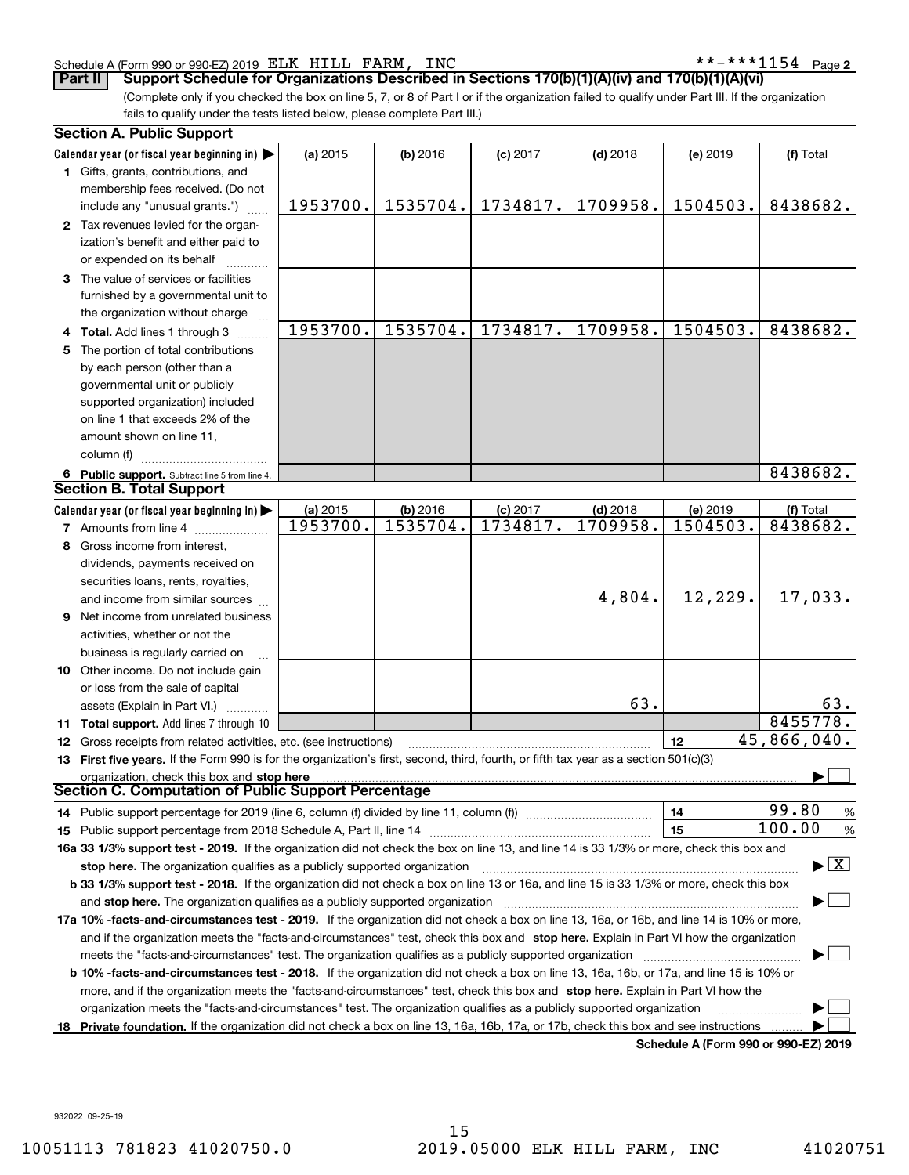### Schedule A (Form 990 or 990-EZ) 2019 Page ELK HILL FARM, INC \*\*-\*\*\*1154

**2**

(Complete only if you checked the box on line 5, 7, or 8 of Part I or if the organization failed to qualify under Part III. If the organization **Part II Support Schedule for Organizations Described in Sections 170(b)(1)(A)(iv) and 170(b)(1)(A)(vi)**

fails to qualify under the tests listed below, please complete Part III.)

|    | <b>Section A. Public Support</b>                                                                                                               |                      |                        |            |                        |                                      |                                         |
|----|------------------------------------------------------------------------------------------------------------------------------------------------|----------------------|------------------------|------------|------------------------|--------------------------------------|-----------------------------------------|
|    | Calendar year (or fiscal year beginning in) $\blacktriangleright$                                                                              | (a) 2015             | $(b)$ 2016             | $(c)$ 2017 | $(d)$ 2018             | (e) 2019                             | (f) Total                               |
|    | 1 Gifts, grants, contributions, and                                                                                                            |                      |                        |            |                        |                                      |                                         |
|    | membership fees received. (Do not                                                                                                              |                      |                        |            |                        |                                      |                                         |
|    | include any "unusual grants.")                                                                                                                 | 1953700.             | 1535704.               | 1734817.   | 1709958.               | 1504503.                             | 8438682.                                |
|    | 2 Tax revenues levied for the organ-                                                                                                           |                      |                        |            |                        |                                      |                                         |
|    | ization's benefit and either paid to                                                                                                           |                      |                        |            |                        |                                      |                                         |
|    | or expended on its behalf                                                                                                                      |                      |                        |            |                        |                                      |                                         |
|    | 3 The value of services or facilities                                                                                                          |                      |                        |            |                        |                                      |                                         |
|    | furnished by a governmental unit to                                                                                                            |                      |                        |            |                        |                                      |                                         |
|    | the organization without charge                                                                                                                |                      |                        |            |                        |                                      |                                         |
|    | 4 Total. Add lines 1 through 3                                                                                                                 | 1953700.             | 1535704.               | 1734817.   | 1709958.               | 1504503.                             | 8438682.                                |
| 5  | The portion of total contributions                                                                                                             |                      |                        |            |                        |                                      |                                         |
|    | by each person (other than a                                                                                                                   |                      |                        |            |                        |                                      |                                         |
|    | governmental unit or publicly                                                                                                                  |                      |                        |            |                        |                                      |                                         |
|    | supported organization) included                                                                                                               |                      |                        |            |                        |                                      |                                         |
|    | on line 1 that exceeds 2% of the                                                                                                               |                      |                        |            |                        |                                      |                                         |
|    | amount shown on line 11,                                                                                                                       |                      |                        |            |                        |                                      |                                         |
|    | column (f)                                                                                                                                     |                      |                        |            |                        |                                      |                                         |
|    | 6 Public support. Subtract line 5 from line 4.                                                                                                 |                      |                        |            |                        |                                      | 8438682.                                |
|    | <b>Section B. Total Support</b>                                                                                                                |                      |                        |            |                        |                                      |                                         |
|    | Calendar year (or fiscal year beginning in) $\blacktriangleright$                                                                              |                      |                        | $(c)$ 2017 |                        |                                      |                                         |
|    | <b>7</b> Amounts from line 4                                                                                                                   | (a) 2015<br>1953700. | $(b)$ 2016<br>1535704. | 1734817.   | $(d)$ 2018<br>1709958. | (e) 2019<br>1504503.                 | (f) Total<br>8438682.                   |
|    |                                                                                                                                                |                      |                        |            |                        |                                      |                                         |
|    | Gross income from interest,                                                                                                                    |                      |                        |            |                        |                                      |                                         |
|    | dividends, payments received on                                                                                                                |                      |                        |            |                        |                                      |                                         |
|    | securities loans, rents, royalties,                                                                                                            |                      |                        |            |                        | 12,229.                              |                                         |
|    | and income from similar sources                                                                                                                |                      |                        |            | 4,804.                 |                                      | 17,033.                                 |
| 9  | Net income from unrelated business                                                                                                             |                      |                        |            |                        |                                      |                                         |
|    | activities, whether or not the                                                                                                                 |                      |                        |            |                        |                                      |                                         |
|    | business is regularly carried on                                                                                                               |                      |                        |            |                        |                                      |                                         |
|    | 10 Other income. Do not include gain                                                                                                           |                      |                        |            |                        |                                      |                                         |
|    | or loss from the sale of capital                                                                                                               |                      |                        |            |                        |                                      |                                         |
|    | assets (Explain in Part VI.)                                                                                                                   |                      |                        |            | 63.                    |                                      | 63.                                     |
|    | 11 Total support. Add lines 7 through 10                                                                                                       |                      |                        |            |                        |                                      | 8455778.                                |
|    | 12 Gross receipts from related activities, etc. (see instructions)                                                                             |                      |                        |            |                        | 12                                   | 45,866,040.                             |
|    | 13 First five years. If the Form 990 is for the organization's first, second, third, fourth, or fifth tax year as a section 501(c)(3)          |                      |                        |            |                        |                                      |                                         |
|    | organization, check this box and stop here                                                                                                     |                      |                        |            |                        |                                      |                                         |
|    | Section C. Computation of Public Support Percentage                                                                                            |                      |                        |            |                        |                                      |                                         |
|    | 14 Public support percentage for 2019 (line 6, column (f) divided by line 11, column (f) <i></i>                                               |                      |                        |            |                        | 14                                   | 99.80<br>$\frac{9}{6}$                  |
|    |                                                                                                                                                |                      |                        |            |                        | 15                                   | 100.00<br>$\frac{9}{6}$                 |
|    | 16a 33 1/3% support test - 2019. If the organization did not check the box on line 13, and line 14 is 33 1/3% or more, check this box and      |                      |                        |            |                        |                                      |                                         |
|    | stop here. The organization qualifies as a publicly supported organization                                                                     |                      |                        |            |                        |                                      | $\blacktriangleright$ $\vert$ X $\vert$ |
|    | b 33 1/3% support test - 2018. If the organization did not check a box on line 13 or 16a, and line 15 is 33 1/3% or more, check this box       |                      |                        |            |                        |                                      |                                         |
|    | and stop here. The organization qualifies as a publicly supported organization                                                                 |                      |                        |            |                        |                                      |                                         |
|    | 17a 10% -facts-and-circumstances test - 2019. If the organization did not check a box on line 13, 16a, or 16b, and line 14 is 10% or more,     |                      |                        |            |                        |                                      |                                         |
|    | and if the organization meets the "facts-and-circumstances" test, check this box and stop here. Explain in Part VI how the organization        |                      |                        |            |                        |                                      |                                         |
|    | meets the "facts-and-circumstances" test. The organization qualifies as a publicly supported organization                                      |                      |                        |            |                        |                                      |                                         |
|    | <b>b 10% -facts-and-circumstances test - 2018.</b> If the organization did not check a box on line 13, 16a, 16b, or 17a, and line 15 is 10% or |                      |                        |            |                        |                                      |                                         |
|    | more, and if the organization meets the "facts-and-circumstances" test, check this box and stop here. Explain in Part VI how the               |                      |                        |            |                        |                                      |                                         |
|    | organization meets the "facts-and-circumstances" test. The organization qualifies as a publicly supported organization                         |                      |                        |            |                        |                                      |                                         |
| 18 | Private foundation. If the organization did not check a box on line 13, 16a, 16b, 17a, or 17b, check this box and see instructions             |                      |                        |            |                        |                                      |                                         |
|    |                                                                                                                                                |                      |                        |            |                        | Schodule A (Form 000 or 000 F7) 2010 |                                         |

**Schedule A (Form 990 or 990-EZ) 2019**

932022 09-25-19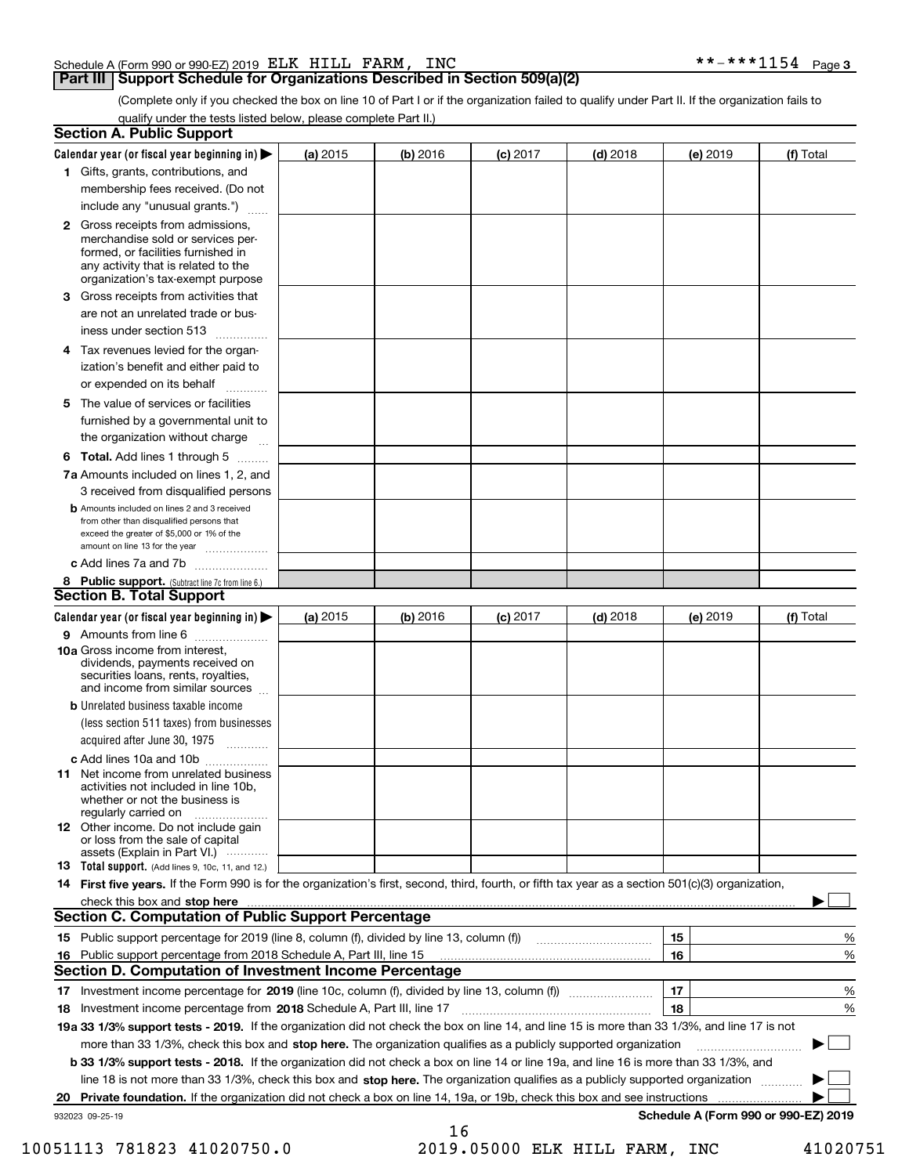## Schedule A (Form 990 or 990-EZ) 2019 Page ELK HILL FARM, INC \*\*-\*\*\*1154

# **Part III | Support Schedule for Organizations Described in Section 509(a)(2)**

(Complete only if you checked the box on line 10 of Part I or if the organization failed to qualify under Part II. If the organization fails to qualify under the tests listed below, please complete Part II.)

| <b>Section A. Public Support</b>                                                                                                                                                                                                                             |          |          |            |            |          |                                      |
|--------------------------------------------------------------------------------------------------------------------------------------------------------------------------------------------------------------------------------------------------------------|----------|----------|------------|------------|----------|--------------------------------------|
| Calendar year (or fiscal year beginning in)                                                                                                                                                                                                                  | (a) 2015 | (b) 2016 | $(c)$ 2017 | $(d)$ 2018 | (e) 2019 | (f) Total                            |
| 1 Gifts, grants, contributions, and                                                                                                                                                                                                                          |          |          |            |            |          |                                      |
| membership fees received. (Do not                                                                                                                                                                                                                            |          |          |            |            |          |                                      |
| include any "unusual grants.")                                                                                                                                                                                                                               |          |          |            |            |          |                                      |
| <b>2</b> Gross receipts from admissions,<br>merchandise sold or services per-<br>formed, or facilities furnished in<br>any activity that is related to the<br>organization's tax-exempt purpose                                                              |          |          |            |            |          |                                      |
| 3 Gross receipts from activities that<br>are not an unrelated trade or bus-                                                                                                                                                                                  |          |          |            |            |          |                                      |
| iness under section 513                                                                                                                                                                                                                                      |          |          |            |            |          |                                      |
| 4 Tax revenues levied for the organ-<br>ization's benefit and either paid to<br>or expended on its behalf                                                                                                                                                    |          |          |            |            |          |                                      |
| 5 The value of services or facilities<br>furnished by a governmental unit to                                                                                                                                                                                 |          |          |            |            |          |                                      |
| the organization without charge                                                                                                                                                                                                                              |          |          |            |            |          |                                      |
| <b>6 Total.</b> Add lines 1 through 5                                                                                                                                                                                                                        |          |          |            |            |          |                                      |
| 7a Amounts included on lines 1, 2, and<br>3 received from disqualified persons                                                                                                                                                                               |          |          |            |            |          |                                      |
| <b>b</b> Amounts included on lines 2 and 3 received<br>from other than disqualified persons that<br>exceed the greater of \$5,000 or 1% of the<br>amount on line 13 for the year                                                                             |          |          |            |            |          |                                      |
| c Add lines 7a and 7b                                                                                                                                                                                                                                        |          |          |            |            |          |                                      |
| 8 Public support. (Subtract line 7c from line 6.)                                                                                                                                                                                                            |          |          |            |            |          |                                      |
| <b>Section B. Total Support</b>                                                                                                                                                                                                                              |          |          |            |            |          |                                      |
| Calendar year (or fiscal year beginning in)                                                                                                                                                                                                                  | (a) 2015 | (b) 2016 | $(c)$ 2017 | $(d)$ 2018 | (e) 2019 | (f) Total                            |
| 9 Amounts from line 6                                                                                                                                                                                                                                        |          |          |            |            |          |                                      |
| 10a Gross income from interest,<br>dividends, payments received on<br>securities loans, rents, royalties,<br>and income from similar sources                                                                                                                 |          |          |            |            |          |                                      |
| <b>b</b> Unrelated business taxable income<br>(less section 511 taxes) from businesses                                                                                                                                                                       |          |          |            |            |          |                                      |
| acquired after June 30, 1975                                                                                                                                                                                                                                 |          |          |            |            |          |                                      |
| c Add lines 10a and 10b                                                                                                                                                                                                                                      |          |          |            |            |          |                                      |
| 11 Net income from unrelated business<br>activities not included in line 10b,<br>whether or not the business is<br>regularly carried on                                                                                                                      |          |          |            |            |          |                                      |
| <b>12</b> Other income. Do not include gain<br>or loss from the sale of capital<br>assets (Explain in Part VI.)                                                                                                                                              |          |          |            |            |          |                                      |
| <b>13</b> Total support. (Add lines 9, 10c, 11, and 12.)                                                                                                                                                                                                     |          |          |            |            |          |                                      |
| 14 First five years. If the Form 990 is for the organization's first, second, third, fourth, or fifth tax year as a section 501(c)(3) organization,                                                                                                          |          |          |            |            |          |                                      |
| check this box and stop here <i>machine and content and stop</i> here <i>manufacture and stop</i> here <i>manufacture</i> and <b>stop here</b> <i>manufacture and stop</i> here <i>manufacture and stop</i> here <i>manufacture manufacture manufacture </i> |          |          |            |            |          |                                      |
| Section C. Computation of Public Support Percentage                                                                                                                                                                                                          |          |          |            |            |          |                                      |
| 15 Public support percentage for 2019 (line 8, column (f), divided by line 13, column (f))                                                                                                                                                                   |          |          |            |            | 15       | %                                    |
| 16 Public support percentage from 2018 Schedule A, Part III, line 15                                                                                                                                                                                         |          |          |            |            | 16       | %                                    |
| <b>Section D. Computation of Investment Income Percentage</b>                                                                                                                                                                                                |          |          |            |            |          |                                      |
| 17 Investment income percentage for 2019 (line 10c, column (f), divided by line 13, column (f))                                                                                                                                                              |          |          |            |            | 17       | %                                    |
| 18 Investment income percentage from 2018 Schedule A, Part III, line 17                                                                                                                                                                                      |          |          |            |            | 18       | %                                    |
| 19a 33 1/3% support tests - 2019. If the organization did not check the box on line 14, and line 15 is more than 33 1/3%, and line 17 is not                                                                                                                 |          |          |            |            |          |                                      |
| more than 33 1/3%, check this box and stop here. The organization qualifies as a publicly supported organization                                                                                                                                             |          |          |            |            |          |                                      |
| <b>b 33 1/3% support tests - 2018.</b> If the organization did not check a box on line 14 or line 19a, and line 16 is more than 33 1/3%, and                                                                                                                 |          |          |            |            |          |                                      |
| line 18 is not more than 33 1/3%, check this box and stop here. The organization qualifies as a publicly supported organization                                                                                                                              |          |          |            |            |          |                                      |
| 20 Private foundation. If the organization did not check a box on line 14, 19a, or 19b, check this box and see instructions                                                                                                                                  |          |          |            |            |          | Schedule A (Form 990 or 990-EZ) 2019 |
| 932023 09-25-19                                                                                                                                                                                                                                              |          | 16       |            |            |          |                                      |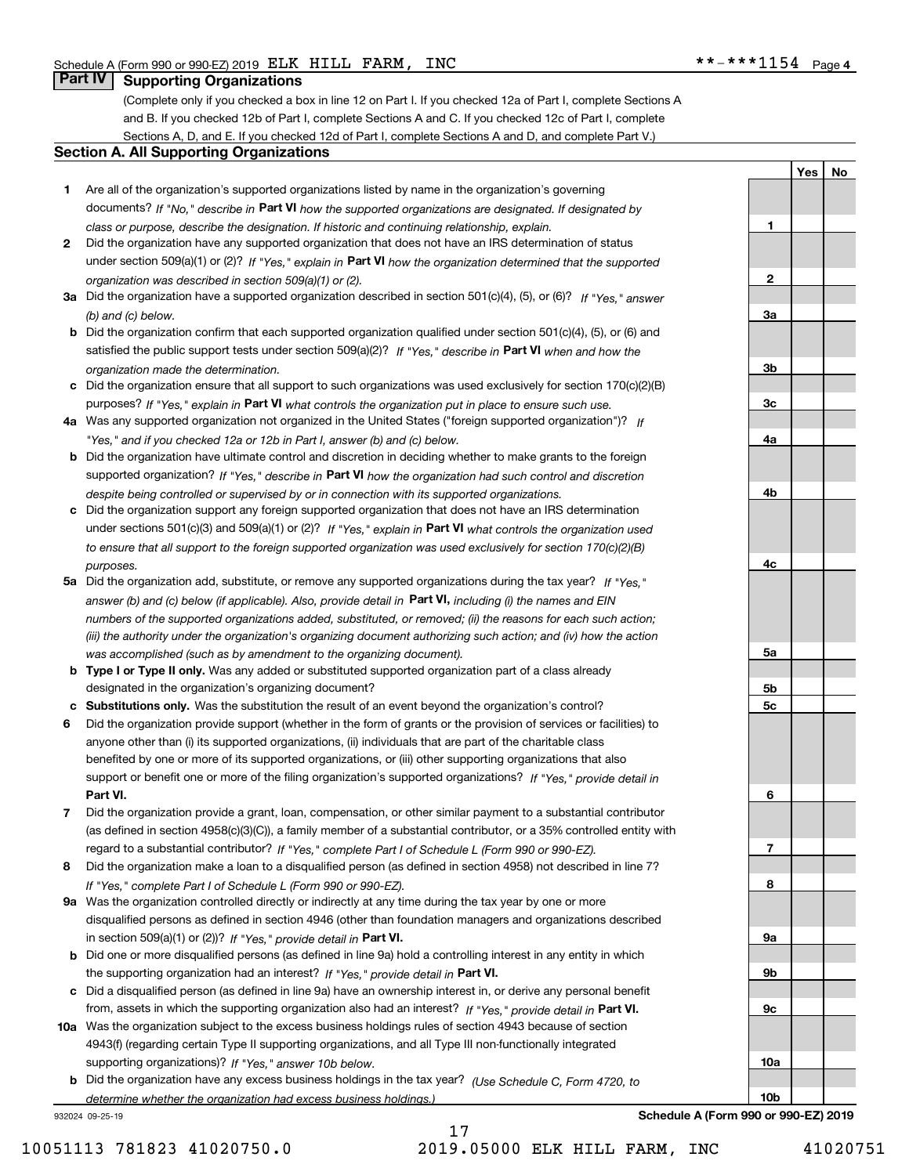**1**

**2**

**3a**

**3b**

**3c**

**4a**

**4b**

**4c**

**5a**

**5b5c**

**6**

**7**

**8**

**9a**

**9b**

**9c**

**10a**

**YesNo**

# **Part IV Supporting Organizations**

(Complete only if you checked a box in line 12 on Part I. If you checked 12a of Part I, complete Sections A and B. If you checked 12b of Part I, complete Sections A and C. If you checked 12c of Part I, complete Sections A, D, and E. If you checked 12d of Part I, complete Sections A and D, and complete Part V.)

## **Section A. All Supporting Organizations**

- **1** Are all of the organization's supported organizations listed by name in the organization's governing documents? If "No," describe in **Part VI** how the supported organizations are designated. If designated by *class or purpose, describe the designation. If historic and continuing relationship, explain.*
- **2** Did the organization have any supported organization that does not have an IRS determination of status under section 509(a)(1) or (2)? If "Yes," explain in Part VI how the organization determined that the supported *organization was described in section 509(a)(1) or (2).*
- **3a** Did the organization have a supported organization described in section 501(c)(4), (5), or (6)? If "Yes," answer *(b) and (c) below.*
- **b** Did the organization confirm that each supported organization qualified under section 501(c)(4), (5), or (6) and satisfied the public support tests under section 509(a)(2)? If "Yes," describe in **Part VI** when and how the *organization made the determination.*
- **c**Did the organization ensure that all support to such organizations was used exclusively for section 170(c)(2)(B) purposes? If "Yes," explain in **Part VI** what controls the organization put in place to ensure such use.
- **4a***If* Was any supported organization not organized in the United States ("foreign supported organization")? *"Yes," and if you checked 12a or 12b in Part I, answer (b) and (c) below.*
- **b** Did the organization have ultimate control and discretion in deciding whether to make grants to the foreign supported organization? If "Yes," describe in **Part VI** how the organization had such control and discretion *despite being controlled or supervised by or in connection with its supported organizations.*
- **c** Did the organization support any foreign supported organization that does not have an IRS determination under sections 501(c)(3) and 509(a)(1) or (2)? If "Yes," explain in **Part VI** what controls the organization used *to ensure that all support to the foreign supported organization was used exclusively for section 170(c)(2)(B) purposes.*
- **5a** Did the organization add, substitute, or remove any supported organizations during the tax year? If "Yes," answer (b) and (c) below (if applicable). Also, provide detail in **Part VI,** including (i) the names and EIN *numbers of the supported organizations added, substituted, or removed; (ii) the reasons for each such action; (iii) the authority under the organization's organizing document authorizing such action; and (iv) how the action was accomplished (such as by amendment to the organizing document).*
- **b** Type I or Type II only. Was any added or substituted supported organization part of a class already designated in the organization's organizing document?
- **cSubstitutions only.**  Was the substitution the result of an event beyond the organization's control?
- **6** Did the organization provide support (whether in the form of grants or the provision of services or facilities) to **Part VI.** *If "Yes," provide detail in* support or benefit one or more of the filing organization's supported organizations? anyone other than (i) its supported organizations, (ii) individuals that are part of the charitable class benefited by one or more of its supported organizations, or (iii) other supporting organizations that also
- **7**Did the organization provide a grant, loan, compensation, or other similar payment to a substantial contributor *If "Yes," complete Part I of Schedule L (Form 990 or 990-EZ).* regard to a substantial contributor? (as defined in section 4958(c)(3)(C)), a family member of a substantial contributor, or a 35% controlled entity with
- **8** Did the organization make a loan to a disqualified person (as defined in section 4958) not described in line 7? *If "Yes," complete Part I of Schedule L (Form 990 or 990-EZ).*
- **9a** Was the organization controlled directly or indirectly at any time during the tax year by one or more in section 509(a)(1) or (2))? If "Yes," *provide detail in* <code>Part VI.</code> disqualified persons as defined in section 4946 (other than foundation managers and organizations described
- **b** Did one or more disqualified persons (as defined in line 9a) hold a controlling interest in any entity in which the supporting organization had an interest? If "Yes," provide detail in P**art VI**.
- **c**Did a disqualified person (as defined in line 9a) have an ownership interest in, or derive any personal benefit from, assets in which the supporting organization also had an interest? If "Yes," provide detail in P**art VI.**
- **10a** Was the organization subject to the excess business holdings rules of section 4943 because of section supporting organizations)? If "Yes," answer 10b below. 4943(f) (regarding certain Type II supporting organizations, and all Type III non-functionally integrated
- **b** Did the organization have any excess business holdings in the tax year? (Use Schedule C, Form 4720, to *determine whether the organization had excess business holdings.)*

932024 09-25-19

**10bSchedule A (Form 990 or 990-EZ) 2019**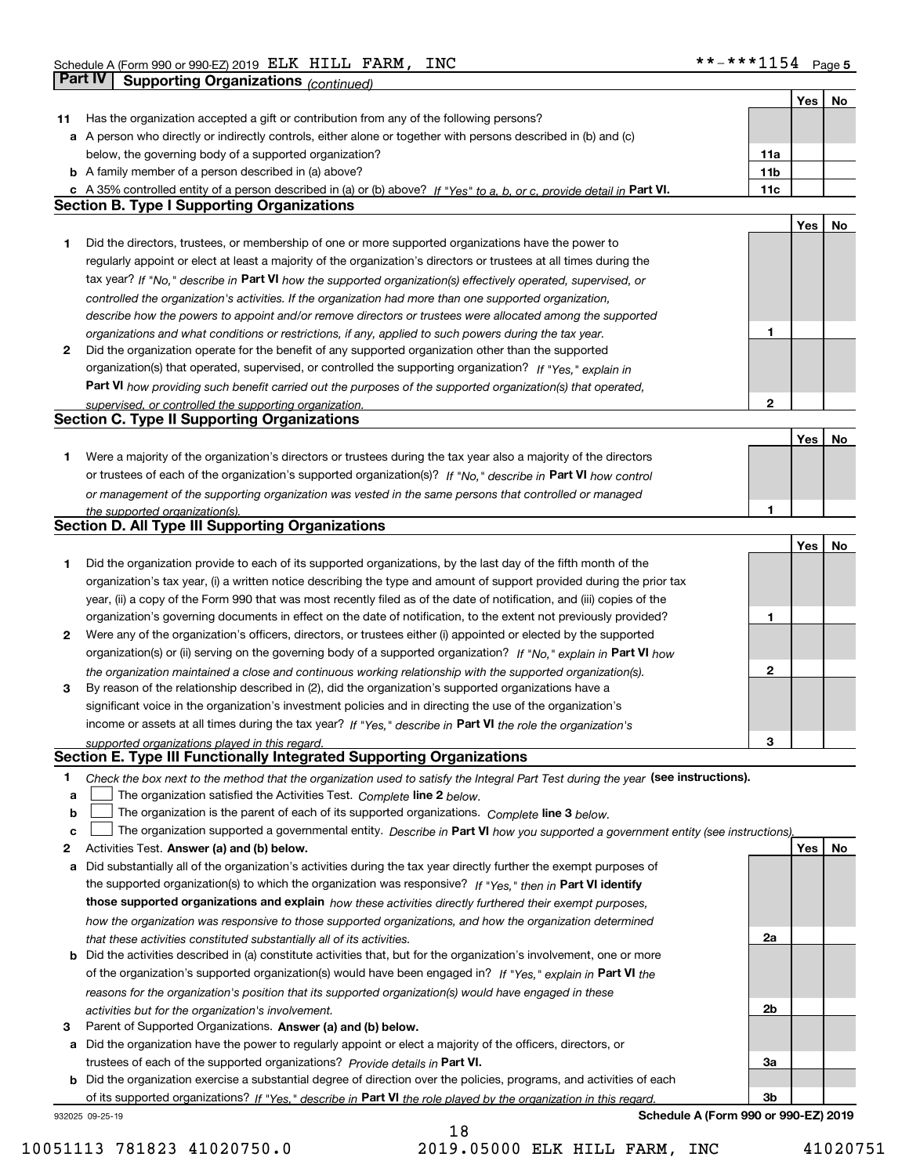|    |                                                                                                                                   |                 | Yes | No |
|----|-----------------------------------------------------------------------------------------------------------------------------------|-----------------|-----|----|
| 11 | Has the organization accepted a gift or contribution from any of the following persons?                                           |                 |     |    |
|    | a A person who directly or indirectly controls, either alone or together with persons described in (b) and (c)                    |                 |     |    |
|    | below, the governing body of a supported organization?                                                                            | 11a             |     |    |
|    | <b>b</b> A family member of a person described in (a) above?                                                                      | 11 <sub>b</sub> |     |    |
|    | c A 35% controlled entity of a person described in (a) or (b) above? If "Yes" to a, b, or c, provide detail in Part VI.           | 11c             |     |    |
|    | <b>Section B. Type I Supporting Organizations</b>                                                                                 |                 |     |    |
|    |                                                                                                                                   |                 | Yes | No |
| 1. | Did the directors, trustees, or membership of one or more supported organizations have the power to                               |                 |     |    |
|    | regularly appoint or elect at least a majority of the organization's directors or trustees at all times during the                |                 |     |    |
|    | tax year? If "No," describe in Part VI how the supported organization(s) effectively operated, supervised, or                     |                 |     |    |
|    | controlled the organization's activities. If the organization had more than one supported organization,                           |                 |     |    |
|    | describe how the powers to appoint and/or remove directors or trustees were allocated among the supported                         |                 |     |    |
|    | organizations and what conditions or restrictions, if any, applied to such powers during the tax year.                            | 1               |     |    |
| 2  | Did the organization operate for the benefit of any supported organization other than the supported                               |                 |     |    |
|    | organization(s) that operated, supervised, or controlled the supporting organization? If "Yes," explain in                        |                 |     |    |
|    | Part VI how providing such benefit carried out the purposes of the supported organization(s) that operated,                       |                 |     |    |
|    |                                                                                                                                   | $\mathbf{2}$    |     |    |
|    | supervised, or controlled the supporting organization.<br><b>Section C. Type II Supporting Organizations</b>                      |                 |     |    |
|    |                                                                                                                                   |                 | Yes | No |
|    | Were a majority of the organization's directors or trustees during the tax year also a majority of the directors                  |                 |     |    |
| 1. |                                                                                                                                   |                 |     |    |
|    | or trustees of each of the organization's supported organization(s)? If "No," describe in Part VI how control                     |                 |     |    |
|    | or management of the supporting organization was vested in the same persons that controlled or managed                            |                 |     |    |
|    | the supported organization(s).<br><b>Section D. All Type III Supporting Organizations</b>                                         | 1               |     |    |
|    |                                                                                                                                   |                 |     |    |
|    |                                                                                                                                   |                 | Yes | No |
| 1  | Did the organization provide to each of its supported organizations, by the last day of the fifth month of the                    |                 |     |    |
|    | organization's tax year, (i) a written notice describing the type and amount of support provided during the prior tax             |                 |     |    |
|    | year, (ii) a copy of the Form 990 that was most recently filed as of the date of notification, and (iii) copies of the            |                 |     |    |
|    | organization's governing documents in effect on the date of notification, to the extent not previously provided?                  | 1               |     |    |
| 2  | Were any of the organization's officers, directors, or trustees either (i) appointed or elected by the supported                  |                 |     |    |
|    | organization(s) or (ii) serving on the governing body of a supported organization? If "No," explain in Part VI how                |                 |     |    |
|    | the organization maintained a close and continuous working relationship with the supported organization(s).                       | $\mathbf{2}$    |     |    |
| 3  | By reason of the relationship described in (2), did the organization's supported organizations have a                             |                 |     |    |
|    | significant voice in the organization's investment policies and in directing the use of the organization's                        |                 |     |    |
|    | income or assets at all times during the tax year? If "Yes," describe in Part VI the role the organization's                      |                 |     |    |
|    | supported organizations played in this regard.                                                                                    | 3               |     |    |
|    | Section E. Type III Functionally Integrated Supporting Organizations                                                              |                 |     |    |
| 1. | Check the box next to the method that the organization used to satisfy the Integral Part Test during the year (see instructions). |                 |     |    |
| a  | The organization satisfied the Activities Test. Complete line 2 below.                                                            |                 |     |    |
| b  | The organization is the parent of each of its supported organizations. Complete line 3 below.                                     |                 |     |    |
| c  | The organization supported a governmental entity. Describe in Part VI how you supported a government entity (see instructions),   |                 |     |    |
| 2  | Activities Test. Answer (a) and (b) below.                                                                                        |                 | Yes | No |
| a  | Did substantially all of the organization's activities during the tax year directly further the exempt purposes of                |                 |     |    |
|    | the supported organization(s) to which the organization was responsive? If "Yes," then in Part VI identify                        |                 |     |    |
|    | those supported organizations and explain how these activities directly furthered their exempt purposes,                          |                 |     |    |
|    | how the organization was responsive to those supported organizations, and how the organization determined                         |                 |     |    |
|    | that these activities constituted substantially all of its activities.                                                            | 2a              |     |    |
|    | <b>b</b> Did the activities described in (a) constitute activities that, but for the organization's involvement, one or more      |                 |     |    |
|    | of the organization's supported organization(s) would have been engaged in? If "Yes," explain in Part VI the                      |                 |     |    |
|    | reasons for the organization's position that its supported organization(s) would have engaged in these                            |                 |     |    |
|    |                                                                                                                                   | 2 <sub>b</sub>  |     |    |
| з  | activities but for the organization's involvement.<br>Parent of Supported Organizations. Answer (a) and (b) below.                |                 |     |    |
|    | a Did the organization have the power to regularly appoint or elect a majority of the officers, directors, or                     |                 |     |    |
|    |                                                                                                                                   |                 |     |    |
|    | trustees of each of the supported organizations? Provide details in Part VI.                                                      | За              |     |    |
|    | <b>b</b> Did the organization exercise a substantial degree of direction over the policies, programs, and activities of each      |                 |     |    |
|    | of its supported organizations? If "Yes," describe in Part VI the role played by the organization in this regard.                 | 3 <sub>b</sub>  |     |    |
|    | Schedule A (Form 990 or 990-EZ) 2019<br>932025 09-25-19                                                                           |                 |     |    |

10051113 781823 41020750.0 2019.05000 ELK HILL FARM, INC 41020751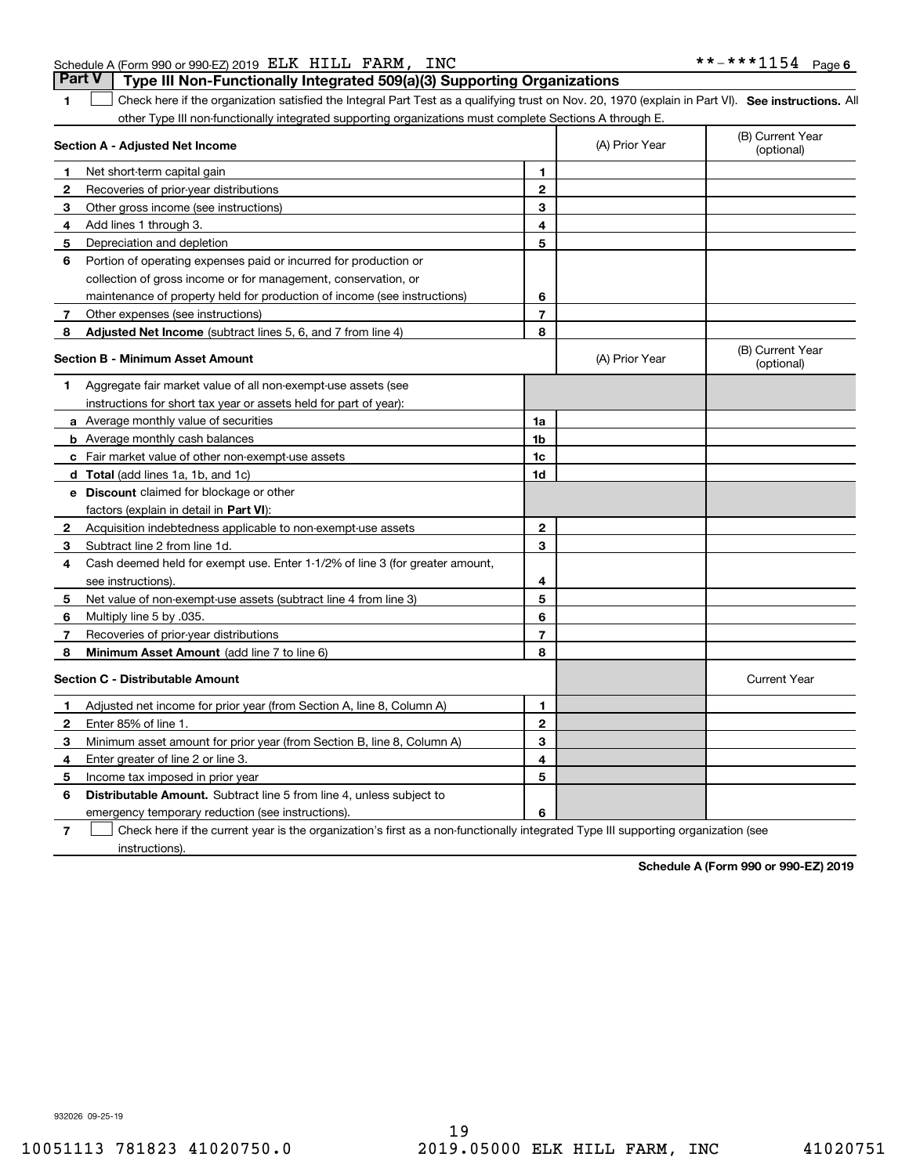## Schedule A (Form 990 or 990-EZ) 2019 Page ELK HILL FARM, INC \*\*-\*\*\*1154

**1**1 Check here if the organization satisfied the Integral Part Test as a qualifying trust on Nov. 20, 1970 (explain in Part VI). See instructions. All other Type III non-functionally integrated supporting organizations must complete Sections A through E. **Part V Type III Non-Functionally Integrated 509(a)(3) Supporting Organizations** 

|              | $\sim$ . The million randalonally integrated by                                                                                   |                |                |                                |
|--------------|-----------------------------------------------------------------------------------------------------------------------------------|----------------|----------------|--------------------------------|
|              | Section A - Adjusted Net Income                                                                                                   |                | (A) Prior Year | (B) Current Year<br>(optional) |
| 1            | Net short-term capital gain                                                                                                       | 1              |                |                                |
| 2            | Recoveries of prior-year distributions                                                                                            | $\overline{2}$ |                |                                |
| з            | Other gross income (see instructions)                                                                                             | 3              |                |                                |
| 4            | Add lines 1 through 3.                                                                                                            | 4              |                |                                |
| 5            | Depreciation and depletion                                                                                                        | 5              |                |                                |
| 6            | Portion of operating expenses paid or incurred for production or                                                                  |                |                |                                |
|              | collection of gross income or for management, conservation, or                                                                    |                |                |                                |
|              | maintenance of property held for production of income (see instructions)                                                          | 6              |                |                                |
| 7            | Other expenses (see instructions)                                                                                                 | $\overline{7}$ |                |                                |
| 8            | <b>Adjusted Net Income</b> (subtract lines 5, 6, and 7 from line 4)                                                               | 8              |                |                                |
|              | <b>Section B - Minimum Asset Amount</b>                                                                                           |                | (A) Prior Year | (B) Current Year<br>(optional) |
| 1.           | Aggregate fair market value of all non-exempt-use assets (see                                                                     |                |                |                                |
|              | instructions for short tax year or assets held for part of year):                                                                 |                |                |                                |
|              | <b>a</b> Average monthly value of securities                                                                                      | 1a             |                |                                |
|              | <b>b</b> Average monthly cash balances                                                                                            | 1b             |                |                                |
|              | <b>c</b> Fair market value of other non-exempt-use assets                                                                         | 1c             |                |                                |
|              | d Total (add lines 1a, 1b, and 1c)                                                                                                | 1d             |                |                                |
|              | <b>e</b> Discount claimed for blockage or other                                                                                   |                |                |                                |
|              | factors (explain in detail in <b>Part VI</b> ):                                                                                   |                |                |                                |
| $\mathbf{2}$ | Acquisition indebtedness applicable to non-exempt-use assets                                                                      | $\overline{2}$ |                |                                |
| 3            | Subtract line 2 from line 1d.                                                                                                     | 3              |                |                                |
| 4            | Cash deemed held for exempt use. Enter 1-1/2% of line 3 (for greater amount,                                                      |                |                |                                |
|              | see instructions)                                                                                                                 | 4              |                |                                |
| 5            | Net value of non-exempt-use assets (subtract line 4 from line 3)                                                                  | 5              |                |                                |
| 6            | Multiply line 5 by .035.                                                                                                          | 6              |                |                                |
| 7            | Recoveries of prior-year distributions                                                                                            | $\overline{7}$ |                |                                |
| 8            | Minimum Asset Amount (add line 7 to line 6)                                                                                       | 8              |                |                                |
|              | <b>Section C - Distributable Amount</b>                                                                                           |                |                | <b>Current Year</b>            |
| 1            | Adjusted net income for prior year (from Section A, line 8, Column A)                                                             | $\mathbf{1}$   |                |                                |
| 2            | Enter 85% of line 1.                                                                                                              | $\mathbf{2}$   |                |                                |
| з            | Minimum asset amount for prior year (from Section B, line 8, Column A)                                                            | 3              |                |                                |
| 4            | Enter greater of line 2 or line 3.                                                                                                | 4              |                |                                |
| 5            | Income tax imposed in prior year                                                                                                  | 5              |                |                                |
| 6            | Distributable Amount. Subtract line 5 from line 4, unless subject to                                                              |                |                |                                |
|              | emergency temporary reduction (see instructions).                                                                                 | 6              |                |                                |
| 7            | Check here if the current year is the organization's first as a non-functionally integrated Type III supporting organization (see |                |                |                                |

instructions).

**Schedule A (Form 990 or 990-EZ) 2019**

932026 09-25-19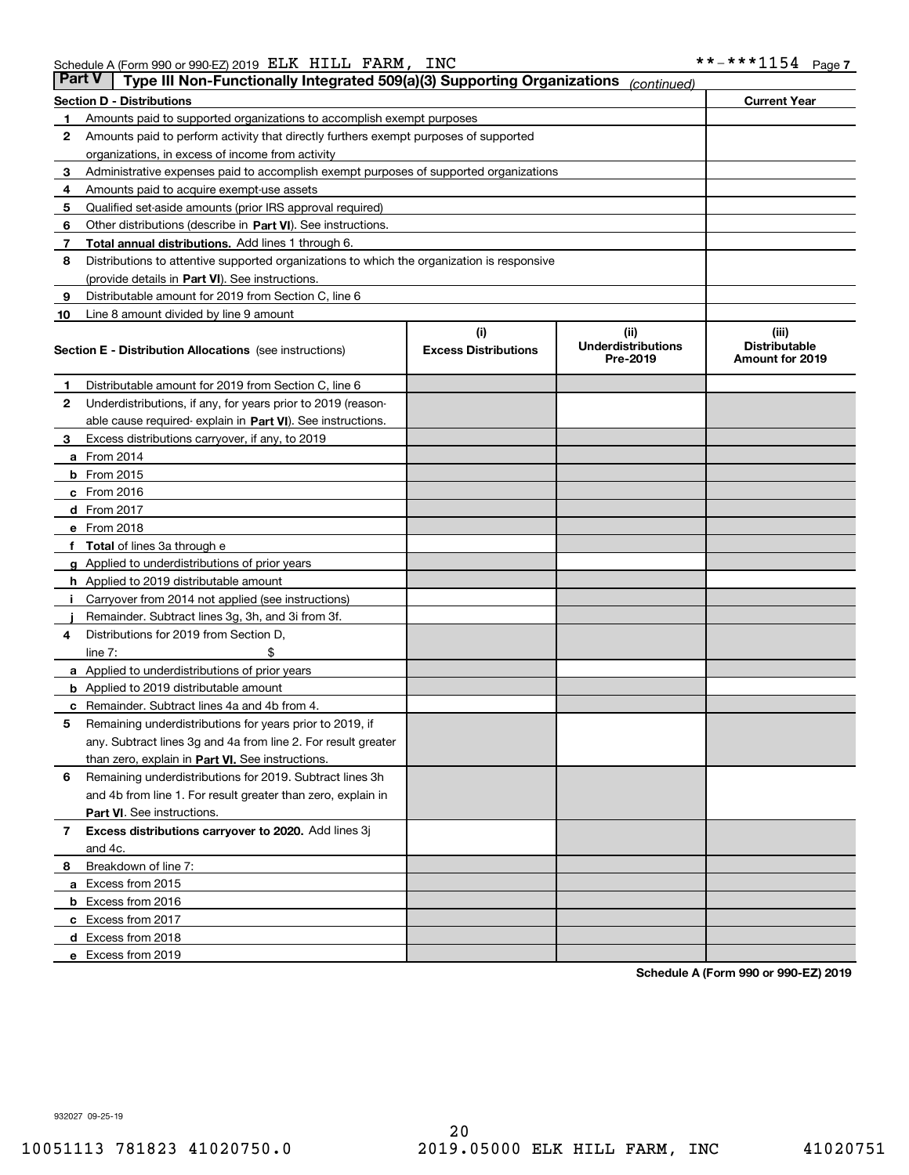| Part V | Type III Non-Functionally Integrated 509(a)(3) Supporting Organizations                    |                             | (continued)                           |                                         |
|--------|--------------------------------------------------------------------------------------------|-----------------------------|---------------------------------------|-----------------------------------------|
|        | <b>Section D - Distributions</b>                                                           |                             |                                       | <b>Current Year</b>                     |
| 1      | Amounts paid to supported organizations to accomplish exempt purposes                      |                             |                                       |                                         |
| 2      | Amounts paid to perform activity that directly furthers exempt purposes of supported       |                             |                                       |                                         |
|        | organizations, in excess of income from activity                                           |                             |                                       |                                         |
| з      | Administrative expenses paid to accomplish exempt purposes of supported organizations      |                             |                                       |                                         |
| 4      | Amounts paid to acquire exempt-use assets                                                  |                             |                                       |                                         |
| 5      | Qualified set-aside amounts (prior IRS approval required)                                  |                             |                                       |                                         |
| 6      | Other distributions (describe in Part VI). See instructions.                               |                             |                                       |                                         |
| 7      | <b>Total annual distributions.</b> Add lines 1 through 6.                                  |                             |                                       |                                         |
| 8      | Distributions to attentive supported organizations to which the organization is responsive |                             |                                       |                                         |
|        | (provide details in Part VI). See instructions.                                            |                             |                                       |                                         |
| 9      | Distributable amount for 2019 from Section C, line 6                                       |                             |                                       |                                         |
| 10     | Line 8 amount divided by line 9 amount                                                     |                             |                                       |                                         |
|        |                                                                                            | (i)                         | (iii)                                 | (iii)                                   |
|        | <b>Section E - Distribution Allocations</b> (see instructions)                             | <b>Excess Distributions</b> | <b>Underdistributions</b><br>Pre-2019 | <b>Distributable</b><br>Amount for 2019 |
| 1      | Distributable amount for 2019 from Section C, line 6                                       |                             |                                       |                                         |
| 2      | Underdistributions, if any, for years prior to 2019 (reason-                               |                             |                                       |                                         |
|        | able cause required- explain in <b>Part VI</b> ). See instructions.                        |                             |                                       |                                         |
| з      | Excess distributions carryover, if any, to 2019                                            |                             |                                       |                                         |
|        | <b>a</b> From 2014                                                                         |                             |                                       |                                         |
|        | <b>b</b> From 2015                                                                         |                             |                                       |                                         |
|        | $c$ From 2016                                                                              |                             |                                       |                                         |
|        | d From 2017                                                                                |                             |                                       |                                         |
|        | e From 2018                                                                                |                             |                                       |                                         |
|        | Total of lines 3a through e                                                                |                             |                                       |                                         |
|        | <b>g</b> Applied to underdistributions of prior years                                      |                             |                                       |                                         |
|        | <b>h</b> Applied to 2019 distributable amount                                              |                             |                                       |                                         |
|        | Carryover from 2014 not applied (see instructions)                                         |                             |                                       |                                         |
|        | Remainder. Subtract lines 3g, 3h, and 3i from 3f.                                          |                             |                                       |                                         |
| 4      | Distributions for 2019 from Section D,                                                     |                             |                                       |                                         |
|        | line $7:$                                                                                  |                             |                                       |                                         |
|        | <b>a</b> Applied to underdistributions of prior years                                      |                             |                                       |                                         |
|        | <b>b</b> Applied to 2019 distributable amount                                              |                             |                                       |                                         |
| с      | Remainder. Subtract lines 4a and 4b from 4.                                                |                             |                                       |                                         |
| 5      | Remaining underdistributions for years prior to 2019, if                                   |                             |                                       |                                         |
|        | any. Subtract lines 3g and 4a from line 2. For result greater                              |                             |                                       |                                         |
|        | than zero, explain in Part VI. See instructions.                                           |                             |                                       |                                         |
| 6      | Remaining underdistributions for 2019. Subtract lines 3h                                   |                             |                                       |                                         |
|        | and 4b from line 1. For result greater than zero, explain in                               |                             |                                       |                                         |
|        | Part VI. See instructions.                                                                 |                             |                                       |                                         |
| 7      | Excess distributions carryover to 2020. Add lines 3j                                       |                             |                                       |                                         |
|        | and 4c.                                                                                    |                             |                                       |                                         |
| 8      | Breakdown of line 7:                                                                       |                             |                                       |                                         |
|        | a Excess from 2015                                                                         |                             |                                       |                                         |
|        | <b>b</b> Excess from 2016                                                                  |                             |                                       |                                         |
|        | c Excess from 2017                                                                         |                             |                                       |                                         |
|        | d Excess from 2018                                                                         |                             |                                       |                                         |
|        | e Excess from 2019                                                                         |                             |                                       |                                         |
|        |                                                                                            |                             |                                       |                                         |

**Schedule A (Form 990 or 990-EZ) 2019**

932027 09-25-19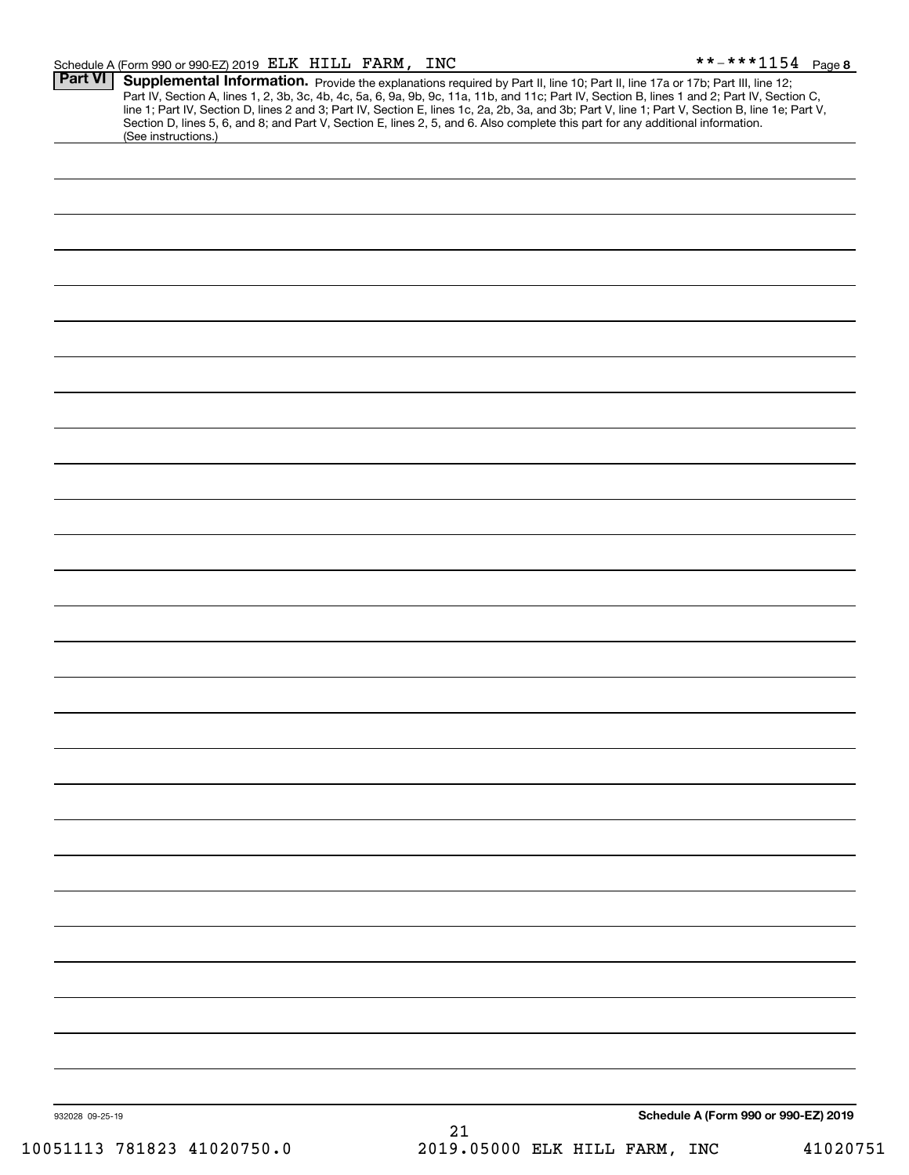#### Schedule A (Form 990 or 990-EZ) 2019 ELLK H]LLL FARM, INC Page ELK HILL FARM, INC \*\*-\*\*\*1154

| (See instructions.)        | Supplemental Information. Provide the explanations required by Part II, line 10; Part II, line 17a or 17b; Part III, line 12;<br>Part IV, Section A, lines 1, 2, 3b, 3c, 4b, 4c, 5a, 6, 9a, 9b, 9c, 11a, 11b, and 11c; Part IV, Section B, lines 1 and 2; Part IV, Section C,<br>line 1; Part IV, Section D, lines 2 and 3; Part IV, Section E, lines 1c, 2a, 2b, 3a, and 3b; Part V, line 1; Part V, Section B, line 1e; Part V,<br>Section D, lines 5, 6, and 8; and Part V, Section E, lines 2, 5, and 6. Also complete this part for any additional information. |
|----------------------------|----------------------------------------------------------------------------------------------------------------------------------------------------------------------------------------------------------------------------------------------------------------------------------------------------------------------------------------------------------------------------------------------------------------------------------------------------------------------------------------------------------------------------------------------------------------------|
|                            |                                                                                                                                                                                                                                                                                                                                                                                                                                                                                                                                                                      |
|                            |                                                                                                                                                                                                                                                                                                                                                                                                                                                                                                                                                                      |
|                            |                                                                                                                                                                                                                                                                                                                                                                                                                                                                                                                                                                      |
|                            |                                                                                                                                                                                                                                                                                                                                                                                                                                                                                                                                                                      |
|                            |                                                                                                                                                                                                                                                                                                                                                                                                                                                                                                                                                                      |
|                            |                                                                                                                                                                                                                                                                                                                                                                                                                                                                                                                                                                      |
|                            |                                                                                                                                                                                                                                                                                                                                                                                                                                                                                                                                                                      |
|                            |                                                                                                                                                                                                                                                                                                                                                                                                                                                                                                                                                                      |
|                            |                                                                                                                                                                                                                                                                                                                                                                                                                                                                                                                                                                      |
|                            |                                                                                                                                                                                                                                                                                                                                                                                                                                                                                                                                                                      |
|                            |                                                                                                                                                                                                                                                                                                                                                                                                                                                                                                                                                                      |
|                            |                                                                                                                                                                                                                                                                                                                                                                                                                                                                                                                                                                      |
|                            |                                                                                                                                                                                                                                                                                                                                                                                                                                                                                                                                                                      |
|                            |                                                                                                                                                                                                                                                                                                                                                                                                                                                                                                                                                                      |
|                            |                                                                                                                                                                                                                                                                                                                                                                                                                                                                                                                                                                      |
|                            |                                                                                                                                                                                                                                                                                                                                                                                                                                                                                                                                                                      |
|                            |                                                                                                                                                                                                                                                                                                                                                                                                                                                                                                                                                                      |
|                            |                                                                                                                                                                                                                                                                                                                                                                                                                                                                                                                                                                      |
|                            |                                                                                                                                                                                                                                                                                                                                                                                                                                                                                                                                                                      |
|                            |                                                                                                                                                                                                                                                                                                                                                                                                                                                                                                                                                                      |
|                            |                                                                                                                                                                                                                                                                                                                                                                                                                                                                                                                                                                      |
|                            |                                                                                                                                                                                                                                                                                                                                                                                                                                                                                                                                                                      |
|                            |                                                                                                                                                                                                                                                                                                                                                                                                                                                                                                                                                                      |
|                            |                                                                                                                                                                                                                                                                                                                                                                                                                                                                                                                                                                      |
|                            |                                                                                                                                                                                                                                                                                                                                                                                                                                                                                                                                                                      |
|                            |                                                                                                                                                                                                                                                                                                                                                                                                                                                                                                                                                                      |
|                            |                                                                                                                                                                                                                                                                                                                                                                                                                                                                                                                                                                      |
|                            |                                                                                                                                                                                                                                                                                                                                                                                                                                                                                                                                                                      |
|                            |                                                                                                                                                                                                                                                                                                                                                                                                                                                                                                                                                                      |
|                            |                                                                                                                                                                                                                                                                                                                                                                                                                                                                                                                                                                      |
|                            |                                                                                                                                                                                                                                                                                                                                                                                                                                                                                                                                                                      |
|                            |                                                                                                                                                                                                                                                                                                                                                                                                                                                                                                                                                                      |
|                            |                                                                                                                                                                                                                                                                                                                                                                                                                                                                                                                                                                      |
|                            |                                                                                                                                                                                                                                                                                                                                                                                                                                                                                                                                                                      |
|                            |                                                                                                                                                                                                                                                                                                                                                                                                                                                                                                                                                                      |
|                            |                                                                                                                                                                                                                                                                                                                                                                                                                                                                                                                                                                      |
|                            |                                                                                                                                                                                                                                                                                                                                                                                                                                                                                                                                                                      |
|                            |                                                                                                                                                                                                                                                                                                                                                                                                                                                                                                                                                                      |
|                            |                                                                                                                                                                                                                                                                                                                                                                                                                                                                                                                                                                      |
|                            |                                                                                                                                                                                                                                                                                                                                                                                                                                                                                                                                                                      |
|                            |                                                                                                                                                                                                                                                                                                                                                                                                                                                                                                                                                                      |
|                            |                                                                                                                                                                                                                                                                                                                                                                                                                                                                                                                                                                      |
|                            |                                                                                                                                                                                                                                                                                                                                                                                                                                                                                                                                                                      |
|                            |                                                                                                                                                                                                                                                                                                                                                                                                                                                                                                                                                                      |
|                            |                                                                                                                                                                                                                                                                                                                                                                                                                                                                                                                                                                      |
| 932028 09-25-19            | Schedule A (Form 990 or 990-EZ) 2019                                                                                                                                                                                                                                                                                                                                                                                                                                                                                                                                 |
| 10051113 781823 41020750.0 | 21<br>2019.05000 ELK HILL FARM, INC<br>41020751                                                                                                                                                                                                                                                                                                                                                                                                                                                                                                                      |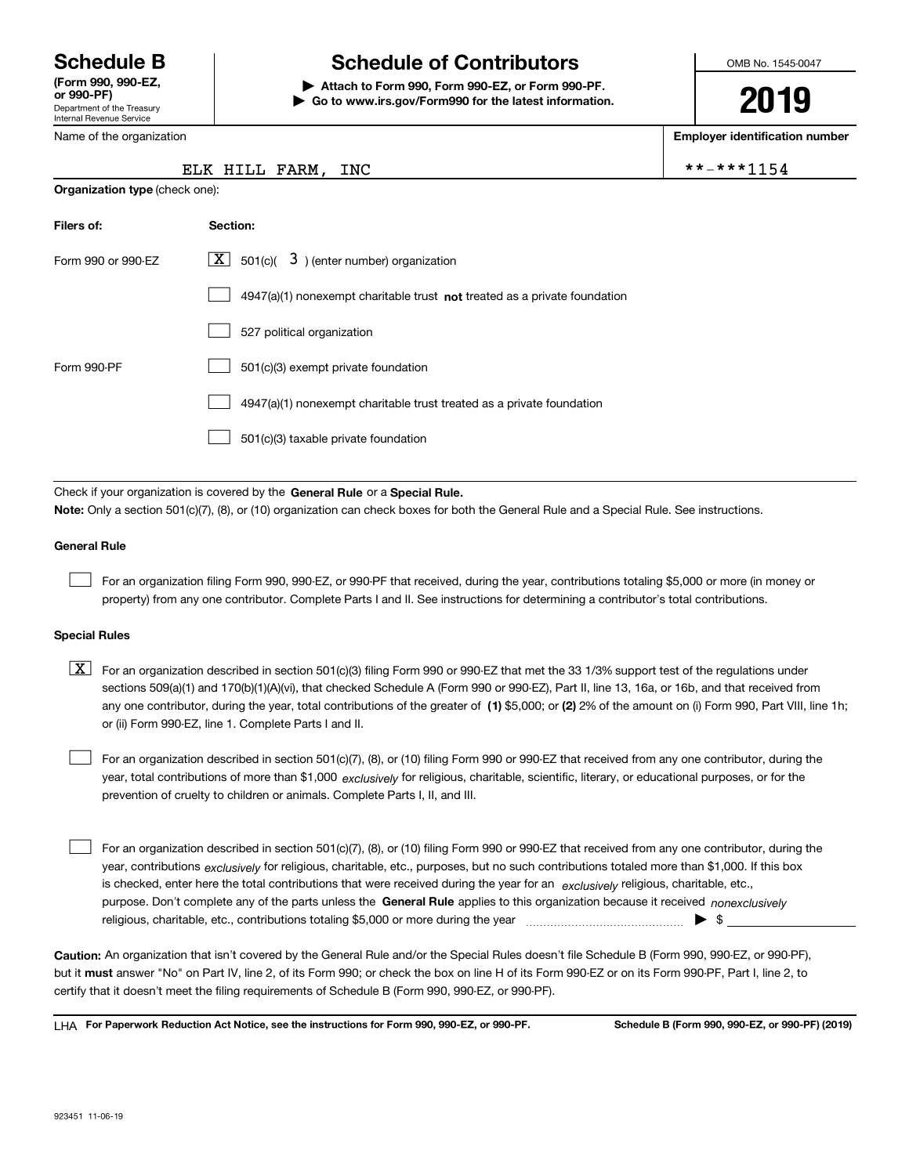Department of the Treasury Internal Revenue Service **(Form 990, 990-EZ, or 990-PF)**

Name of the organization

**Organization type** (check one):

# **Schedule B Schedule of Contributors**

**| Attach to Form 990, Form 990-EZ, or Form 990-PF. | Go to www.irs.gov/Form990 for the latest information.** OMB No. 1545-0047

**2019**

**Employer identification number**

 $IC$  \*\*-\*\*\*1154

|  | ELK HILL FARM. IN |  |
|--|-------------------|--|

| Filers of:         | Section:                                                                    |
|--------------------|-----------------------------------------------------------------------------|
| Form 990 or 990-F7 | $X$ 501(c)( 3) (enter number) organization                                  |
|                    | $4947(a)(1)$ nonexempt charitable trust not treated as a private foundation |
|                    | 527 political organization                                                  |
| Form 990-PF        | 501(c)(3) exempt private foundation                                         |
|                    | 4947(a)(1) nonexempt charitable trust treated as a private foundation       |
|                    | 501(c)(3) taxable private foundation                                        |

Check if your organization is covered by the **General Rule** or a **Special Rule. Note:**  Only a section 501(c)(7), (8), or (10) organization can check boxes for both the General Rule and a Special Rule. See instructions.

### **General Rule**

 $\mathcal{L}^{\text{max}}$ 

For an organization filing Form 990, 990-EZ, or 990-PF that received, during the year, contributions totaling \$5,000 or more (in money or property) from any one contributor. Complete Parts I and II. See instructions for determining a contributor's total contributions.

#### **Special Rules**

any one contributor, during the year, total contributions of the greater of  $\,$  (1) \$5,000; or **(2)** 2% of the amount on (i) Form 990, Part VIII, line 1h;  $\boxed{\textbf{X}}$  For an organization described in section 501(c)(3) filing Form 990 or 990-EZ that met the 33 1/3% support test of the regulations under sections 509(a)(1) and 170(b)(1)(A)(vi), that checked Schedule A (Form 990 or 990-EZ), Part II, line 13, 16a, or 16b, and that received from or (ii) Form 990-EZ, line 1. Complete Parts I and II.

year, total contributions of more than \$1,000 *exclusively* for religious, charitable, scientific, literary, or educational purposes, or for the For an organization described in section 501(c)(7), (8), or (10) filing Form 990 or 990-EZ that received from any one contributor, during the prevention of cruelty to children or animals. Complete Parts I, II, and III.  $\mathcal{L}^{\text{max}}$ 

purpose. Don't complete any of the parts unless the **General Rule** applies to this organization because it received *nonexclusively* year, contributions <sub>exclusively</sub> for religious, charitable, etc., purposes, but no such contributions totaled more than \$1,000. If this box is checked, enter here the total contributions that were received during the year for an  $\;$ exclusively religious, charitable, etc., For an organization described in section 501(c)(7), (8), or (10) filing Form 990 or 990-EZ that received from any one contributor, during the religious, charitable, etc., contributions totaling \$5,000 or more during the year  $\Box$ — $\Box$   $\Box$  $\mathcal{L}^{\text{max}}$ 

**Caution:**  An organization that isn't covered by the General Rule and/or the Special Rules doesn't file Schedule B (Form 990, 990-EZ, or 990-PF),  **must** but it answer "No" on Part IV, line 2, of its Form 990; or check the box on line H of its Form 990-EZ or on its Form 990-PF, Part I, line 2, to certify that it doesn't meet the filing requirements of Schedule B (Form 990, 990-EZ, or 990-PF).

**For Paperwork Reduction Act Notice, see the instructions for Form 990, 990-EZ, or 990-PF. Schedule B (Form 990, 990-EZ, or 990-PF) (2019)** LHA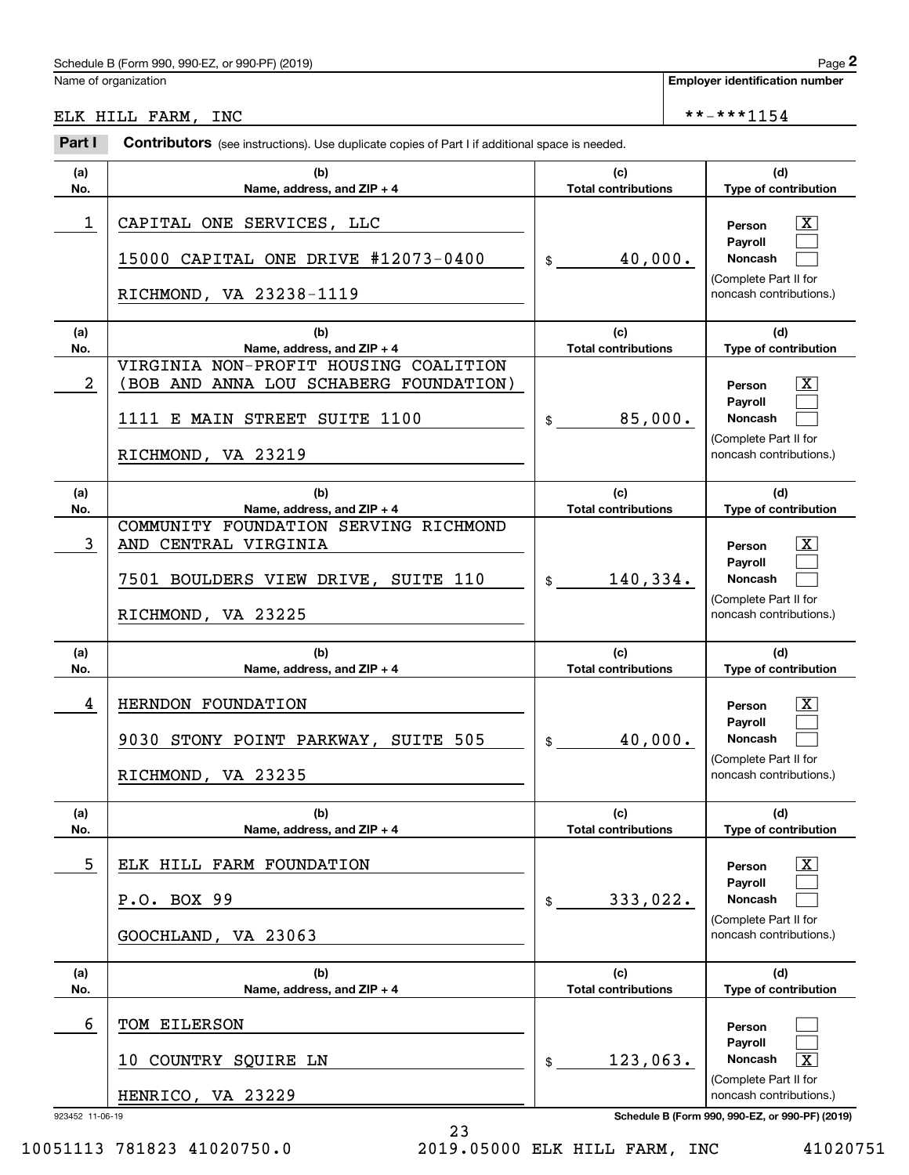# Schedule B (Form 990, 990-EZ, or 990-PF) (2019) Page 2

# ELK HILL FARM, INC  $**-**1154$

|            | Schedule B (Form 990, 990-EZ, or 990-PF) (2019)                                                                                       |                                   |                                       | Page 2                                                                                                      |  |
|------------|---------------------------------------------------------------------------------------------------------------------------------------|-----------------------------------|---------------------------------------|-------------------------------------------------------------------------------------------------------------|--|
|            | Name of organization                                                                                                                  |                                   | <b>Employer identification number</b> |                                                                                                             |  |
|            | ELK HILL FARM, INC                                                                                                                    |                                   |                                       | **-***1154                                                                                                  |  |
| Part I     | <b>Contributors</b> (see instructions). Use duplicate copies of Part I if additional space is needed.                                 |                                   |                                       |                                                                                                             |  |
| (a)<br>No. | (b)<br>Name, address, and ZIP + 4                                                                                                     | (c)<br><b>Total contributions</b> |                                       | (d)<br>Type of contribution                                                                                 |  |
| 1          | CAPITAL ONE SERVICES, LLC<br>15000 CAPITAL ONE DRIVE #12073-0400<br>RICHMOND, VA 23238-1119                                           | 40,000.<br>$$\mathbb{S}$$         |                                       | $\mathbf{X}$<br>Person<br>Payroll<br>Noncash<br>(Complete Part II for<br>noncash contributions.)            |  |
| (a)<br>No. | (b)<br>Name, address, and ZIP + 4                                                                                                     | (c)<br><b>Total contributions</b> |                                       | (d)<br>Type of contribution                                                                                 |  |
| 2          | VIRGINIA NON-PROFIT HOUSING COALITION<br>BOB AND ANNA LOU SCHABERG FOUNDATION)<br>1111 E MAIN STREET SUITE 1100<br>RICHMOND, VA 23219 | 85,000.<br>\$                     |                                       | $\mathbf{X}$<br>Person<br>Payroll<br>Noncash<br>(Complete Part II for<br>noncash contributions.)            |  |
| (a)<br>No. | (b)<br>Name, address, and ZIP + 4                                                                                                     | (c)<br><b>Total contributions</b> |                                       | (d)<br>Type of contribution                                                                                 |  |
| 3          | COMMUNITY FOUNDATION SERVING RICHMOND<br>AND CENTRAL VIRGINIA<br>7501 BOULDERS VIEW DRIVE, SUITE 110<br>RICHMOND, VA 23225            | 140,334.<br>$\frac{1}{2}$         |                                       | $\mathbf{X}$<br>Person<br><b>Payroll</b><br>Noncash<br>(Complete Part II for<br>noncash contributions.)     |  |
| (a)<br>No. | (b)<br>Name, address, and ZIP + 4                                                                                                     | (c)<br><b>Total contributions</b> |                                       | (d)<br>Type of contribution                                                                                 |  |
| 4          | HERNDON FOUNDATION<br>9030 STONY POINT PARKWAY, SUITE 505<br>RICHMOND, VA 23235                                                       | 40,000.<br>\$                     |                                       | $\overline{\mathbf{X}}$<br>Person<br>Payroll<br>Noncash<br>(Complete Part II for<br>noncash contributions.) |  |
| (a)<br>No. | (b)<br>Name, address, and ZIP + 4                                                                                                     | (c)<br><b>Total contributions</b> |                                       | (d)<br>Type of contribution                                                                                 |  |
| 5          | ELK HILL FARM FOUNDATION<br>P.O. BOX 99<br>GOOCHLAND, VA 23063                                                                        | 333,022.<br>\$                    |                                       | $\lfloor x \rfloor$<br>Person<br>Pavroll<br>Noncash<br>(Complete Part II for<br>noncash contributions.)     |  |
| (a)<br>No. | (b)<br>Name, address, and ZIP + 4                                                                                                     | (c)<br><b>Total contributions</b> |                                       | (d)<br>Type of contribution                                                                                 |  |
| 6          | TOM EILERSON<br>10 COUNTRY SQUIRE LN<br>HENRICO, VA 23229                                                                             | 123,063.<br>\$                    |                                       | Person<br>Payroll<br>$\overline{\mathbf{X}}$<br>Noncash<br>(Complete Part II for<br>noncash contributions.) |  |

923452 11-06-19 **Schedule B (Form 990, 990-EZ, or 990-PF) (2019)**

10051113 781823 41020750.0 2019.05000 ELK HILL FARM, INC 41020751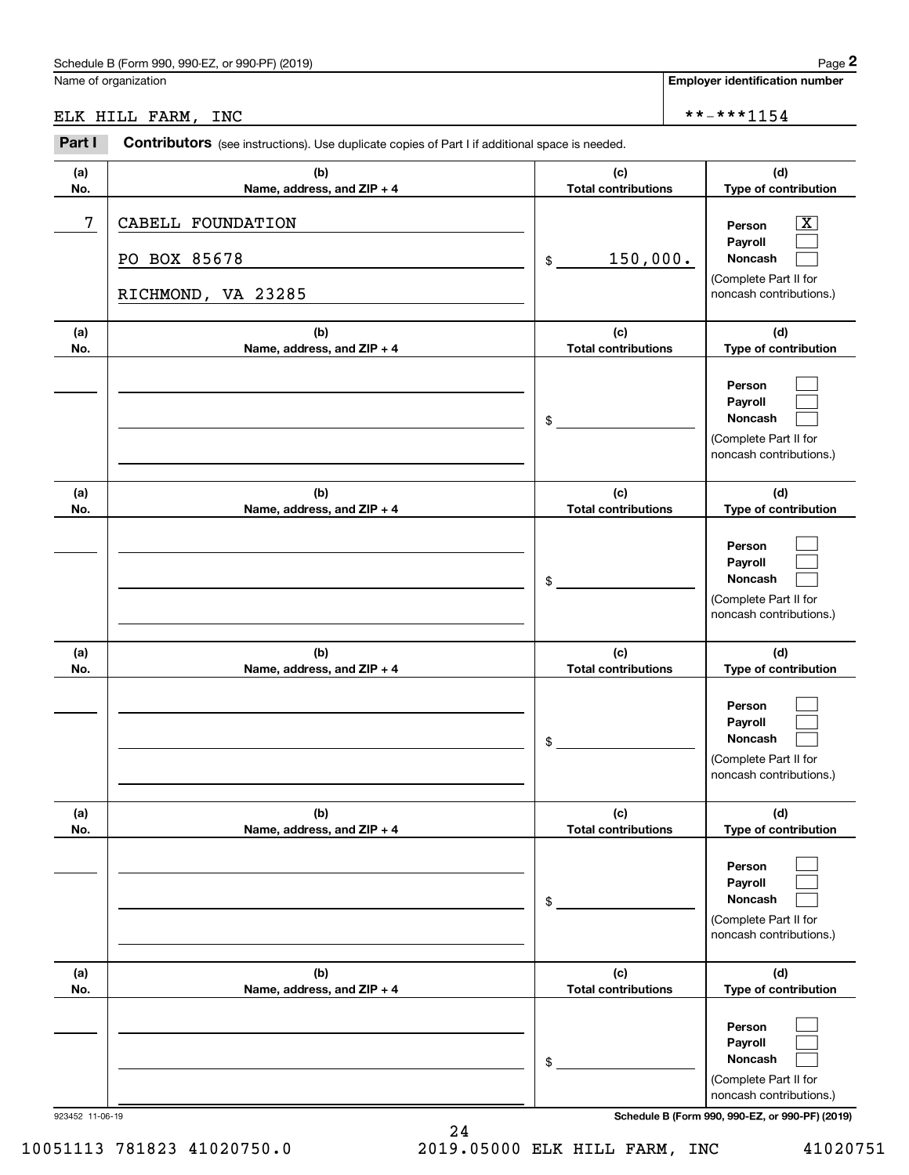# Schedule B (Form 990, 990-EZ, or 990-PF) (2019) Page 2

# ELK HILL FARM, INC  $****1154$

|            | Schedule B (Form 990, 990-EZ, or 990-PF) (2019)                                                |                                   |            | Page 2                                                                                                      |  |
|------------|------------------------------------------------------------------------------------------------|-----------------------------------|------------|-------------------------------------------------------------------------------------------------------------|--|
|            | Name of organization                                                                           |                                   |            | <b>Employer identification number</b>                                                                       |  |
|            | ELK HILL FARM, INC                                                                             |                                   | **-***1154 |                                                                                                             |  |
| Part I     | Contributors (see instructions). Use duplicate copies of Part I if additional space is needed. |                                   |            |                                                                                                             |  |
| (a)<br>No. | (b)<br>Name, address, and ZIP + 4                                                              | (c)<br><b>Total contributions</b> |            | (d)<br>Type of contribution                                                                                 |  |
| 7          | CABELL FOUNDATION<br>PO BOX 85678<br>RICHMOND, VA 23285                                        | 150,000.<br>\$                    |            | $\overline{\mathbf{X}}$<br>Person<br>Payroll<br>Noncash<br>(Complete Part II for<br>noncash contributions.) |  |
| (a)<br>No. | (b)<br>Name, address, and ZIP + 4                                                              | (c)<br><b>Total contributions</b> |            | (d)<br>Type of contribution                                                                                 |  |
|            |                                                                                                | \$                                |            | Person<br>Payroll<br>Noncash<br>(Complete Part II for<br>noncash contributions.)                            |  |
| (a)<br>No. | (b)<br>Name, address, and ZIP + 4                                                              | (c)<br><b>Total contributions</b> |            | (d)<br>Type of contribution                                                                                 |  |
|            |                                                                                                | \$                                |            | Person<br>Payroll<br>Noncash<br>(Complete Part II for<br>noncash contributions.)                            |  |
| (a)<br>No. | (b)<br>Name, address, and ZIP + 4                                                              | (c)<br><b>Total contributions</b> |            | (d)<br>Type of contribution                                                                                 |  |
|            |                                                                                                | \$                                |            | Person<br>Payroll<br>Noncash<br>(Complete Part II for<br>noncash contributions.)                            |  |
| (a)<br>No. | (b)<br>Name, address, and ZIP + 4                                                              | (c)<br><b>Total contributions</b> |            | (d)<br>Type of contribution                                                                                 |  |
|            |                                                                                                | \$                                |            | Person<br>Payroll<br>Noncash<br>(Complete Part II for<br>noncash contributions.)                            |  |
| (a)<br>No. | (b)<br>Name, address, and ZIP + 4                                                              | (c)<br><b>Total contributions</b> |            | (d)<br>Type of contribution                                                                                 |  |
|            |                                                                                                | \$                                |            | Person<br>Payroll<br>Noncash<br>(Complete Part II for<br>noncash contributions.)                            |  |

923452 11-06-19 **Schedule B (Form 990, 990-EZ, or 990-PF) (2019)**

10051113 781823 41020750.0 2019.05000 ELK HILL FARM, INC 41020751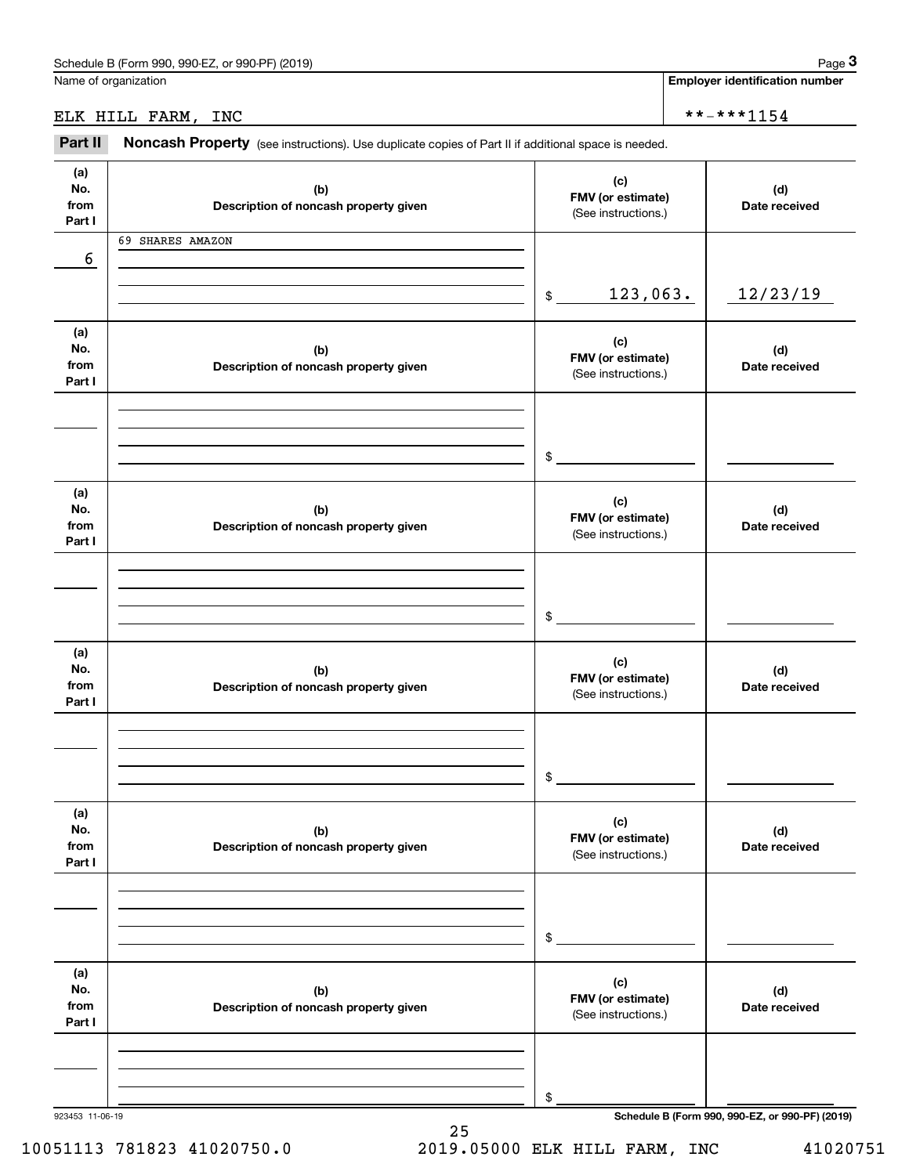Name of organization

**Employer identification number**

# ELK HILL FARM, INC  $**-**1154$

(see instructions). Use duplicate copies of Part II if additional space is needed.<br> **2Part II Noncash Property** (see instructions). Use duplicate copies of Part II if additional space is needed.

| (a)<br>No.<br>from<br>Part I | (b)<br>Description of noncash property given | (c)<br>FMV (or estimate)<br>(See instructions.) | (d)<br>Date received                            |
|------------------------------|----------------------------------------------|-------------------------------------------------|-------------------------------------------------|
|                              | 69 SHARES AMAZON                             |                                                 |                                                 |
| 6                            |                                              |                                                 |                                                 |
|                              |                                              |                                                 |                                                 |
|                              |                                              | 123,063.<br>$\mathfrak{S}$                      | 12/23/19                                        |
|                              |                                              |                                                 |                                                 |
|                              |                                              |                                                 |                                                 |
| (a)<br>No.                   |                                              | (c)                                             |                                                 |
| from                         | (b)                                          | FMV (or estimate)                               | (d)<br>Date received                            |
| Part I                       | Description of noncash property given        | (See instructions.)                             |                                                 |
|                              |                                              |                                                 |                                                 |
|                              |                                              |                                                 |                                                 |
|                              |                                              |                                                 |                                                 |
|                              |                                              |                                                 |                                                 |
|                              |                                              | \$                                              |                                                 |
|                              |                                              |                                                 |                                                 |
| (a)                          |                                              | (c)                                             |                                                 |
| No.                          | (b)                                          | FMV (or estimate)                               | (d)                                             |
| from                         | Description of noncash property given        | (See instructions.)                             | Date received                                   |
| Part I                       |                                              |                                                 |                                                 |
|                              |                                              |                                                 |                                                 |
|                              |                                              |                                                 |                                                 |
|                              |                                              |                                                 |                                                 |
|                              |                                              | $$\circ$$                                       |                                                 |
|                              |                                              |                                                 |                                                 |
| (a)                          |                                              |                                                 |                                                 |
| No.                          | (b)                                          | (c)                                             | (d)                                             |
| from                         | Description of noncash property given        | FMV (or estimate)                               | Date received                                   |
| Part I                       |                                              | (See instructions.)                             |                                                 |
|                              |                                              |                                                 |                                                 |
|                              |                                              |                                                 |                                                 |
|                              |                                              |                                                 |                                                 |
|                              |                                              | \$                                              |                                                 |
|                              |                                              |                                                 |                                                 |
| (a)                          |                                              |                                                 |                                                 |
| No.                          | (b)                                          | (c)                                             | (d)                                             |
| from                         | Description of noncash property given        | FMV (or estimate)                               | Date received                                   |
| Part I                       |                                              | (See instructions.)                             |                                                 |
|                              |                                              |                                                 |                                                 |
|                              |                                              |                                                 |                                                 |
|                              |                                              |                                                 |                                                 |
|                              |                                              | \$                                              |                                                 |
|                              |                                              |                                                 |                                                 |
|                              |                                              |                                                 |                                                 |
| (a)                          |                                              | (c)                                             |                                                 |
| No.<br>from                  | (b)                                          | FMV (or estimate)                               | (d)                                             |
| Part I                       | Description of noncash property given        | (See instructions.)                             | Date received                                   |
|                              |                                              |                                                 |                                                 |
|                              |                                              |                                                 |                                                 |
|                              |                                              |                                                 |                                                 |
|                              |                                              |                                                 |                                                 |
|                              |                                              | \$                                              |                                                 |
| 923453 11-06-19              |                                              |                                                 | Schedule B (Form 990, 990-EZ, or 990-PF) (2019) |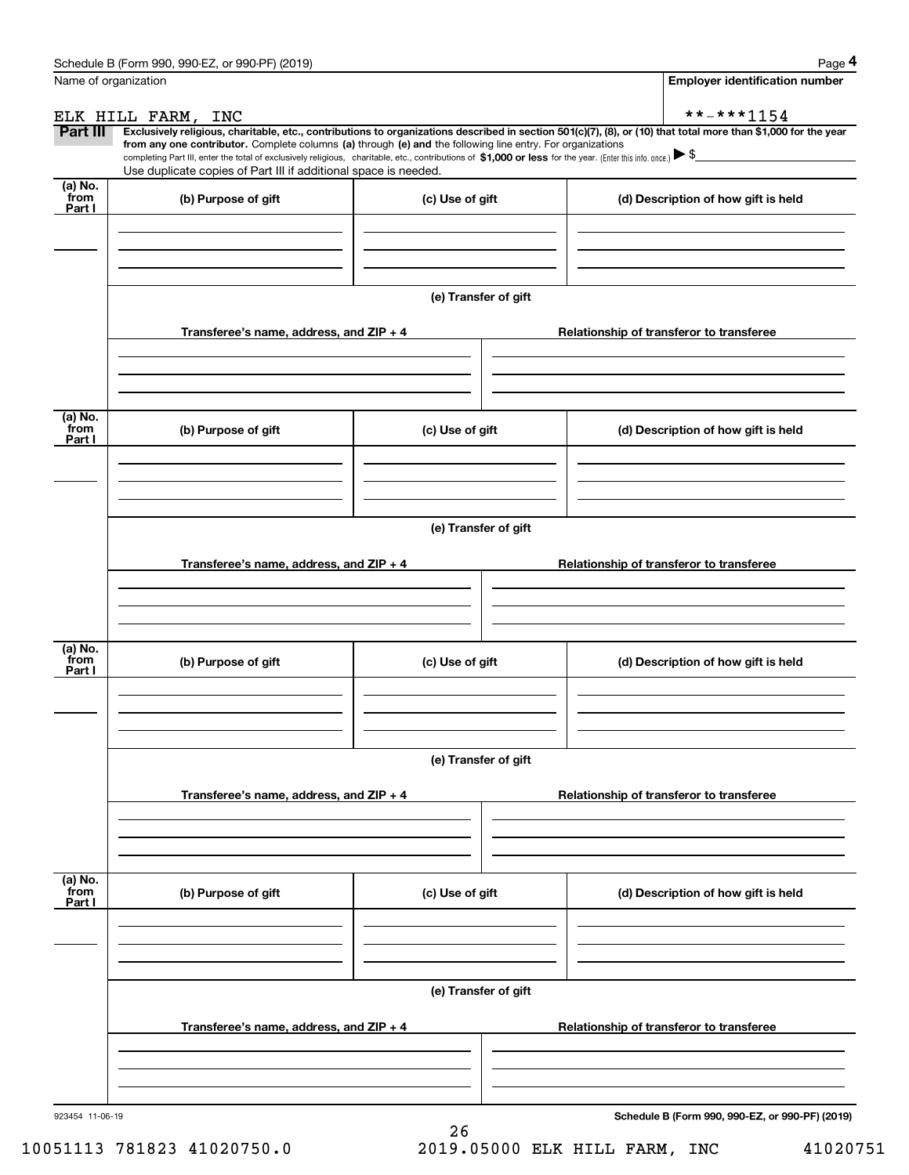|                           | Schedule B (Form 990, 990-EZ, or 990-PF) (2019)                                                                                                                                                                                                                              |                      | Page 4                                          |
|---------------------------|------------------------------------------------------------------------------------------------------------------------------------------------------------------------------------------------------------------------------------------------------------------------------|----------------------|-------------------------------------------------|
|                           | Name of organization                                                                                                                                                                                                                                                         |                      | <b>Employer identification number</b>           |
|                           | ELK HILL FARM,<br>INC                                                                                                                                                                                                                                                        |                      | **-***1154                                      |
| Part III                  | Exclusively religious, charitable, etc., contributions to organizations described in section 501(c)(7), (8), or (10) that total more than \$1,000 for the year<br>from any one contributor. Complete columns (a) through (e) and the following line entry. For organizations |                      |                                                 |
|                           | completing Part III, enter the total of exclusively religious, charitable, etc., contributions of \$1,000 or less for the year. (Enter this info. once.) $\blacktriangleright$ \$<br>Use duplicate copies of Part III if additional space is needed.                         |                      |                                                 |
| (a) No.                   |                                                                                                                                                                                                                                                                              |                      |                                                 |
| from<br>Part I            | (b) Purpose of gift                                                                                                                                                                                                                                                          | (c) Use of gift      | (d) Description of how gift is held             |
|                           |                                                                                                                                                                                                                                                                              |                      |                                                 |
|                           |                                                                                                                                                                                                                                                                              |                      |                                                 |
|                           |                                                                                                                                                                                                                                                                              |                      |                                                 |
|                           |                                                                                                                                                                                                                                                                              | (e) Transfer of gift |                                                 |
|                           | Transferee's name, address, and ZIP + 4                                                                                                                                                                                                                                      |                      | Relationship of transferor to transferee        |
|                           |                                                                                                                                                                                                                                                                              |                      |                                                 |
|                           |                                                                                                                                                                                                                                                                              |                      |                                                 |
|                           |                                                                                                                                                                                                                                                                              |                      |                                                 |
| (a) No.<br>from<br>Part I | (b) Purpose of gift                                                                                                                                                                                                                                                          | (c) Use of gift      | (d) Description of how gift is held             |
|                           |                                                                                                                                                                                                                                                                              |                      |                                                 |
|                           |                                                                                                                                                                                                                                                                              |                      |                                                 |
|                           |                                                                                                                                                                                                                                                                              |                      |                                                 |
|                           |                                                                                                                                                                                                                                                                              | (e) Transfer of gift |                                                 |
|                           |                                                                                                                                                                                                                                                                              |                      |                                                 |
|                           | Transferee's name, address, and ZIP + 4                                                                                                                                                                                                                                      |                      | Relationship of transferor to transferee        |
|                           |                                                                                                                                                                                                                                                                              |                      |                                                 |
|                           |                                                                                                                                                                                                                                                                              |                      |                                                 |
| (a) No.<br>from           |                                                                                                                                                                                                                                                                              |                      |                                                 |
| Part I                    | (b) Purpose of gift                                                                                                                                                                                                                                                          | (c) Use of gift      | (d) Description of how gift is held             |
|                           |                                                                                                                                                                                                                                                                              |                      |                                                 |
|                           |                                                                                                                                                                                                                                                                              |                      |                                                 |
|                           |                                                                                                                                                                                                                                                                              | (e) Transfer of gift |                                                 |
|                           |                                                                                                                                                                                                                                                                              |                      |                                                 |
|                           | Transferee's name, address, and ZIP + 4                                                                                                                                                                                                                                      |                      | Relationship of transferor to transferee        |
|                           |                                                                                                                                                                                                                                                                              |                      |                                                 |
|                           |                                                                                                                                                                                                                                                                              |                      |                                                 |
|                           |                                                                                                                                                                                                                                                                              |                      |                                                 |
| (a) No.<br>from<br>Part I | (b) Purpose of gift                                                                                                                                                                                                                                                          | (c) Use of gift      | (d) Description of how gift is held             |
|                           |                                                                                                                                                                                                                                                                              |                      |                                                 |
|                           |                                                                                                                                                                                                                                                                              |                      |                                                 |
|                           |                                                                                                                                                                                                                                                                              |                      |                                                 |
|                           |                                                                                                                                                                                                                                                                              | (e) Transfer of gift |                                                 |
|                           | Transferee's name, address, and ZIP + 4                                                                                                                                                                                                                                      |                      | Relationship of transferor to transferee        |
|                           |                                                                                                                                                                                                                                                                              |                      |                                                 |
|                           |                                                                                                                                                                                                                                                                              |                      |                                                 |
|                           |                                                                                                                                                                                                                                                                              |                      |                                                 |
| 923454 11-06-19           |                                                                                                                                                                                                                                                                              |                      | Schedule B (Form 990, 990-EZ, or 990-PF) (2019) |
|                           |                                                                                                                                                                                                                                                                              | 26                   |                                                 |

10051113 781823 41020750.0 2019.05000 ELK HILL FARM, INC 41020751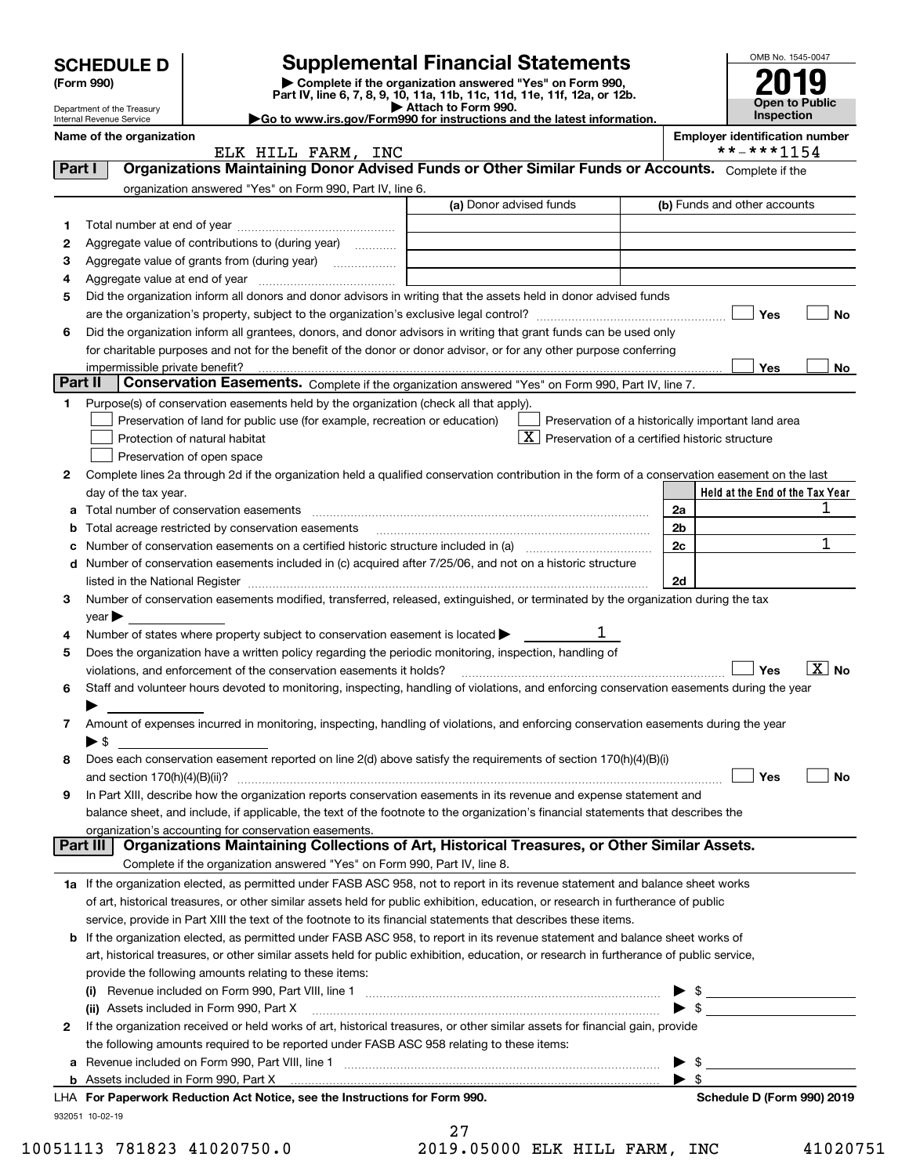|         | <b>SCHEDULE D</b>                                    |                                                                                                        | <b>Supplemental Financial Statements</b>                                                                                                       |                          | OMB No. 1545-0047                          |  |  |  |  |  |
|---------|------------------------------------------------------|--------------------------------------------------------------------------------------------------------|------------------------------------------------------------------------------------------------------------------------------------------------|--------------------------|--------------------------------------------|--|--|--|--|--|
|         | (Form 990)                                           |                                                                                                        | Complete if the organization answered "Yes" on Form 990,<br>Part IV, line 6, 7, 8, 9, 10, 11a, 11b, 11c, 11d, 11e, 11f, 12a, or 12b.           |                          |                                            |  |  |  |  |  |
|         | Department of the Treasury                           |                                                                                                        | Attach to Form 990.                                                                                                                            |                          | <b>Open to Public</b><br><b>Inspection</b> |  |  |  |  |  |
|         | Internal Revenue Service<br>Name of the organization |                                                                                                        | Go to www.irs.gov/Form990 for instructions and the latest information.                                                                         |                          | <b>Employer identification number</b>      |  |  |  |  |  |
|         |                                                      | ELK HILL FARM, INC                                                                                     |                                                                                                                                                |                          | **-***1154                                 |  |  |  |  |  |
| Part I  |                                                      |                                                                                                        | Organizations Maintaining Donor Advised Funds or Other Similar Funds or Accounts. Complete if the                                              |                          |                                            |  |  |  |  |  |
|         |                                                      | organization answered "Yes" on Form 990, Part IV, line 6.                                              |                                                                                                                                                |                          |                                            |  |  |  |  |  |
|         |                                                      |                                                                                                        | (a) Donor advised funds                                                                                                                        |                          | (b) Funds and other accounts               |  |  |  |  |  |
| 1       |                                                      |                                                                                                        |                                                                                                                                                |                          |                                            |  |  |  |  |  |
| 2       |                                                      | Aggregate value of contributions to (during year)                                                      |                                                                                                                                                |                          |                                            |  |  |  |  |  |
|         | з                                                    |                                                                                                        |                                                                                                                                                |                          |                                            |  |  |  |  |  |
| 4       |                                                      |                                                                                                        |                                                                                                                                                |                          |                                            |  |  |  |  |  |
| 5       |                                                      |                                                                                                        | Did the organization inform all donors and donor advisors in writing that the assets held in donor advised funds                               |                          | Yes<br>No                                  |  |  |  |  |  |
| 6       |                                                      |                                                                                                        | Did the organization inform all grantees, donors, and donor advisors in writing that grant funds can be used only                              |                          |                                            |  |  |  |  |  |
|         |                                                      |                                                                                                        | for charitable purposes and not for the benefit of the donor or donor advisor, or for any other purpose conferring                             |                          |                                            |  |  |  |  |  |
|         |                                                      |                                                                                                        |                                                                                                                                                |                          | <b>Yes</b><br>No                           |  |  |  |  |  |
| Part II |                                                      |                                                                                                        | Conservation Easements. Complete if the organization answered "Yes" on Form 990, Part IV, line 7.                                              |                          |                                            |  |  |  |  |  |
| 1       |                                                      | Purpose(s) of conservation easements held by the organization (check all that apply).                  |                                                                                                                                                |                          |                                            |  |  |  |  |  |
|         |                                                      | Preservation of land for public use (for example, recreation or education)                             | Preservation of a historically important land area                                                                                             |                          |                                            |  |  |  |  |  |
|         |                                                      | Protection of natural habitat                                                                          | X<br>Preservation of a certified historic structure                                                                                            |                          |                                            |  |  |  |  |  |
|         |                                                      | Preservation of open space                                                                             |                                                                                                                                                |                          |                                            |  |  |  |  |  |
| 2       |                                                      |                                                                                                        | Complete lines 2a through 2d if the organization held a qualified conservation contribution in the form of a conservation easement on the last |                          |                                            |  |  |  |  |  |
|         | day of the tax year.                                 |                                                                                                        |                                                                                                                                                |                          | Held at the End of the Tax Year            |  |  |  |  |  |
| a       |                                                      |                                                                                                        |                                                                                                                                                | 2a                       | 1                                          |  |  |  |  |  |
| b       |                                                      | Total acreage restricted by conservation easements                                                     |                                                                                                                                                | 2 <sub>b</sub>           |                                            |  |  |  |  |  |
| c       |                                                      |                                                                                                        |                                                                                                                                                | 2c                       | $\mathbf{1}$                               |  |  |  |  |  |
|         |                                                      |                                                                                                        | d Number of conservation easements included in (c) acquired after 7/25/06, and not on a historic structure                                     |                          |                                            |  |  |  |  |  |
|         |                                                      |                                                                                                        |                                                                                                                                                | 2d                       |                                            |  |  |  |  |  |
| 3       |                                                      |                                                                                                        | Number of conservation easements modified, transferred, released, extinguished, or terminated by the organization during the tax               |                          |                                            |  |  |  |  |  |
|         | $\gamma$ ear $\blacktriangleright$                   |                                                                                                        |                                                                                                                                                |                          |                                            |  |  |  |  |  |
| 4       |                                                      | Number of states where property subject to conservation easement is located $\blacktriangleright$      |                                                                                                                                                |                          |                                            |  |  |  |  |  |
| 5       |                                                      | Does the organization have a written policy regarding the periodic monitoring, inspection, handling of |                                                                                                                                                |                          | $\boxed{\text{X}}$ No                      |  |  |  |  |  |
| 6       |                                                      | violations, and enforcement of the conservation easements it holds?                                    | Staff and volunteer hours devoted to monitoring, inspecting, handling of violations, and enforcing conservation easements during the year      |                          | Yes                                        |  |  |  |  |  |
|         |                                                      |                                                                                                        |                                                                                                                                                |                          |                                            |  |  |  |  |  |
| 7       |                                                      |                                                                                                        | Amount of expenses incurred in monitoring, inspecting, handling of violations, and enforcing conservation easements during the year            |                          |                                            |  |  |  |  |  |
|         | $\blacktriangleright$ \$                             |                                                                                                        |                                                                                                                                                |                          |                                            |  |  |  |  |  |
| 8       |                                                      |                                                                                                        | Does each conservation easement reported on line 2(d) above satisfy the requirements of section 170(h)(4)(B)(i)                                |                          |                                            |  |  |  |  |  |
|         |                                                      |                                                                                                        |                                                                                                                                                |                          | Yes<br>No                                  |  |  |  |  |  |
| 9       |                                                      |                                                                                                        | In Part XIII, describe how the organization reports conservation easements in its revenue and expense statement and                            |                          |                                            |  |  |  |  |  |
|         |                                                      |                                                                                                        | balance sheet, and include, if applicable, the text of the footnote to the organization's financial statements that describes the              |                          |                                            |  |  |  |  |  |
|         |                                                      | organization's accounting for conservation easements.                                                  |                                                                                                                                                |                          |                                            |  |  |  |  |  |
|         | Part III                                             |                                                                                                        | Organizations Maintaining Collections of Art, Historical Treasures, or Other Similar Assets.                                                   |                          |                                            |  |  |  |  |  |
|         |                                                      | Complete if the organization answered "Yes" on Form 990, Part IV, line 8.                              |                                                                                                                                                |                          |                                            |  |  |  |  |  |
|         |                                                      |                                                                                                        | 1a If the organization elected, as permitted under FASB ASC 958, not to report in its revenue statement and balance sheet works                |                          |                                            |  |  |  |  |  |
|         |                                                      |                                                                                                        | of art, historical treasures, or other similar assets held for public exhibition, education, or research in furtherance of public              |                          |                                            |  |  |  |  |  |
|         |                                                      |                                                                                                        | service, provide in Part XIII the text of the footnote to its financial statements that describes these items.                                 |                          |                                            |  |  |  |  |  |
|         |                                                      |                                                                                                        | <b>b</b> If the organization elected, as permitted under FASB ASC 958, to report in its revenue statement and balance sheet works of           |                          |                                            |  |  |  |  |  |
|         |                                                      |                                                                                                        | art, historical treasures, or other similar assets held for public exhibition, education, or research in furtherance of public service,        |                          |                                            |  |  |  |  |  |
|         |                                                      | provide the following amounts relating to these items:                                                 |                                                                                                                                                |                          |                                            |  |  |  |  |  |
|         |                                                      |                                                                                                        |                                                                                                                                                | $\blacktriangleright$ \$ |                                            |  |  |  |  |  |
|         | ► \$<br>(ii) Assets included in Form 990, Part X     |                                                                                                        |                                                                                                                                                |                          |                                            |  |  |  |  |  |
| 2       |                                                      |                                                                                                        | If the organization received or held works of art, historical treasures, or other similar assets for financial gain, provide                   |                          |                                            |  |  |  |  |  |
|         |                                                      | the following amounts required to be reported under FASB ASC 958 relating to these items:              |                                                                                                                                                |                          |                                            |  |  |  |  |  |
|         |                                                      |                                                                                                        |                                                                                                                                                | - \$                     |                                            |  |  |  |  |  |
|         |                                                      |                                                                                                        |                                                                                                                                                | $\blacktriangleright$ s  |                                            |  |  |  |  |  |
|         |                                                      | LHA For Paperwork Reduction Act Notice, see the Instructions for Form 990.                             |                                                                                                                                                |                          | Schedule D (Form 990) 2019                 |  |  |  |  |  |
|         | 932051 10-02-19                                      |                                                                                                        | 27                                                                                                                                             |                          |                                            |  |  |  |  |  |

 <sup>10051113 781823 41020750.0 2019.05000</sup> ELK HILL FARM, INC 41020751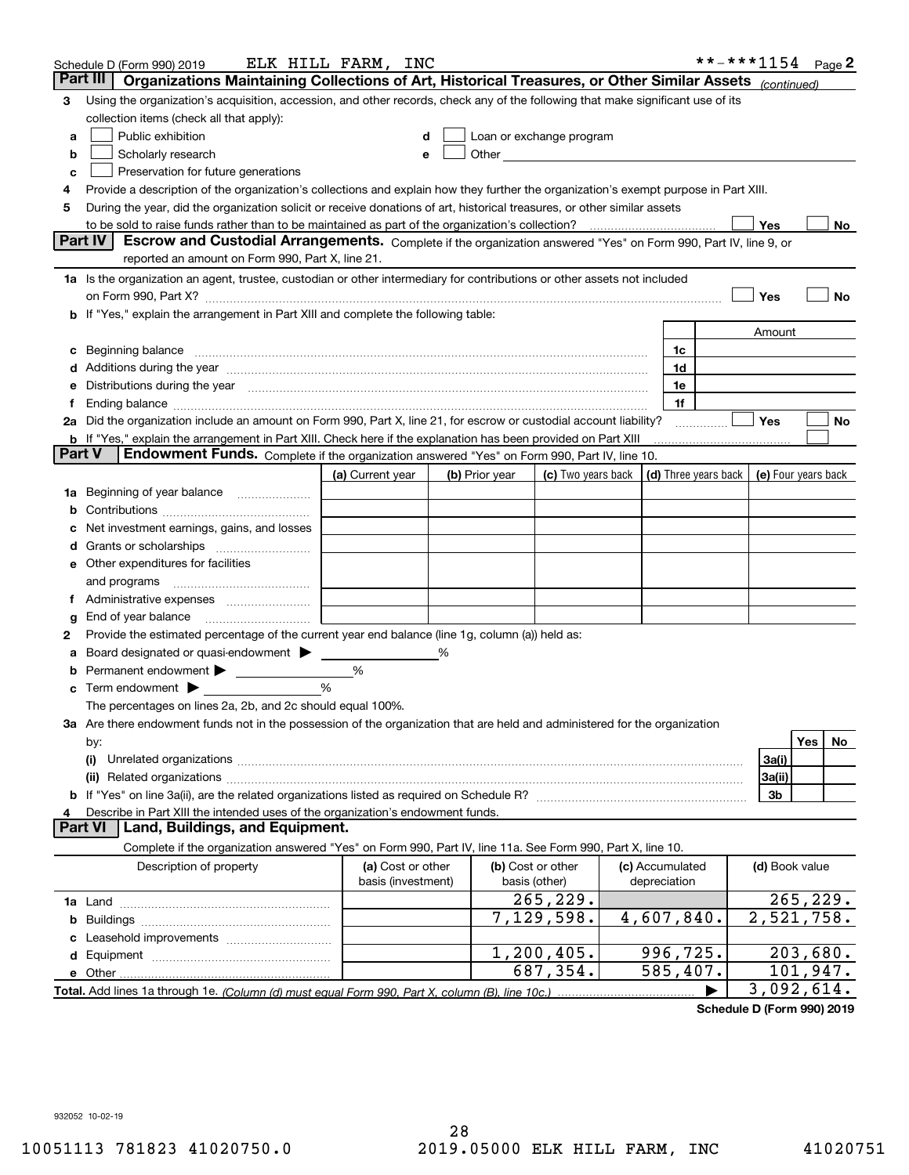| Part III<br>Organizations Maintaining Collections of Art, Historical Treasures, or Other Similar Assets (continued)<br>Using the organization's acquisition, accession, and other records, check any of the following that make significant use of its<br>3<br>collection items (check all that apply):<br>Public exhibition<br>Loan or exchange program<br>a<br>Scholarly research<br>b<br>е<br>Preservation for future generations<br>с<br>Provide a description of the organization's collections and explain how they further the organization's exempt purpose in Part XIII.<br>4<br>During the year, did the organization solicit or receive donations of art, historical treasures, or other similar assets<br>5<br>to be sold to raise funds rather than to be maintained as part of the organization's collection?<br>Yes<br>No<br><b>Part IV</b><br>Escrow and Custodial Arrangements. Complete if the organization answered "Yes" on Form 990, Part IV, line 9, or<br>reported an amount on Form 990, Part X, line 21.<br>1a Is the organization an agent, trustee, custodian or other intermediary for contributions or other assets not included<br>Yes<br>No<br>on Form 990, Part X? [11] matter contracts and contracts and contracts are contracted and contracts are contracted and contract and contract of the contract of the contract of the contract of the contract of the contract o<br>b If "Yes," explain the arrangement in Part XIII and complete the following table:<br>Amount<br>Beginning balance measurements and contain a series of the series of the series of the series of the series of<br>1c<br>c<br>1d<br>Additions during the year manufactured and an account of the state of the state of the state of the state of the state of the state of the state of the state of the state of the state of the state of the state of the state<br>Distributions during the year manufactured and an account of the state of the state of the state of the state o<br>1e<br>1f<br>Ť.<br>2a Did the organization include an amount on Form 990, Part X, line 21, for escrow or custodial account liability?<br>Yes<br>No<br>.<br><b>b</b> If "Yes," explain the arrangement in Part XIII. Check here if the explanation has been provided on Part XIII<br>Part V<br>Endowment Funds. Complete if the organization answered "Yes" on Form 990, Part IV, line 10.<br>(d) Three years back<br>(a) Current year<br>(c) Two years back<br>(e) Four years back<br>(b) Prior year<br>Beginning of year balance<br>1a<br>b<br>Net investment earnings, gains, and losses<br>d<br>e Other expenditures for facilities<br>and programs<br>End of year balance<br>g<br>Provide the estimated percentage of the current year end balance (line 1g, column (a)) held as:<br>2<br>Board designated or quasi-endowment<br>%<br>а<br>Permanent endowment > <u>example</u><br>%<br>%<br>Term endowment $\blacktriangleright$<br>c<br>The percentages on lines 2a, 2b, and 2c should equal 100%.<br>3a Are there endowment funds not in the possession of the organization that are held and administered for the organization<br>Yes<br>No.<br>by:<br>3a(i)<br>(i)<br>3a(ii)<br>3b<br>Describe in Part XIII the intended uses of the organization's endowment funds.<br>Land, Buildings, and Equipment.<br>Part VI<br>Complete if the organization answered "Yes" on Form 990, Part IV, line 11a. See Form 990, Part X, line 10.<br>Description of property<br>(a) Cost or other<br>(b) Cost or other<br>(c) Accumulated<br>(d) Book value<br>basis (investment)<br>basis (other)<br>depreciation<br>265, 229.<br>265, 229.<br>$\overline{2,521,758}$ .<br>7,129,598.<br>4,607,840.<br>b<br>996,725.<br>203,680.<br>1,200,405.<br>687,354.<br>585,407.<br>101,947.<br>3,092,614. | Schedule D (Form 990) 2019 | ELK HILL FARM, INC |  |  |  | **-***1154 | Page 2 |  |
|--------------------------------------------------------------------------------------------------------------------------------------------------------------------------------------------------------------------------------------------------------------------------------------------------------------------------------------------------------------------------------------------------------------------------------------------------------------------------------------------------------------------------------------------------------------------------------------------------------------------------------------------------------------------------------------------------------------------------------------------------------------------------------------------------------------------------------------------------------------------------------------------------------------------------------------------------------------------------------------------------------------------------------------------------------------------------------------------------------------------------------------------------------------------------------------------------------------------------------------------------------------------------------------------------------------------------------------------------------------------------------------------------------------------------------------------------------------------------------------------------------------------------------------------------------------------------------------------------------------------------------------------------------------------------------------------------------------------------------------------------------------------------------------------------------------------------------------------------------------------------------------------------------------------------------------------------------------------------------------------------------------------------------------------------------------------------------------------------------------------------------------------------------------------------------------------------------------------------------------------------------------------------------------------------------------------------------------------------------------------------------------------------------------------------------------------------------------------------------------------------------------------------------------------------------------------------------------------------------------------------------------------------------------------------------------------------------------------------------------------------------------------------------------------------------------------------------------------------------------------------------------------------------------------------------------------------------------------------------------------------------------------------------------------------------------------------------------------------------------------------------------------------------------------------------------------------------------------------------------------------------------------------------------------------------------------------------------------------------------------------------------------------------------------------------------------------------------------------------------------------------------------------------------------------------------------------------------------------------------------------------------------------------------------------------------------------------------------------------------------------------------------------------------------------|----------------------------|--------------------|--|--|--|------------|--------|--|
|                                                                                                                                                                                                                                                                                                                                                                                                                                                                                                                                                                                                                                                                                                                                                                                                                                                                                                                                                                                                                                                                                                                                                                                                                                                                                                                                                                                                                                                                                                                                                                                                                                                                                                                                                                                                                                                                                                                                                                                                                                                                                                                                                                                                                                                                                                                                                                                                                                                                                                                                                                                                                                                                                                                                                                                                                                                                                                                                                                                                                                                                                                                                                                                                                                                                                                                                                                                                                                                                                                                                                                                                                                                                                                                                                                                                  |                            |                    |  |  |  |            |        |  |
|                                                                                                                                                                                                                                                                                                                                                                                                                                                                                                                                                                                                                                                                                                                                                                                                                                                                                                                                                                                                                                                                                                                                                                                                                                                                                                                                                                                                                                                                                                                                                                                                                                                                                                                                                                                                                                                                                                                                                                                                                                                                                                                                                                                                                                                                                                                                                                                                                                                                                                                                                                                                                                                                                                                                                                                                                                                                                                                                                                                                                                                                                                                                                                                                                                                                                                                                                                                                                                                                                                                                                                                                                                                                                                                                                                                                  |                            |                    |  |  |  |            |        |  |
|                                                                                                                                                                                                                                                                                                                                                                                                                                                                                                                                                                                                                                                                                                                                                                                                                                                                                                                                                                                                                                                                                                                                                                                                                                                                                                                                                                                                                                                                                                                                                                                                                                                                                                                                                                                                                                                                                                                                                                                                                                                                                                                                                                                                                                                                                                                                                                                                                                                                                                                                                                                                                                                                                                                                                                                                                                                                                                                                                                                                                                                                                                                                                                                                                                                                                                                                                                                                                                                                                                                                                                                                                                                                                                                                                                                                  |                            |                    |  |  |  |            |        |  |
|                                                                                                                                                                                                                                                                                                                                                                                                                                                                                                                                                                                                                                                                                                                                                                                                                                                                                                                                                                                                                                                                                                                                                                                                                                                                                                                                                                                                                                                                                                                                                                                                                                                                                                                                                                                                                                                                                                                                                                                                                                                                                                                                                                                                                                                                                                                                                                                                                                                                                                                                                                                                                                                                                                                                                                                                                                                                                                                                                                                                                                                                                                                                                                                                                                                                                                                                                                                                                                                                                                                                                                                                                                                                                                                                                                                                  |                            |                    |  |  |  |            |        |  |
|                                                                                                                                                                                                                                                                                                                                                                                                                                                                                                                                                                                                                                                                                                                                                                                                                                                                                                                                                                                                                                                                                                                                                                                                                                                                                                                                                                                                                                                                                                                                                                                                                                                                                                                                                                                                                                                                                                                                                                                                                                                                                                                                                                                                                                                                                                                                                                                                                                                                                                                                                                                                                                                                                                                                                                                                                                                                                                                                                                                                                                                                                                                                                                                                                                                                                                                                                                                                                                                                                                                                                                                                                                                                                                                                                                                                  |                            |                    |  |  |  |            |        |  |
|                                                                                                                                                                                                                                                                                                                                                                                                                                                                                                                                                                                                                                                                                                                                                                                                                                                                                                                                                                                                                                                                                                                                                                                                                                                                                                                                                                                                                                                                                                                                                                                                                                                                                                                                                                                                                                                                                                                                                                                                                                                                                                                                                                                                                                                                                                                                                                                                                                                                                                                                                                                                                                                                                                                                                                                                                                                                                                                                                                                                                                                                                                                                                                                                                                                                                                                                                                                                                                                                                                                                                                                                                                                                                                                                                                                                  |                            |                    |  |  |  |            |        |  |
|                                                                                                                                                                                                                                                                                                                                                                                                                                                                                                                                                                                                                                                                                                                                                                                                                                                                                                                                                                                                                                                                                                                                                                                                                                                                                                                                                                                                                                                                                                                                                                                                                                                                                                                                                                                                                                                                                                                                                                                                                                                                                                                                                                                                                                                                                                                                                                                                                                                                                                                                                                                                                                                                                                                                                                                                                                                                                                                                                                                                                                                                                                                                                                                                                                                                                                                                                                                                                                                                                                                                                                                                                                                                                                                                                                                                  |                            |                    |  |  |  |            |        |  |
|                                                                                                                                                                                                                                                                                                                                                                                                                                                                                                                                                                                                                                                                                                                                                                                                                                                                                                                                                                                                                                                                                                                                                                                                                                                                                                                                                                                                                                                                                                                                                                                                                                                                                                                                                                                                                                                                                                                                                                                                                                                                                                                                                                                                                                                                                                                                                                                                                                                                                                                                                                                                                                                                                                                                                                                                                                                                                                                                                                                                                                                                                                                                                                                                                                                                                                                                                                                                                                                                                                                                                                                                                                                                                                                                                                                                  |                            |                    |  |  |  |            |        |  |
|                                                                                                                                                                                                                                                                                                                                                                                                                                                                                                                                                                                                                                                                                                                                                                                                                                                                                                                                                                                                                                                                                                                                                                                                                                                                                                                                                                                                                                                                                                                                                                                                                                                                                                                                                                                                                                                                                                                                                                                                                                                                                                                                                                                                                                                                                                                                                                                                                                                                                                                                                                                                                                                                                                                                                                                                                                                                                                                                                                                                                                                                                                                                                                                                                                                                                                                                                                                                                                                                                                                                                                                                                                                                                                                                                                                                  |                            |                    |  |  |  |            |        |  |
|                                                                                                                                                                                                                                                                                                                                                                                                                                                                                                                                                                                                                                                                                                                                                                                                                                                                                                                                                                                                                                                                                                                                                                                                                                                                                                                                                                                                                                                                                                                                                                                                                                                                                                                                                                                                                                                                                                                                                                                                                                                                                                                                                                                                                                                                                                                                                                                                                                                                                                                                                                                                                                                                                                                                                                                                                                                                                                                                                                                                                                                                                                                                                                                                                                                                                                                                                                                                                                                                                                                                                                                                                                                                                                                                                                                                  |                            |                    |  |  |  |            |        |  |
|                                                                                                                                                                                                                                                                                                                                                                                                                                                                                                                                                                                                                                                                                                                                                                                                                                                                                                                                                                                                                                                                                                                                                                                                                                                                                                                                                                                                                                                                                                                                                                                                                                                                                                                                                                                                                                                                                                                                                                                                                                                                                                                                                                                                                                                                                                                                                                                                                                                                                                                                                                                                                                                                                                                                                                                                                                                                                                                                                                                                                                                                                                                                                                                                                                                                                                                                                                                                                                                                                                                                                                                                                                                                                                                                                                                                  |                            |                    |  |  |  |            |        |  |
|                                                                                                                                                                                                                                                                                                                                                                                                                                                                                                                                                                                                                                                                                                                                                                                                                                                                                                                                                                                                                                                                                                                                                                                                                                                                                                                                                                                                                                                                                                                                                                                                                                                                                                                                                                                                                                                                                                                                                                                                                                                                                                                                                                                                                                                                                                                                                                                                                                                                                                                                                                                                                                                                                                                                                                                                                                                                                                                                                                                                                                                                                                                                                                                                                                                                                                                                                                                                                                                                                                                                                                                                                                                                                                                                                                                                  |                            |                    |  |  |  |            |        |  |
|                                                                                                                                                                                                                                                                                                                                                                                                                                                                                                                                                                                                                                                                                                                                                                                                                                                                                                                                                                                                                                                                                                                                                                                                                                                                                                                                                                                                                                                                                                                                                                                                                                                                                                                                                                                                                                                                                                                                                                                                                                                                                                                                                                                                                                                                                                                                                                                                                                                                                                                                                                                                                                                                                                                                                                                                                                                                                                                                                                                                                                                                                                                                                                                                                                                                                                                                                                                                                                                                                                                                                                                                                                                                                                                                                                                                  |                            |                    |  |  |  |            |        |  |
|                                                                                                                                                                                                                                                                                                                                                                                                                                                                                                                                                                                                                                                                                                                                                                                                                                                                                                                                                                                                                                                                                                                                                                                                                                                                                                                                                                                                                                                                                                                                                                                                                                                                                                                                                                                                                                                                                                                                                                                                                                                                                                                                                                                                                                                                                                                                                                                                                                                                                                                                                                                                                                                                                                                                                                                                                                                                                                                                                                                                                                                                                                                                                                                                                                                                                                                                                                                                                                                                                                                                                                                                                                                                                                                                                                                                  |                            |                    |  |  |  |            |        |  |
|                                                                                                                                                                                                                                                                                                                                                                                                                                                                                                                                                                                                                                                                                                                                                                                                                                                                                                                                                                                                                                                                                                                                                                                                                                                                                                                                                                                                                                                                                                                                                                                                                                                                                                                                                                                                                                                                                                                                                                                                                                                                                                                                                                                                                                                                                                                                                                                                                                                                                                                                                                                                                                                                                                                                                                                                                                                                                                                                                                                                                                                                                                                                                                                                                                                                                                                                                                                                                                                                                                                                                                                                                                                                                                                                                                                                  |                            |                    |  |  |  |            |        |  |
|                                                                                                                                                                                                                                                                                                                                                                                                                                                                                                                                                                                                                                                                                                                                                                                                                                                                                                                                                                                                                                                                                                                                                                                                                                                                                                                                                                                                                                                                                                                                                                                                                                                                                                                                                                                                                                                                                                                                                                                                                                                                                                                                                                                                                                                                                                                                                                                                                                                                                                                                                                                                                                                                                                                                                                                                                                                                                                                                                                                                                                                                                                                                                                                                                                                                                                                                                                                                                                                                                                                                                                                                                                                                                                                                                                                                  |                            |                    |  |  |  |            |        |  |
|                                                                                                                                                                                                                                                                                                                                                                                                                                                                                                                                                                                                                                                                                                                                                                                                                                                                                                                                                                                                                                                                                                                                                                                                                                                                                                                                                                                                                                                                                                                                                                                                                                                                                                                                                                                                                                                                                                                                                                                                                                                                                                                                                                                                                                                                                                                                                                                                                                                                                                                                                                                                                                                                                                                                                                                                                                                                                                                                                                                                                                                                                                                                                                                                                                                                                                                                                                                                                                                                                                                                                                                                                                                                                                                                                                                                  |                            |                    |  |  |  |            |        |  |
|                                                                                                                                                                                                                                                                                                                                                                                                                                                                                                                                                                                                                                                                                                                                                                                                                                                                                                                                                                                                                                                                                                                                                                                                                                                                                                                                                                                                                                                                                                                                                                                                                                                                                                                                                                                                                                                                                                                                                                                                                                                                                                                                                                                                                                                                                                                                                                                                                                                                                                                                                                                                                                                                                                                                                                                                                                                                                                                                                                                                                                                                                                                                                                                                                                                                                                                                                                                                                                                                                                                                                                                                                                                                                                                                                                                                  |                            |                    |  |  |  |            |        |  |
|                                                                                                                                                                                                                                                                                                                                                                                                                                                                                                                                                                                                                                                                                                                                                                                                                                                                                                                                                                                                                                                                                                                                                                                                                                                                                                                                                                                                                                                                                                                                                                                                                                                                                                                                                                                                                                                                                                                                                                                                                                                                                                                                                                                                                                                                                                                                                                                                                                                                                                                                                                                                                                                                                                                                                                                                                                                                                                                                                                                                                                                                                                                                                                                                                                                                                                                                                                                                                                                                                                                                                                                                                                                                                                                                                                                                  |                            |                    |  |  |  |            |        |  |
|                                                                                                                                                                                                                                                                                                                                                                                                                                                                                                                                                                                                                                                                                                                                                                                                                                                                                                                                                                                                                                                                                                                                                                                                                                                                                                                                                                                                                                                                                                                                                                                                                                                                                                                                                                                                                                                                                                                                                                                                                                                                                                                                                                                                                                                                                                                                                                                                                                                                                                                                                                                                                                                                                                                                                                                                                                                                                                                                                                                                                                                                                                                                                                                                                                                                                                                                                                                                                                                                                                                                                                                                                                                                                                                                                                                                  |                            |                    |  |  |  |            |        |  |
|                                                                                                                                                                                                                                                                                                                                                                                                                                                                                                                                                                                                                                                                                                                                                                                                                                                                                                                                                                                                                                                                                                                                                                                                                                                                                                                                                                                                                                                                                                                                                                                                                                                                                                                                                                                                                                                                                                                                                                                                                                                                                                                                                                                                                                                                                                                                                                                                                                                                                                                                                                                                                                                                                                                                                                                                                                                                                                                                                                                                                                                                                                                                                                                                                                                                                                                                                                                                                                                                                                                                                                                                                                                                                                                                                                                                  |                            |                    |  |  |  |            |        |  |
|                                                                                                                                                                                                                                                                                                                                                                                                                                                                                                                                                                                                                                                                                                                                                                                                                                                                                                                                                                                                                                                                                                                                                                                                                                                                                                                                                                                                                                                                                                                                                                                                                                                                                                                                                                                                                                                                                                                                                                                                                                                                                                                                                                                                                                                                                                                                                                                                                                                                                                                                                                                                                                                                                                                                                                                                                                                                                                                                                                                                                                                                                                                                                                                                                                                                                                                                                                                                                                                                                                                                                                                                                                                                                                                                                                                                  |                            |                    |  |  |  |            |        |  |
|                                                                                                                                                                                                                                                                                                                                                                                                                                                                                                                                                                                                                                                                                                                                                                                                                                                                                                                                                                                                                                                                                                                                                                                                                                                                                                                                                                                                                                                                                                                                                                                                                                                                                                                                                                                                                                                                                                                                                                                                                                                                                                                                                                                                                                                                                                                                                                                                                                                                                                                                                                                                                                                                                                                                                                                                                                                                                                                                                                                                                                                                                                                                                                                                                                                                                                                                                                                                                                                                                                                                                                                                                                                                                                                                                                                                  |                            |                    |  |  |  |            |        |  |
|                                                                                                                                                                                                                                                                                                                                                                                                                                                                                                                                                                                                                                                                                                                                                                                                                                                                                                                                                                                                                                                                                                                                                                                                                                                                                                                                                                                                                                                                                                                                                                                                                                                                                                                                                                                                                                                                                                                                                                                                                                                                                                                                                                                                                                                                                                                                                                                                                                                                                                                                                                                                                                                                                                                                                                                                                                                                                                                                                                                                                                                                                                                                                                                                                                                                                                                                                                                                                                                                                                                                                                                                                                                                                                                                                                                                  |                            |                    |  |  |  |            |        |  |
|                                                                                                                                                                                                                                                                                                                                                                                                                                                                                                                                                                                                                                                                                                                                                                                                                                                                                                                                                                                                                                                                                                                                                                                                                                                                                                                                                                                                                                                                                                                                                                                                                                                                                                                                                                                                                                                                                                                                                                                                                                                                                                                                                                                                                                                                                                                                                                                                                                                                                                                                                                                                                                                                                                                                                                                                                                                                                                                                                                                                                                                                                                                                                                                                                                                                                                                                                                                                                                                                                                                                                                                                                                                                                                                                                                                                  |                            |                    |  |  |  |            |        |  |
|                                                                                                                                                                                                                                                                                                                                                                                                                                                                                                                                                                                                                                                                                                                                                                                                                                                                                                                                                                                                                                                                                                                                                                                                                                                                                                                                                                                                                                                                                                                                                                                                                                                                                                                                                                                                                                                                                                                                                                                                                                                                                                                                                                                                                                                                                                                                                                                                                                                                                                                                                                                                                                                                                                                                                                                                                                                                                                                                                                                                                                                                                                                                                                                                                                                                                                                                                                                                                                                                                                                                                                                                                                                                                                                                                                                                  |                            |                    |  |  |  |            |        |  |
|                                                                                                                                                                                                                                                                                                                                                                                                                                                                                                                                                                                                                                                                                                                                                                                                                                                                                                                                                                                                                                                                                                                                                                                                                                                                                                                                                                                                                                                                                                                                                                                                                                                                                                                                                                                                                                                                                                                                                                                                                                                                                                                                                                                                                                                                                                                                                                                                                                                                                                                                                                                                                                                                                                                                                                                                                                                                                                                                                                                                                                                                                                                                                                                                                                                                                                                                                                                                                                                                                                                                                                                                                                                                                                                                                                                                  |                            |                    |  |  |  |            |        |  |
|                                                                                                                                                                                                                                                                                                                                                                                                                                                                                                                                                                                                                                                                                                                                                                                                                                                                                                                                                                                                                                                                                                                                                                                                                                                                                                                                                                                                                                                                                                                                                                                                                                                                                                                                                                                                                                                                                                                                                                                                                                                                                                                                                                                                                                                                                                                                                                                                                                                                                                                                                                                                                                                                                                                                                                                                                                                                                                                                                                                                                                                                                                                                                                                                                                                                                                                                                                                                                                                                                                                                                                                                                                                                                                                                                                                                  |                            |                    |  |  |  |            |        |  |
|                                                                                                                                                                                                                                                                                                                                                                                                                                                                                                                                                                                                                                                                                                                                                                                                                                                                                                                                                                                                                                                                                                                                                                                                                                                                                                                                                                                                                                                                                                                                                                                                                                                                                                                                                                                                                                                                                                                                                                                                                                                                                                                                                                                                                                                                                                                                                                                                                                                                                                                                                                                                                                                                                                                                                                                                                                                                                                                                                                                                                                                                                                                                                                                                                                                                                                                                                                                                                                                                                                                                                                                                                                                                                                                                                                                                  |                            |                    |  |  |  |            |        |  |
|                                                                                                                                                                                                                                                                                                                                                                                                                                                                                                                                                                                                                                                                                                                                                                                                                                                                                                                                                                                                                                                                                                                                                                                                                                                                                                                                                                                                                                                                                                                                                                                                                                                                                                                                                                                                                                                                                                                                                                                                                                                                                                                                                                                                                                                                                                                                                                                                                                                                                                                                                                                                                                                                                                                                                                                                                                                                                                                                                                                                                                                                                                                                                                                                                                                                                                                                                                                                                                                                                                                                                                                                                                                                                                                                                                                                  |                            |                    |  |  |  |            |        |  |
|                                                                                                                                                                                                                                                                                                                                                                                                                                                                                                                                                                                                                                                                                                                                                                                                                                                                                                                                                                                                                                                                                                                                                                                                                                                                                                                                                                                                                                                                                                                                                                                                                                                                                                                                                                                                                                                                                                                                                                                                                                                                                                                                                                                                                                                                                                                                                                                                                                                                                                                                                                                                                                                                                                                                                                                                                                                                                                                                                                                                                                                                                                                                                                                                                                                                                                                                                                                                                                                                                                                                                                                                                                                                                                                                                                                                  |                            |                    |  |  |  |            |        |  |
|                                                                                                                                                                                                                                                                                                                                                                                                                                                                                                                                                                                                                                                                                                                                                                                                                                                                                                                                                                                                                                                                                                                                                                                                                                                                                                                                                                                                                                                                                                                                                                                                                                                                                                                                                                                                                                                                                                                                                                                                                                                                                                                                                                                                                                                                                                                                                                                                                                                                                                                                                                                                                                                                                                                                                                                                                                                                                                                                                                                                                                                                                                                                                                                                                                                                                                                                                                                                                                                                                                                                                                                                                                                                                                                                                                                                  |                            |                    |  |  |  |            |        |  |
|                                                                                                                                                                                                                                                                                                                                                                                                                                                                                                                                                                                                                                                                                                                                                                                                                                                                                                                                                                                                                                                                                                                                                                                                                                                                                                                                                                                                                                                                                                                                                                                                                                                                                                                                                                                                                                                                                                                                                                                                                                                                                                                                                                                                                                                                                                                                                                                                                                                                                                                                                                                                                                                                                                                                                                                                                                                                                                                                                                                                                                                                                                                                                                                                                                                                                                                                                                                                                                                                                                                                                                                                                                                                                                                                                                                                  |                            |                    |  |  |  |            |        |  |
|                                                                                                                                                                                                                                                                                                                                                                                                                                                                                                                                                                                                                                                                                                                                                                                                                                                                                                                                                                                                                                                                                                                                                                                                                                                                                                                                                                                                                                                                                                                                                                                                                                                                                                                                                                                                                                                                                                                                                                                                                                                                                                                                                                                                                                                                                                                                                                                                                                                                                                                                                                                                                                                                                                                                                                                                                                                                                                                                                                                                                                                                                                                                                                                                                                                                                                                                                                                                                                                                                                                                                                                                                                                                                                                                                                                                  |                            |                    |  |  |  |            |        |  |
|                                                                                                                                                                                                                                                                                                                                                                                                                                                                                                                                                                                                                                                                                                                                                                                                                                                                                                                                                                                                                                                                                                                                                                                                                                                                                                                                                                                                                                                                                                                                                                                                                                                                                                                                                                                                                                                                                                                                                                                                                                                                                                                                                                                                                                                                                                                                                                                                                                                                                                                                                                                                                                                                                                                                                                                                                                                                                                                                                                                                                                                                                                                                                                                                                                                                                                                                                                                                                                                                                                                                                                                                                                                                                                                                                                                                  |                            |                    |  |  |  |            |        |  |
|                                                                                                                                                                                                                                                                                                                                                                                                                                                                                                                                                                                                                                                                                                                                                                                                                                                                                                                                                                                                                                                                                                                                                                                                                                                                                                                                                                                                                                                                                                                                                                                                                                                                                                                                                                                                                                                                                                                                                                                                                                                                                                                                                                                                                                                                                                                                                                                                                                                                                                                                                                                                                                                                                                                                                                                                                                                                                                                                                                                                                                                                                                                                                                                                                                                                                                                                                                                                                                                                                                                                                                                                                                                                                                                                                                                                  |                            |                    |  |  |  |            |        |  |
|                                                                                                                                                                                                                                                                                                                                                                                                                                                                                                                                                                                                                                                                                                                                                                                                                                                                                                                                                                                                                                                                                                                                                                                                                                                                                                                                                                                                                                                                                                                                                                                                                                                                                                                                                                                                                                                                                                                                                                                                                                                                                                                                                                                                                                                                                                                                                                                                                                                                                                                                                                                                                                                                                                                                                                                                                                                                                                                                                                                                                                                                                                                                                                                                                                                                                                                                                                                                                                                                                                                                                                                                                                                                                                                                                                                                  |                            |                    |  |  |  |            |        |  |
|                                                                                                                                                                                                                                                                                                                                                                                                                                                                                                                                                                                                                                                                                                                                                                                                                                                                                                                                                                                                                                                                                                                                                                                                                                                                                                                                                                                                                                                                                                                                                                                                                                                                                                                                                                                                                                                                                                                                                                                                                                                                                                                                                                                                                                                                                                                                                                                                                                                                                                                                                                                                                                                                                                                                                                                                                                                                                                                                                                                                                                                                                                                                                                                                                                                                                                                                                                                                                                                                                                                                                                                                                                                                                                                                                                                                  |                            |                    |  |  |  |            |        |  |
|                                                                                                                                                                                                                                                                                                                                                                                                                                                                                                                                                                                                                                                                                                                                                                                                                                                                                                                                                                                                                                                                                                                                                                                                                                                                                                                                                                                                                                                                                                                                                                                                                                                                                                                                                                                                                                                                                                                                                                                                                                                                                                                                                                                                                                                                                                                                                                                                                                                                                                                                                                                                                                                                                                                                                                                                                                                                                                                                                                                                                                                                                                                                                                                                                                                                                                                                                                                                                                                                                                                                                                                                                                                                                                                                                                                                  |                            |                    |  |  |  |            |        |  |
|                                                                                                                                                                                                                                                                                                                                                                                                                                                                                                                                                                                                                                                                                                                                                                                                                                                                                                                                                                                                                                                                                                                                                                                                                                                                                                                                                                                                                                                                                                                                                                                                                                                                                                                                                                                                                                                                                                                                                                                                                                                                                                                                                                                                                                                                                                                                                                                                                                                                                                                                                                                                                                                                                                                                                                                                                                                                                                                                                                                                                                                                                                                                                                                                                                                                                                                                                                                                                                                                                                                                                                                                                                                                                                                                                                                                  |                            |                    |  |  |  |            |        |  |
|                                                                                                                                                                                                                                                                                                                                                                                                                                                                                                                                                                                                                                                                                                                                                                                                                                                                                                                                                                                                                                                                                                                                                                                                                                                                                                                                                                                                                                                                                                                                                                                                                                                                                                                                                                                                                                                                                                                                                                                                                                                                                                                                                                                                                                                                                                                                                                                                                                                                                                                                                                                                                                                                                                                                                                                                                                                                                                                                                                                                                                                                                                                                                                                                                                                                                                                                                                                                                                                                                                                                                                                                                                                                                                                                                                                                  |                            |                    |  |  |  |            |        |  |
|                                                                                                                                                                                                                                                                                                                                                                                                                                                                                                                                                                                                                                                                                                                                                                                                                                                                                                                                                                                                                                                                                                                                                                                                                                                                                                                                                                                                                                                                                                                                                                                                                                                                                                                                                                                                                                                                                                                                                                                                                                                                                                                                                                                                                                                                                                                                                                                                                                                                                                                                                                                                                                                                                                                                                                                                                                                                                                                                                                                                                                                                                                                                                                                                                                                                                                                                                                                                                                                                                                                                                                                                                                                                                                                                                                                                  |                            |                    |  |  |  |            |        |  |
|                                                                                                                                                                                                                                                                                                                                                                                                                                                                                                                                                                                                                                                                                                                                                                                                                                                                                                                                                                                                                                                                                                                                                                                                                                                                                                                                                                                                                                                                                                                                                                                                                                                                                                                                                                                                                                                                                                                                                                                                                                                                                                                                                                                                                                                                                                                                                                                                                                                                                                                                                                                                                                                                                                                                                                                                                                                                                                                                                                                                                                                                                                                                                                                                                                                                                                                                                                                                                                                                                                                                                                                                                                                                                                                                                                                                  |                            |                    |  |  |  |            |        |  |
|                                                                                                                                                                                                                                                                                                                                                                                                                                                                                                                                                                                                                                                                                                                                                                                                                                                                                                                                                                                                                                                                                                                                                                                                                                                                                                                                                                                                                                                                                                                                                                                                                                                                                                                                                                                                                                                                                                                                                                                                                                                                                                                                                                                                                                                                                                                                                                                                                                                                                                                                                                                                                                                                                                                                                                                                                                                                                                                                                                                                                                                                                                                                                                                                                                                                                                                                                                                                                                                                                                                                                                                                                                                                                                                                                                                                  |                            |                    |  |  |  |            |        |  |
|                                                                                                                                                                                                                                                                                                                                                                                                                                                                                                                                                                                                                                                                                                                                                                                                                                                                                                                                                                                                                                                                                                                                                                                                                                                                                                                                                                                                                                                                                                                                                                                                                                                                                                                                                                                                                                                                                                                                                                                                                                                                                                                                                                                                                                                                                                                                                                                                                                                                                                                                                                                                                                                                                                                                                                                                                                                                                                                                                                                                                                                                                                                                                                                                                                                                                                                                                                                                                                                                                                                                                                                                                                                                                                                                                                                                  |                            |                    |  |  |  |            |        |  |
|                                                                                                                                                                                                                                                                                                                                                                                                                                                                                                                                                                                                                                                                                                                                                                                                                                                                                                                                                                                                                                                                                                                                                                                                                                                                                                                                                                                                                                                                                                                                                                                                                                                                                                                                                                                                                                                                                                                                                                                                                                                                                                                                                                                                                                                                                                                                                                                                                                                                                                                                                                                                                                                                                                                                                                                                                                                                                                                                                                                                                                                                                                                                                                                                                                                                                                                                                                                                                                                                                                                                                                                                                                                                                                                                                                                                  |                            |                    |  |  |  |            |        |  |
|                                                                                                                                                                                                                                                                                                                                                                                                                                                                                                                                                                                                                                                                                                                                                                                                                                                                                                                                                                                                                                                                                                                                                                                                                                                                                                                                                                                                                                                                                                                                                                                                                                                                                                                                                                                                                                                                                                                                                                                                                                                                                                                                                                                                                                                                                                                                                                                                                                                                                                                                                                                                                                                                                                                                                                                                                                                                                                                                                                                                                                                                                                                                                                                                                                                                                                                                                                                                                                                                                                                                                                                                                                                                                                                                                                                                  |                            |                    |  |  |  |            |        |  |
|                                                                                                                                                                                                                                                                                                                                                                                                                                                                                                                                                                                                                                                                                                                                                                                                                                                                                                                                                                                                                                                                                                                                                                                                                                                                                                                                                                                                                                                                                                                                                                                                                                                                                                                                                                                                                                                                                                                                                                                                                                                                                                                                                                                                                                                                                                                                                                                                                                                                                                                                                                                                                                                                                                                                                                                                                                                                                                                                                                                                                                                                                                                                                                                                                                                                                                                                                                                                                                                                                                                                                                                                                                                                                                                                                                                                  |                            |                    |  |  |  |            |        |  |
|                                                                                                                                                                                                                                                                                                                                                                                                                                                                                                                                                                                                                                                                                                                                                                                                                                                                                                                                                                                                                                                                                                                                                                                                                                                                                                                                                                                                                                                                                                                                                                                                                                                                                                                                                                                                                                                                                                                                                                                                                                                                                                                                                                                                                                                                                                                                                                                                                                                                                                                                                                                                                                                                                                                                                                                                                                                                                                                                                                                                                                                                                                                                                                                                                                                                                                                                                                                                                                                                                                                                                                                                                                                                                                                                                                                                  |                            |                    |  |  |  |            |        |  |
|                                                                                                                                                                                                                                                                                                                                                                                                                                                                                                                                                                                                                                                                                                                                                                                                                                                                                                                                                                                                                                                                                                                                                                                                                                                                                                                                                                                                                                                                                                                                                                                                                                                                                                                                                                                                                                                                                                                                                                                                                                                                                                                                                                                                                                                                                                                                                                                                                                                                                                                                                                                                                                                                                                                                                                                                                                                                                                                                                                                                                                                                                                                                                                                                                                                                                                                                                                                                                                                                                                                                                                                                                                                                                                                                                                                                  |                            |                    |  |  |  |            |        |  |

**Schedule D (Form 990) 2019**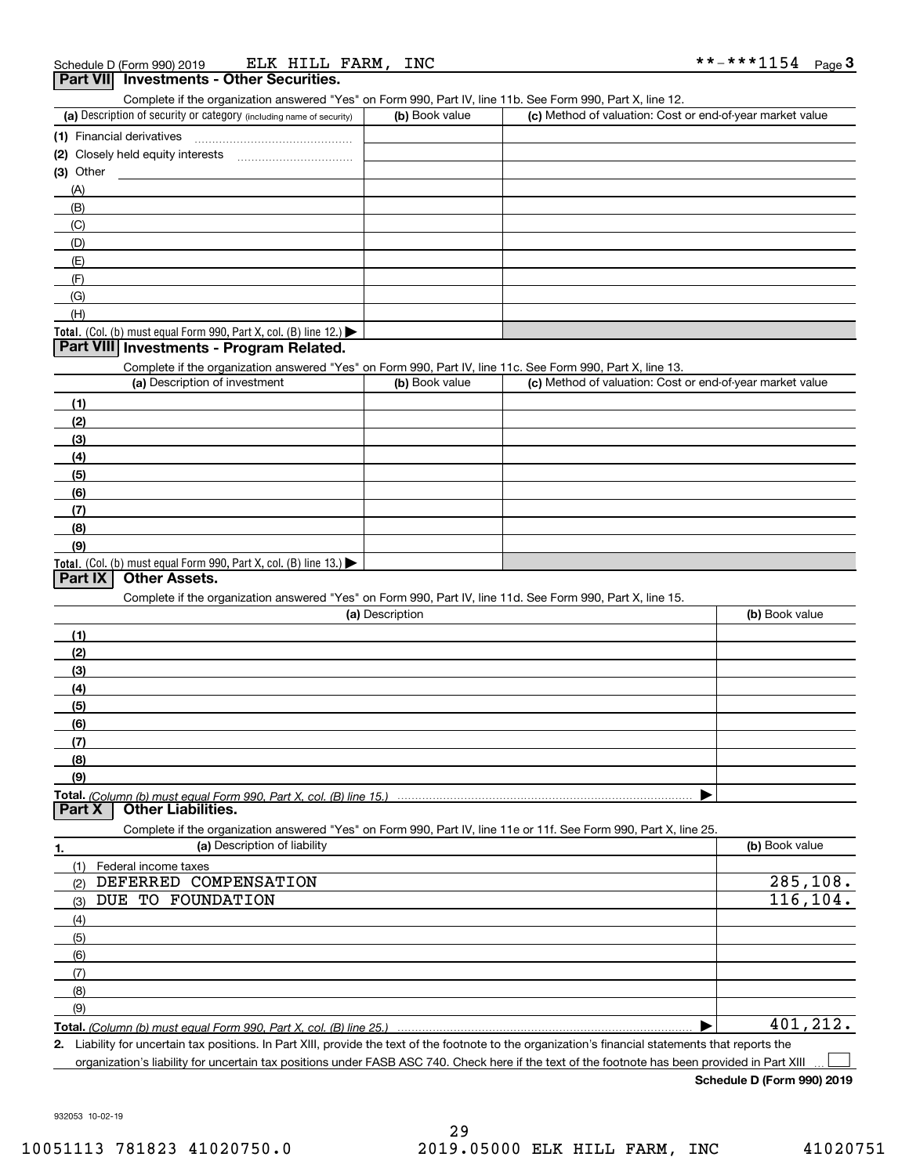| ELK HILL FARM,<br>Schedule D (Form 990) 2019                                                               | INC             |                                                           | **-***1154<br><u>Page 3</u> |
|------------------------------------------------------------------------------------------------------------|-----------------|-----------------------------------------------------------|-----------------------------|
| Part VII Investments - Other Securities.                                                                   |                 |                                                           |                             |
| Complete if the organization answered "Yes" on Form 990, Part IV, line 11b. See Form 990, Part X, line 12. |                 |                                                           |                             |
| (a) Description of security or category (including name of security)                                       | (b) Book value  | (c) Method of valuation: Cost or end-of-year market value |                             |
| (1) Financial derivatives                                                                                  |                 |                                                           |                             |
|                                                                                                            |                 |                                                           |                             |
| $(3)$ Other                                                                                                |                 |                                                           |                             |
| (A)                                                                                                        |                 |                                                           |                             |
| (B)                                                                                                        |                 |                                                           |                             |
| (C)                                                                                                        |                 |                                                           |                             |
| (D)                                                                                                        |                 |                                                           |                             |
| (E)                                                                                                        |                 |                                                           |                             |
| (F)                                                                                                        |                 |                                                           |                             |
| (G)                                                                                                        |                 |                                                           |                             |
| (H)                                                                                                        |                 |                                                           |                             |
| Total. (Col. (b) must equal Form 990, Part X, col. (B) line 12.)                                           |                 |                                                           |                             |
| Part VIII Investments - Program Related.                                                                   |                 |                                                           |                             |
| Complete if the organization answered "Yes" on Form 990, Part IV, line 11c. See Form 990, Part X, line 13. |                 |                                                           |                             |
| (a) Description of investment                                                                              | (b) Book value  | (c) Method of valuation: Cost or end-of-year market value |                             |
| (1)                                                                                                        |                 |                                                           |                             |
| (2)                                                                                                        |                 |                                                           |                             |
| (3)                                                                                                        |                 |                                                           |                             |
| (4)<br>(5)                                                                                                 |                 |                                                           |                             |
| (6)                                                                                                        |                 |                                                           |                             |
| (7)                                                                                                        |                 |                                                           |                             |
| (8)                                                                                                        |                 |                                                           |                             |
| (9)                                                                                                        |                 |                                                           |                             |
| Total. (Col. (b) must equal Form 990, Part X, col. (B) line $13.$ )                                        |                 |                                                           |                             |
| <b>Other Assets.</b><br>Part IX                                                                            |                 |                                                           |                             |
| Complete if the organization answered "Yes" on Form 990, Part IV, line 11d. See Form 990, Part X, line 15. |                 |                                                           |                             |
|                                                                                                            | (a) Description |                                                           | (b) Book value              |
| (1)                                                                                                        |                 |                                                           |                             |
| (2)                                                                                                        |                 |                                                           |                             |
| (3)                                                                                                        |                 |                                                           |                             |
| (4)                                                                                                        |                 |                                                           |                             |
| (5)                                                                                                        |                 |                                                           |                             |
| (6)                                                                                                        |                 |                                                           |                             |
| (7)                                                                                                        |                 |                                                           |                             |
| (8)                                                                                                        |                 |                                                           |                             |

**Total.**  *(Column (b) must equal Form 990, Part X, col. (B) line 15.)* **Part X Other Liabilities.**

Complete if the organization answered "Yes" on Form 990, Part IV, line 11e or 11f. See Form 990, Part X, line 25.

|     | (a) Description of liability | (b) Book value |
|-----|------------------------------|----------------|
| (1) | Federal income taxes         |                |
| (2) | DEFERRED COMPENSATION        | 285,108.       |
| (3) | DUE TO FOUNDATION            | 116,104.       |
| (4) |                              |                |
| (5) |                              |                |
| (6) |                              |                |
| (7) |                              |                |
| (8) |                              |                |
| (9) |                              |                |
|     |                              | 401,212.       |

**2.** Liability for uncertain tax positions. In Part XIII, provide the text of the footnote to the organization's financial statements that reports the organization's liability for uncertain tax positions under FASB ASC 740. Check here if the text of the footnote has been provided in Part XIII

 $\mathcal{L}^{\text{max}}$ 

 $\blacktriangleright$ 

**Schedule D (Form 990) 2019**

932053 10-02-19

**(9)**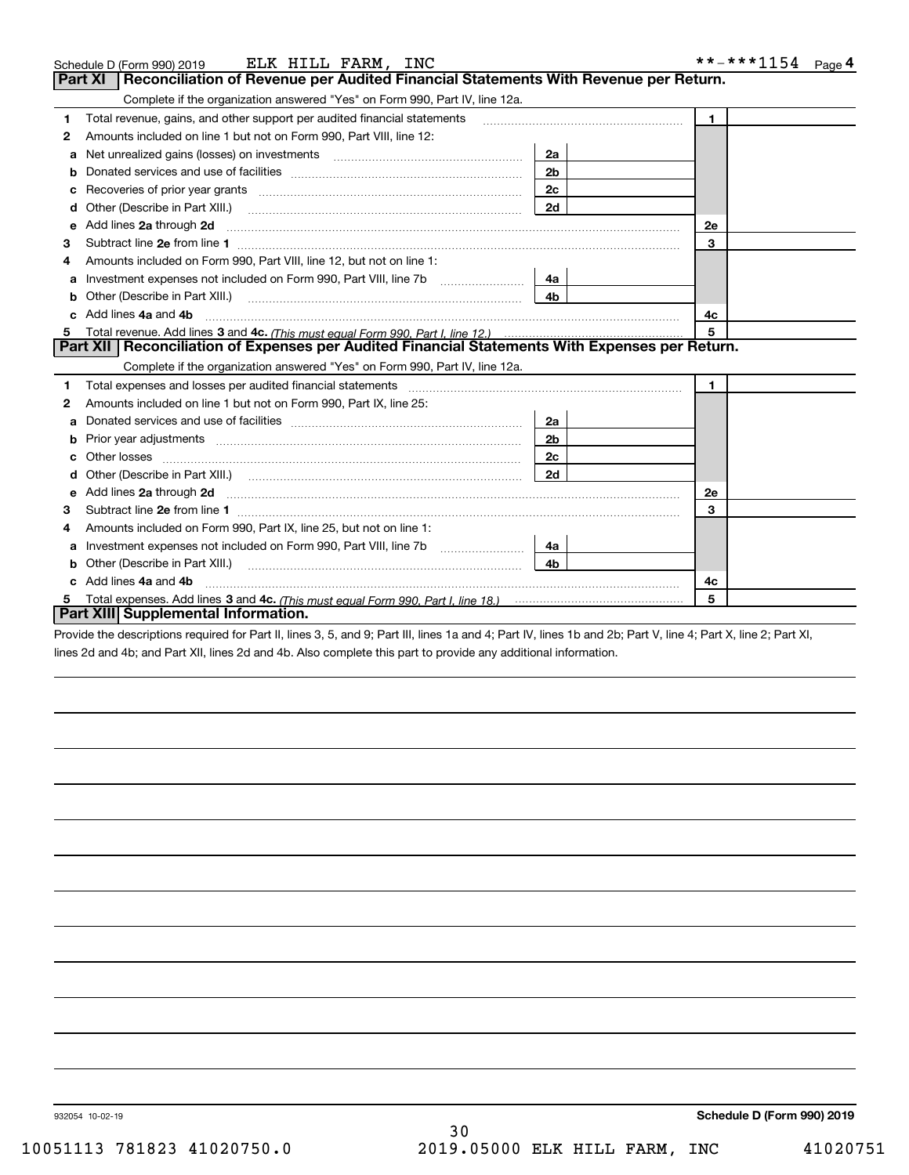|   | ELK HILL FARM, INC<br>Schedule D (Form 990) 2019                                                                                                                                                                                   |                | **-***1154 Page 4 |
|---|------------------------------------------------------------------------------------------------------------------------------------------------------------------------------------------------------------------------------------|----------------|-------------------|
|   | Reconciliation of Revenue per Audited Financial Statements With Revenue per Return.<br><b>Part XI</b>                                                                                                                              |                |                   |
|   | Complete if the organization answered "Yes" on Form 990, Part IV, line 12a.                                                                                                                                                        |                |                   |
| 1 | Total revenue, gains, and other support per audited financial statements                                                                                                                                                           |                | $\mathbf{1}$      |
| 2 | Amounts included on line 1 but not on Form 990, Part VIII, line 12:                                                                                                                                                                |                |                   |
| a |                                                                                                                                                                                                                                    | 2a             |                   |
| b |                                                                                                                                                                                                                                    | 2 <sub>b</sub> |                   |
| c |                                                                                                                                                                                                                                    | 2c             |                   |
| d | Other (Describe in Part XIII.)                                                                                                                                                                                                     | 2d             |                   |
| е | Add lines 2a through 2d <b>must be a constructed as the constant of the constant of the constant of the construction</b>                                                                                                           |                | 2e                |
| з |                                                                                                                                                                                                                                    |                | 3                 |
|   | Amounts included on Form 990, Part VIII, line 12, but not on line 1:                                                                                                                                                               |                |                   |
| a | Investment expenses not included on Form 990, Part VIII, line 7b                                                                                                                                                                   | 4a             |                   |
| b | Other (Describe in Part XIII.)                                                                                                                                                                                                     | 4 <sub>b</sub> |                   |
|   | Add lines 4a and 4b                                                                                                                                                                                                                | 4с             |                   |
| 5 |                                                                                                                                                                                                                                    |                | 5                 |
|   | Part XII   Reconciliation of Expenses per Audited Financial Statements With Expenses per Return.                                                                                                                                   |                |                   |
|   | Complete if the organization answered "Yes" on Form 990, Part IV, line 12a.                                                                                                                                                        |                |                   |
| 1 |                                                                                                                                                                                                                                    |                | $\mathbf{1}$      |
| 2 | Amounts included on line 1 but not on Form 990, Part IX, line 25:                                                                                                                                                                  |                |                   |
| a |                                                                                                                                                                                                                                    | 2a             |                   |
| b |                                                                                                                                                                                                                                    | 2b             |                   |
|   |                                                                                                                                                                                                                                    | 2c             |                   |
|   |                                                                                                                                                                                                                                    | 2d             |                   |
| е | Add lines 2a through 2d <b>contained a contained a contained a contained a</b> contained a contained a contained a contained a contained a contact a contact a contact a contact a contact a contact a contact a contact a contact |                | 2e                |
| з |                                                                                                                                                                                                                                    |                | 3                 |
| 4 | Amounts included on Form 990, Part IX, line 25, but not on line 1:                                                                                                                                                                 |                |                   |
| a | Investment expenses not included on Form 990, Part VIII, line 7b                                                                                                                                                                   | 4a             |                   |
| b | Other (Describe in Part XIII.)                                                                                                                                                                                                     | 4b.            |                   |
|   | Add lines 4a and 4b                                                                                                                                                                                                                |                | 4с                |
|   |                                                                                                                                                                                                                                    |                | 5                 |
|   | Part XIII Supplemental Information.                                                                                                                                                                                                |                |                   |

Provide the descriptions required for Part II, lines 3, 5, and 9; Part III, lines 1a and 4; Part IV, lines 1b and 2b; Part V, line 4; Part X, line 2; Part XI, lines 2d and 4b; and Part XII, lines 2d and 4b. Also complete this part to provide any additional information.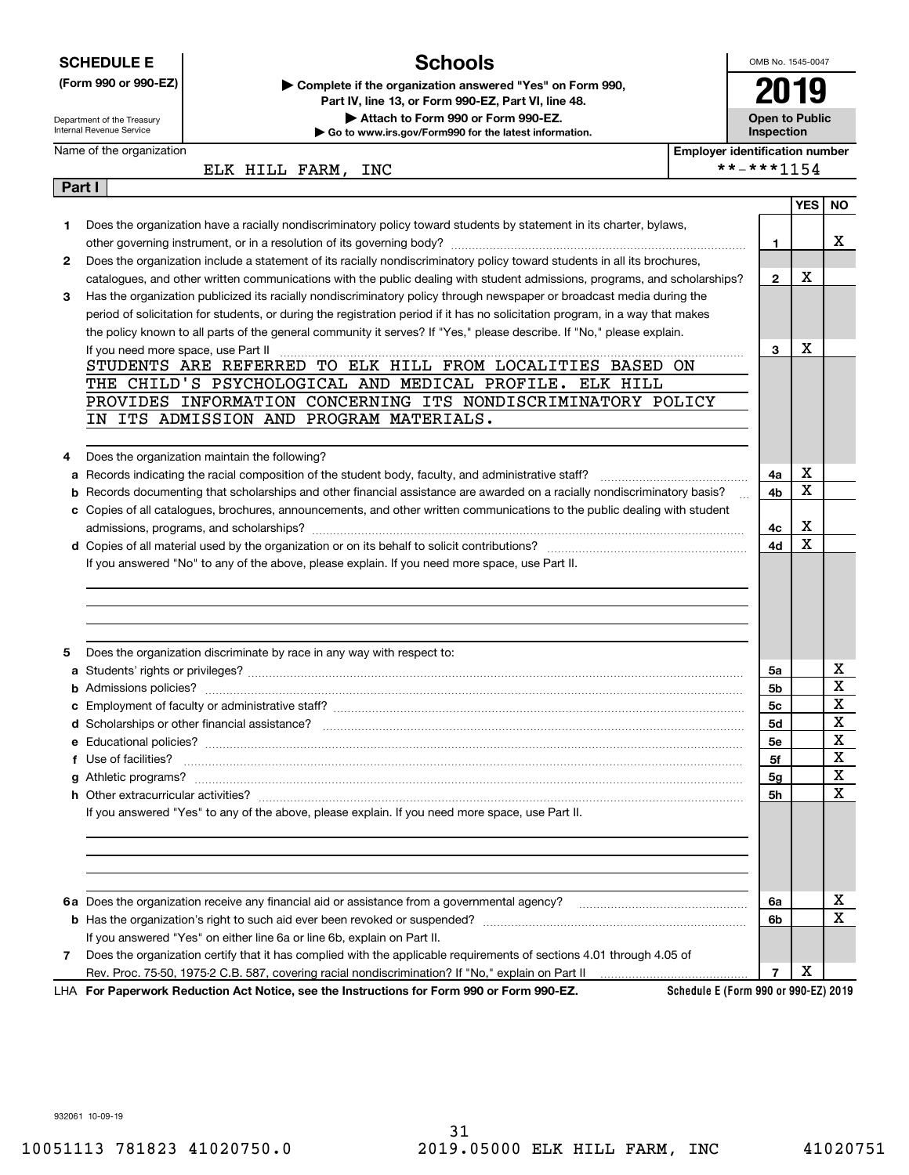|        | <b>SCHEDULE E</b>                   | <b>Schools</b>                                                                                                                                                                                                                                         |                                       |                | OMB No. 1545-0047     |             |
|--------|-------------------------------------|--------------------------------------------------------------------------------------------------------------------------------------------------------------------------------------------------------------------------------------------------------|---------------------------------------|----------------|-----------------------|-------------|
|        | (Form 990 or 990-EZ)                | Complete if the organization answered "Yes" on Form 990,<br>Part IV, line 13, or Form 990-EZ, Part VI, line 48.                                                                                                                                        |                                       |                | 2019                  |             |
|        | Department of the Treasury          | Attach to Form 990 or Form 990-EZ.                                                                                                                                                                                                                     |                                       |                | <b>Open to Public</b> |             |
|        | Internal Revenue Service            | Go to www.irs.gov/Form990 for the latest information.                                                                                                                                                                                                  |                                       | Inspection     |                       |             |
|        | Name of the organization            |                                                                                                                                                                                                                                                        | <b>Employer identification number</b> |                |                       |             |
|        |                                     | ELK HILL FARM, INC                                                                                                                                                                                                                                     | **-***1154                            |                |                       |             |
| Part I |                                     |                                                                                                                                                                                                                                                        |                                       |                |                       |             |
|        |                                     |                                                                                                                                                                                                                                                        |                                       |                | <b>YES</b>            | <b>NO</b>   |
| 1      |                                     | Does the organization have a racially nondiscriminatory policy toward students by statement in its charter, bylaws,                                                                                                                                    |                                       |                |                       |             |
|        |                                     |                                                                                                                                                                                                                                                        |                                       | 1              |                       | x           |
| 2      |                                     | Does the organization include a statement of its racially nondiscriminatory policy toward students in all its brochures,                                                                                                                               |                                       |                | х                     |             |
|        |                                     | catalogues, and other written communications with the public dealing with student admissions, programs, and scholarships?                                                                                                                              |                                       | $\mathbf{2}$   |                       |             |
| з      |                                     | Has the organization publicized its racially nondiscriminatory policy through newspaper or broadcast media during the                                                                                                                                  |                                       |                |                       |             |
|        |                                     | period of solicitation for students, or during the registration period if it has no solicitation program, in a way that makes<br>the policy known to all parts of the general community it serves? If "Yes," please describe. If "No," please explain. |                                       |                |                       |             |
|        | If you need more space, use Part II |                                                                                                                                                                                                                                                        |                                       | 3              | X                     |             |
|        |                                     | STUDENTS ARE REFERRED TO ELK HILL FROM LOCALITIES BASED ON                                                                                                                                                                                             |                                       |                |                       |             |
|        |                                     | THE CHILD'S PSYCHOLOGICAL AND MEDICAL PROFILE. ELK HILL                                                                                                                                                                                                |                                       |                |                       |             |
|        |                                     | PROVIDES INFORMATION CONCERNING ITS NONDISCRIMINATORY POLICY                                                                                                                                                                                           |                                       |                |                       |             |
|        |                                     | IN ITS ADMISSION AND PROGRAM MATERIALS.                                                                                                                                                                                                                |                                       |                |                       |             |
|        |                                     |                                                                                                                                                                                                                                                        |                                       |                |                       |             |
| 4      |                                     | Does the organization maintain the following?                                                                                                                                                                                                          |                                       |                |                       |             |
| а      |                                     | Records indicating the racial composition of the student body, faculty, and administrative staff?                                                                                                                                                      |                                       | 4a             | х                     |             |
| b      |                                     | Records documenting that scholarships and other financial assistance are awarded on a racially nondiscriminatory basis?                                                                                                                                |                                       | 4b             | $\mathbf X$           |             |
|        |                                     | c Copies of all catalogues, brochures, announcements, and other written communications to the public dealing with student                                                                                                                              |                                       |                |                       |             |
|        |                                     |                                                                                                                                                                                                                                                        |                                       | 4с             | х                     |             |
|        |                                     |                                                                                                                                                                                                                                                        |                                       | 4d             | $\mathbf X$           |             |
|        |                                     | If you answered "No" to any of the above, please explain. If you need more space, use Part II.                                                                                                                                                         |                                       |                |                       |             |
|        |                                     |                                                                                                                                                                                                                                                        |                                       |                |                       |             |
|        |                                     |                                                                                                                                                                                                                                                        |                                       |                |                       |             |
|        |                                     |                                                                                                                                                                                                                                                        |                                       |                |                       |             |
|        |                                     |                                                                                                                                                                                                                                                        |                                       |                |                       |             |
| 5      |                                     | Does the organization discriminate by race in any way with respect to:                                                                                                                                                                                 |                                       |                |                       |             |
|        |                                     |                                                                                                                                                                                                                                                        |                                       | 5a             |                       | х           |
|        |                                     |                                                                                                                                                                                                                                                        |                                       | 5b             |                       | $\mathbf X$ |
|        |                                     |                                                                                                                                                                                                                                                        |                                       | 5c             |                       | $\mathbf X$ |
|        |                                     |                                                                                                                                                                                                                                                        |                                       | 5d             |                       | X           |
|        |                                     |                                                                                                                                                                                                                                                        |                                       | 5е             |                       | X           |
|        |                                     |                                                                                                                                                                                                                                                        |                                       | 5f             |                       | X           |
|        |                                     |                                                                                                                                                                                                                                                        |                                       | 5g             |                       | X           |
|        |                                     |                                                                                                                                                                                                                                                        |                                       | 5h             |                       | x           |
|        |                                     | If you answered "Yes" to any of the above, please explain. If you need more space, use Part II.                                                                                                                                                        |                                       |                |                       |             |
|        |                                     |                                                                                                                                                                                                                                                        |                                       |                |                       |             |
|        |                                     |                                                                                                                                                                                                                                                        |                                       |                |                       |             |
|        |                                     |                                                                                                                                                                                                                                                        |                                       |                |                       |             |
|        |                                     |                                                                                                                                                                                                                                                        |                                       |                |                       |             |
|        |                                     |                                                                                                                                                                                                                                                        |                                       | 6a             |                       | x<br>х      |
|        |                                     |                                                                                                                                                                                                                                                        |                                       | 6b             |                       |             |
|        |                                     | If you answered "Yes" on either line 6a or line 6b, explain on Part II.                                                                                                                                                                                |                                       |                |                       |             |
| 7      |                                     | Does the organization certify that it has complied with the applicable requirements of sections 4.01 through 4.05 of                                                                                                                                   |                                       | $\overline{7}$ | X                     |             |
|        |                                     | LHA For Paperwork Reduction Act Notice, see the Instructions for Form 990 or Form 990-EZ.                                                                                                                                                              | Schedule E (Form 990 or 990-EZ) 2019  |                |                       |             |

932061 10-09-19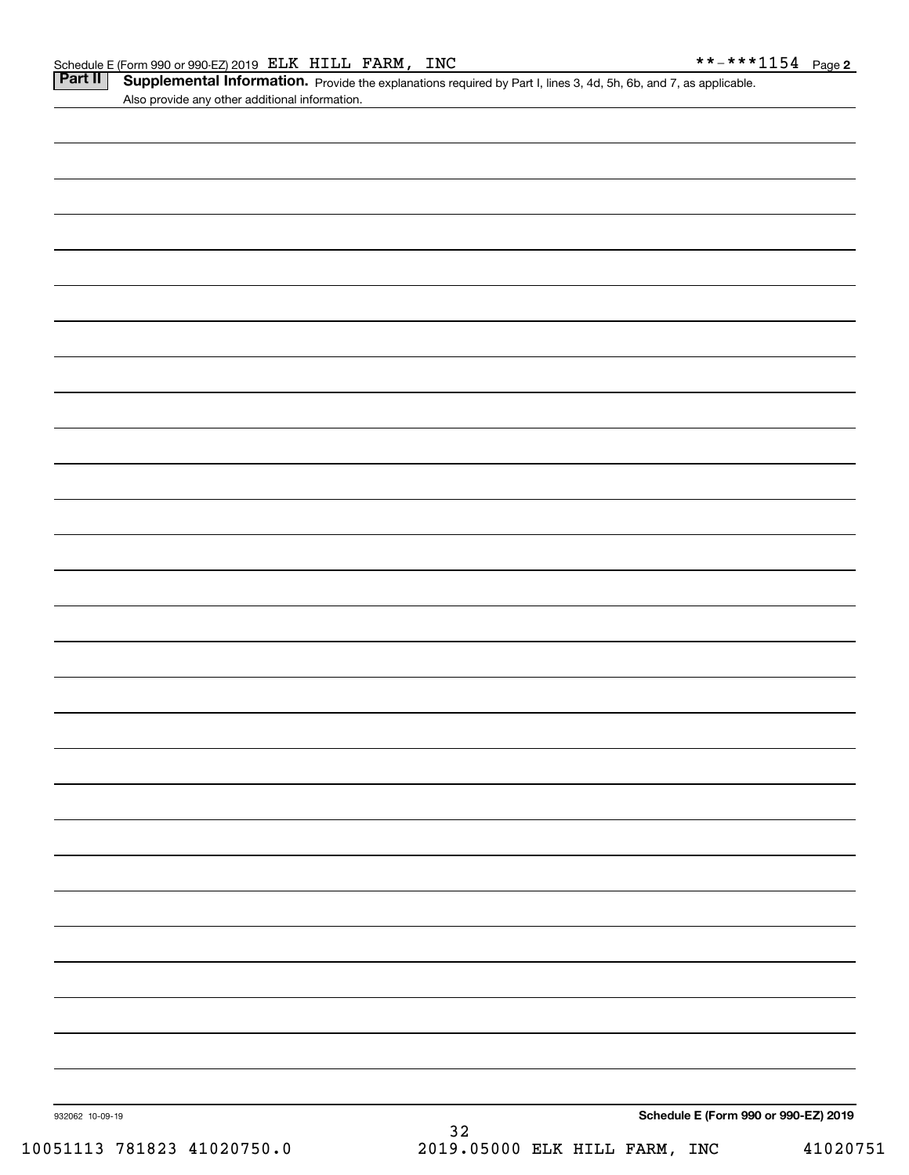| ule E (Form 990 or 990-EZ) 2019 ELLK HILLL FAKM , INC |  |  | - ^ ^ ^ ^ 1154 Page 2                                                                                                       |  |
|-------------------------------------------------------|--|--|-----------------------------------------------------------------------------------------------------------------------------|--|
|                                                       |  |  | <b>II</b> Supplemental Information. Provide the explanations required by Part I, lines 3, 4d, 5h, 6b, and 7, as applicable. |  |
| Also provide any other additional information.        |  |  |                                                                                                                             |  |

| 932062 10-09-19 | Schedule E (Form 990 or 990-EZ) 2019 |  |
|-----------------|--------------------------------------|--|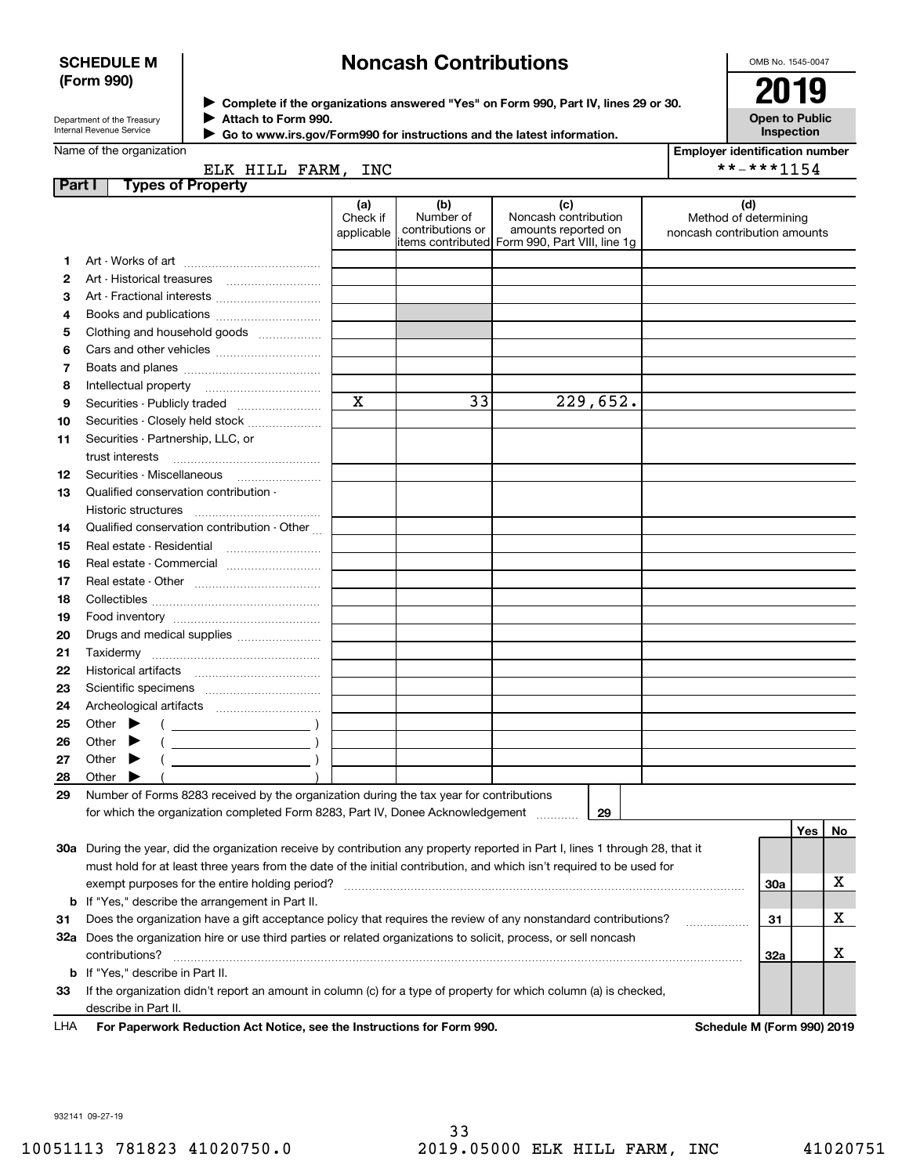## **SCHEDULE M (Form 990)**

# **Noncash Contributions**

OMB No. 1545-0047

| Department of the Treasury      |
|---------------------------------|
| <b>Internal Revenue Service</b> |

**Complete if the organizations answered "Yes" on Form 990, Part IV, lines 29 or 30.** <sup>J</sup>**2019 Attach to Form 990.** J

**Open to Public Inspection**

|  | Name of the organization |
|--|--------------------------|
|  |                          |
|  |                          |

 $\blacktriangleright$ 

| Attach to Form 990.                                                    |  |
|------------------------------------------------------------------------|--|
| Go to www.irs.gov/Form990 for instructions and the latest information. |  |

| <b>Employer identification number</b> |  |
|---------------------------------------|--|

| $***$ $***$ 115 |
|-----------------|

Name of the organization

|        | ELK HILL FARM, INC                                                                                                             |                               |                                      |                                                                                                      |                                                              | **-***1154 |     |    |
|--------|--------------------------------------------------------------------------------------------------------------------------------|-------------------------------|--------------------------------------|------------------------------------------------------------------------------------------------------|--------------------------------------------------------------|------------|-----|----|
| Part I | <b>Types of Property</b>                                                                                                       | (a)<br>Check if<br>applicable | (b)<br>Number of<br>contributions or | (c)<br>Noncash contribution<br>amounts reported on<br>items contributed Form 990, Part VIII, line 1g | (d)<br>Method of determining<br>noncash contribution amounts |            |     |    |
| 1      |                                                                                                                                |                               |                                      |                                                                                                      |                                                              |            |     |    |
| 2      | Art - Historical treasures                                                                                                     |                               |                                      |                                                                                                      |                                                              |            |     |    |
| З      | Art - Fractional interests                                                                                                     |                               |                                      |                                                                                                      |                                                              |            |     |    |
| 4      | Books and publications                                                                                                         |                               |                                      |                                                                                                      |                                                              |            |     |    |
| 5      | Clothing and household goods                                                                                                   |                               |                                      |                                                                                                      |                                                              |            |     |    |
| 6      |                                                                                                                                |                               |                                      |                                                                                                      |                                                              |            |     |    |
| 7      |                                                                                                                                |                               |                                      |                                                                                                      |                                                              |            |     |    |
| 8      | Intellectual property                                                                                                          |                               |                                      |                                                                                                      |                                                              |            |     |    |
| 9      | Securities - Publicly traded                                                                                                   | $\mathbf X$                   | 33                                   | 229,652.                                                                                             |                                                              |            |     |    |
| 10     | Securities - Closely held stock                                                                                                |                               |                                      |                                                                                                      |                                                              |            |     |    |
| 11     | Securities - Partnership, LLC, or                                                                                              |                               |                                      |                                                                                                      |                                                              |            |     |    |
|        | trust interests                                                                                                                |                               |                                      |                                                                                                      |                                                              |            |     |    |
| 12     | Securities Miscellaneous                                                                                                       |                               |                                      |                                                                                                      |                                                              |            |     |    |
| 13     | Qualified conservation contribution -                                                                                          |                               |                                      |                                                                                                      |                                                              |            |     |    |
|        | Historic structures                                                                                                            |                               |                                      |                                                                                                      |                                                              |            |     |    |
| 14     | Qualified conservation contribution - Other                                                                                    |                               |                                      |                                                                                                      |                                                              |            |     |    |
| 15     | Real estate - Residential                                                                                                      |                               |                                      |                                                                                                      |                                                              |            |     |    |
| 16     | Real estate - Commercial                                                                                                       |                               |                                      |                                                                                                      |                                                              |            |     |    |
| 17     |                                                                                                                                |                               |                                      |                                                                                                      |                                                              |            |     |    |
| 18     |                                                                                                                                |                               |                                      |                                                                                                      |                                                              |            |     |    |
| 19     |                                                                                                                                |                               |                                      |                                                                                                      |                                                              |            |     |    |
| 20     | Drugs and medical supplies                                                                                                     |                               |                                      |                                                                                                      |                                                              |            |     |    |
| 21     |                                                                                                                                |                               |                                      |                                                                                                      |                                                              |            |     |    |
| 22     | Historical artifacts                                                                                                           |                               |                                      |                                                                                                      |                                                              |            |     |    |
| 23     |                                                                                                                                |                               |                                      |                                                                                                      |                                                              |            |     |    |
| 24     |                                                                                                                                |                               |                                      |                                                                                                      |                                                              |            |     |    |
| 25     | Other $\blacktriangleright$                                                                                                    |                               |                                      |                                                                                                      |                                                              |            |     |    |
| 26     | Other<br>▶<br>$\overline{\phantom{a}}$ )                                                                                       |                               |                                      |                                                                                                      |                                                              |            |     |    |
| 27     | Other<br>$\blacktriangleright$                                                                                                 |                               |                                      |                                                                                                      |                                                              |            |     |    |
| 28     | Other                                                                                                                          |                               |                                      |                                                                                                      |                                                              |            |     |    |
| 29     | Number of Forms 8283 received by the organization during the tax year for contributions                                        |                               |                                      |                                                                                                      |                                                              |            |     |    |
|        | for which the organization completed Form 8283, Part IV, Donee Acknowledgement                                                 |                               |                                      | 29                                                                                                   |                                                              |            |     |    |
|        |                                                                                                                                |                               |                                      |                                                                                                      |                                                              |            | Yes | No |
|        | 30a During the year, did the organization receive by contribution any property reported in Part I, lines 1 through 28, that it |                               |                                      |                                                                                                      |                                                              |            |     |    |
|        | must hold for at least three years from the date of the initial contribution, and which isn't required to be used for          |                               |                                      |                                                                                                      |                                                              |            |     |    |
|        | exempt purposes for the entire holding period?                                                                                 |                               |                                      |                                                                                                      |                                                              | 30a        |     | х  |
| b      | If "Yes," describe the arrangement in Part II.                                                                                 |                               |                                      |                                                                                                      |                                                              |            |     |    |
| 31     | Does the organization have a gift acceptance policy that requires the review of any nonstandard contributions?                 |                               |                                      |                                                                                                      |                                                              | 31         |     | х  |
|        | 32a Does the organization hire or use third parties or related organizations to solicit, process, or sell noncash              |                               |                                      |                                                                                                      |                                                              |            |     |    |
|        |                                                                                                                                |                               |                                      |                                                                                                      |                                                              | 32a        |     | х  |
|        | contributions?<br>If "Yes," describe in Part II.                                                                               |                               |                                      |                                                                                                      |                                                              |            |     |    |
| b      |                                                                                                                                |                               |                                      |                                                                                                      |                                                              |            |     |    |
| 33     | If the organization didn't report an amount in column (c) for a type of property for which column (a) is checked,              |                               |                                      |                                                                                                      |                                                              |            |     |    |

For Paperwork Reduction Act Notice, see the Instructions for Form 990. Schedule M (Form 990) 2019 LHA

932141 09-27-19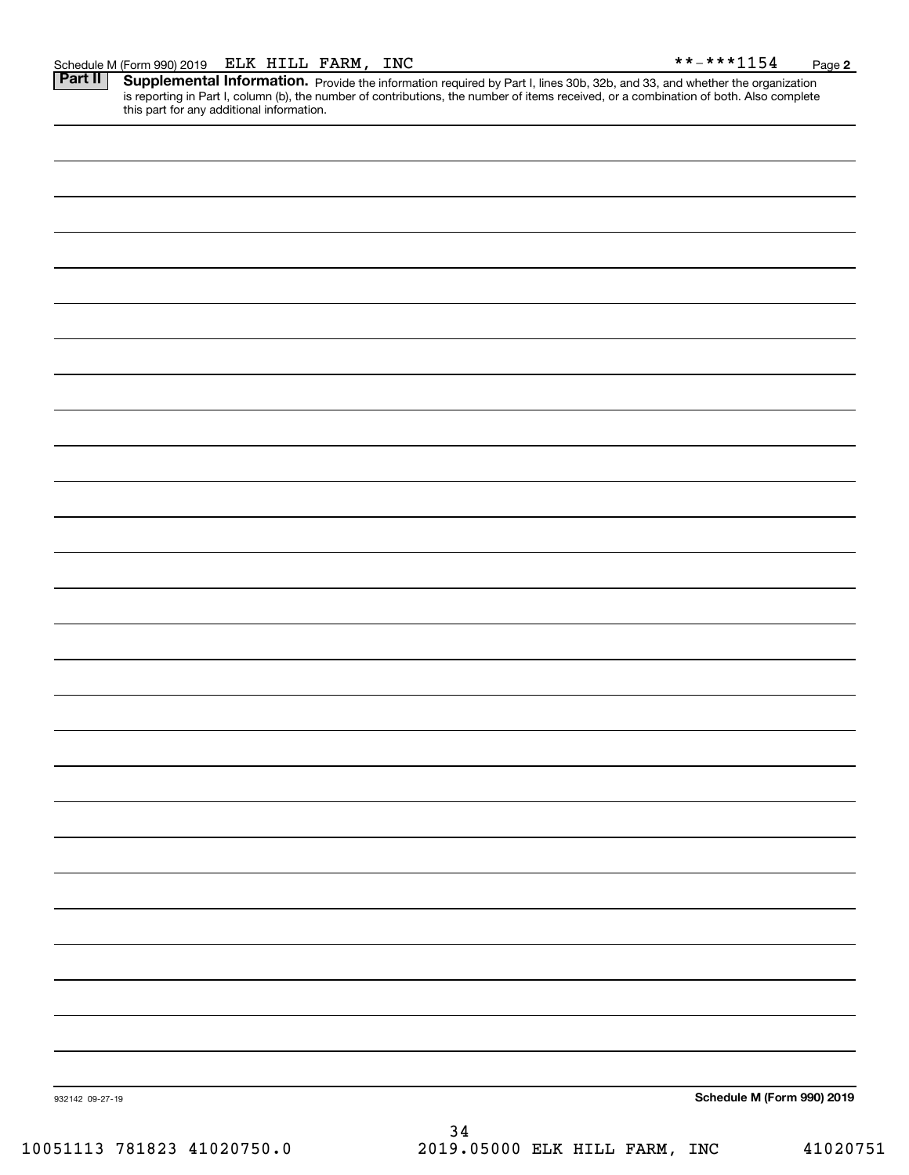**2**

Part II | Supplemental Information. Provide the information required by Part I, lines 30b, 32b, and 33, and whether the organization is reporting in Part I, column (b), the number of contributions, the number of items received, or a combination of both. Also complete this part for any additional information.

| 932142 09-27-19 | 34 | Schedule M (Form 990) 2019 |
|-----------------|----|----------------------------|
|                 |    |                            |
|                 |    |                            |
|                 |    |                            |
|                 |    |                            |
|                 |    |                            |
|                 |    |                            |
|                 |    |                            |
|                 |    |                            |
|                 |    |                            |
|                 |    |                            |
|                 |    |                            |
|                 |    |                            |
|                 |    |                            |
|                 |    |                            |
|                 |    |                            |
|                 |    |                            |
|                 |    |                            |
|                 |    |                            |
|                 |    |                            |
|                 |    |                            |
|                 |    |                            |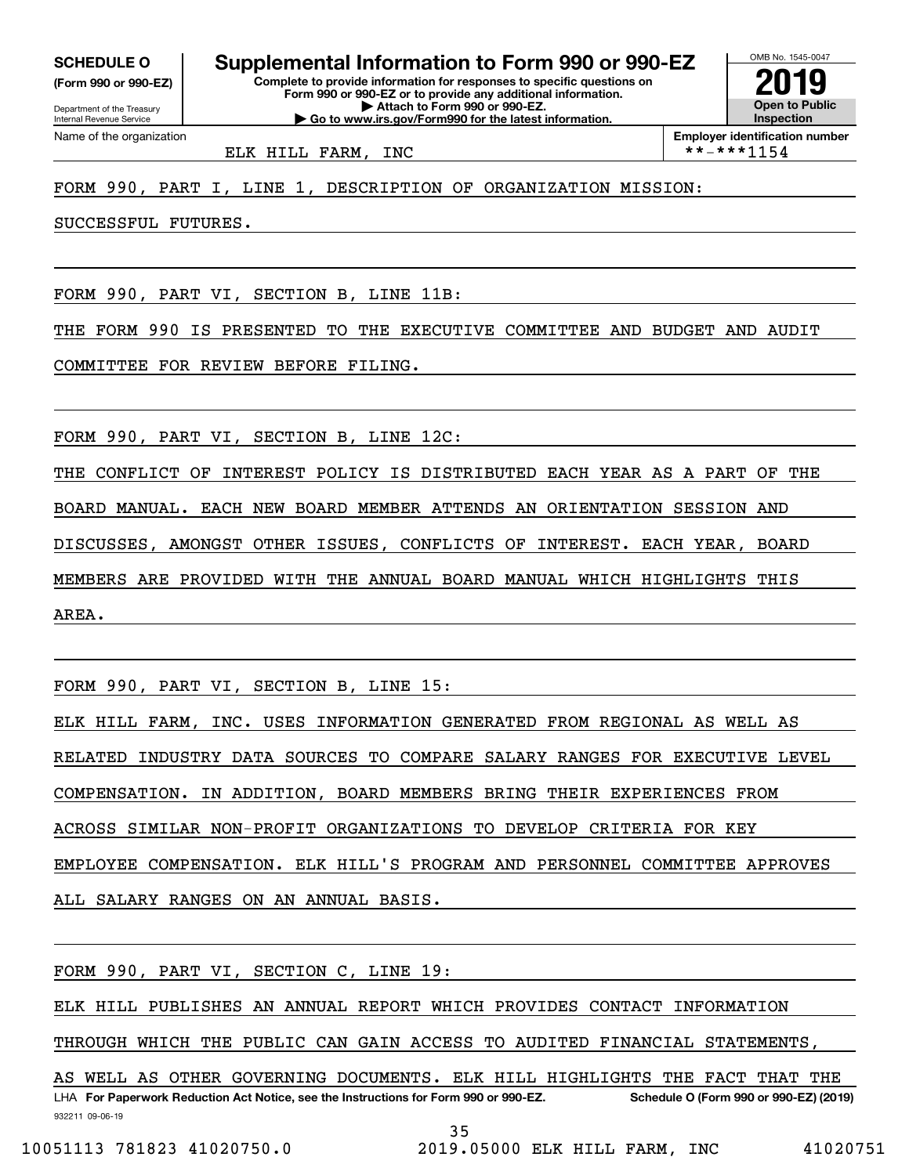**(Form 990 or 990-EZ)**

Department of the Treasury Internal Revenue Service Name of the organization

**Complete to provide information for responses to specific questions on SCHEDULE O Supplemental Information to Form 990 or 990-EZ**

**Form 990 or 990-EZ or to provide any additional information. | Attach to Form 990 or 990-EZ. | Go to www.irs.gov/Form990 for the latest information.**



ELK HILL FARM, INC  $\qquad \qquad \qquad$  \*\*-\*\*\*1154

FORM 990, PART I, LINE 1, DESCRIPTION OF ORGANIZATION MISSION:

SUCCESSFUL FUTURES.

FORM 990, PART VI, SECTION B, LINE 11B:

THE FORM 990 IS PRESENTED TO THE EXECUTIVE COMMITTEE AND BUDGET AND AUDIT

COMMITTEE FOR REVIEW BEFORE FILING.

FORM 990, PART VI, SECTION B, LINE 12C:

THE CONFLICT OF INTEREST POLICY IS DISTRIBUTED EACH YEAR AS A PART OF THE BOARD MANUAL. EACH NEW BOARD MEMBER ATTENDS AN ORIENTATION SESSION AND DISCUSSES, AMONGST OTHER ISSUES, CONFLICTS OF INTEREST. EACH YEAR, BOARD MEMBERS ARE PROVIDED WITH THE ANNUAL BOARD MANUAL WHICH HIGHLIGHTS THIS AREA.

FORM 990, PART VI, SECTION B, LINE 15:

ELK HILL FARM, INC. USES INFORMATION GENERATED FROM REGIONAL AS WELL AS RELATED INDUSTRY DATA SOURCES TO COMPARE SALARY RANGES FOR EXECUTIVE LEVEL COMPENSATION. IN ADDITION, BOARD MEMBERS BRING THEIR EXPERIENCES FROM ACROSS SIMILAR NON-PROFIT ORGANIZATIONS TO DEVELOP CRITERIA FOR KEY EMPLOYEE COMPENSATION. ELK HILL'S PROGRAM AND PERSONNEL COMMITTEE APPROVES ALL SALARY RANGES ON AN ANNUAL BASIS.

FORM 990, PART VI, SECTION C, LINE 19:

ELK HILL PUBLISHES AN ANNUAL REPORT WHICH PROVIDES CONTACT INFORMATION

THROUGH WHICH THE PUBLIC CAN GAIN ACCESS TO AUDITED FINANCIAL STATEMENTS,

932211 09-06-19 LHA For Paperwork Reduction Act Notice, see the Instructions for Form 990 or 990-EZ. Schedule O (Form 990 or 990-EZ) (2019) AS WELL AS OTHER GOVERNING DOCUMENTS. ELK HILL HIGHLIGHTS THE FACT THAT THE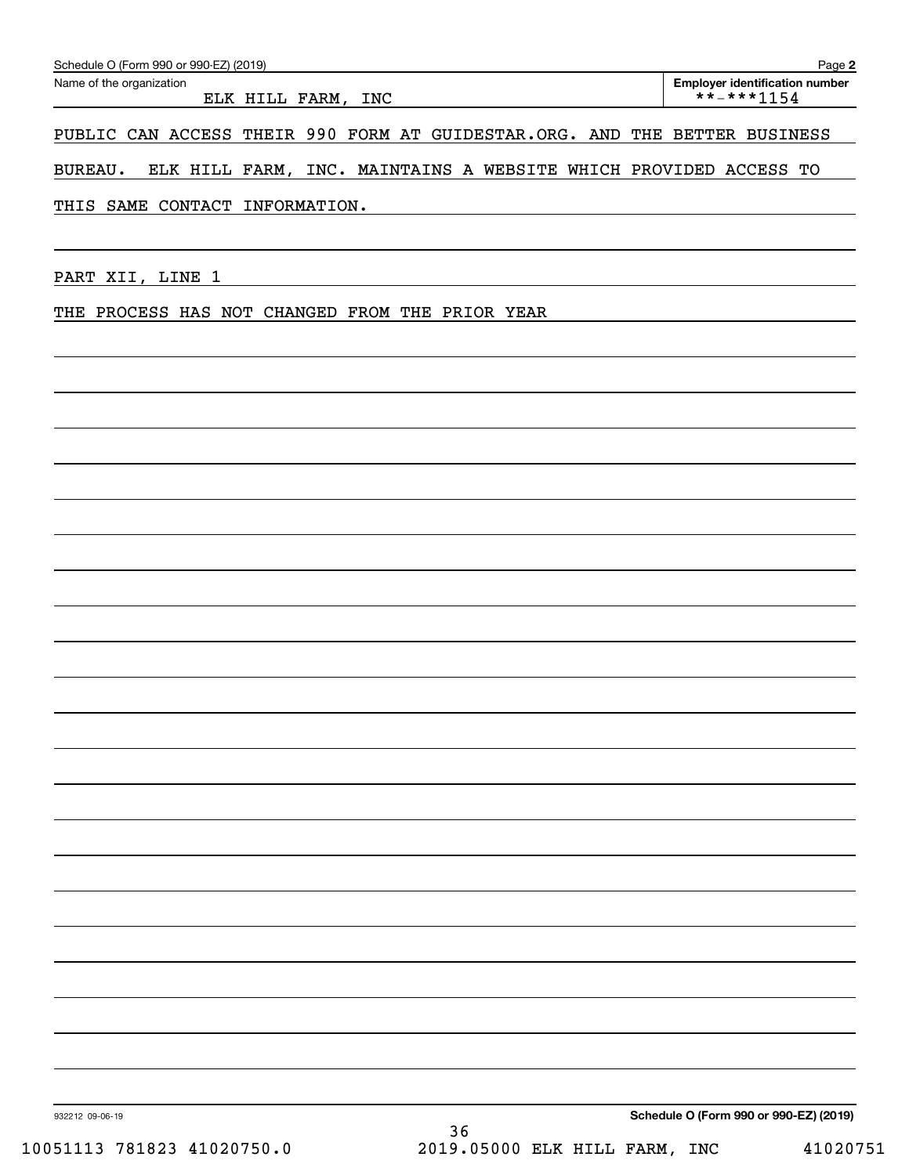| ELK HILL FARM, INC                                                         |                                                                  | <b>Employer identification number</b><br>**-***1154 |
|----------------------------------------------------------------------------|------------------------------------------------------------------|-----------------------------------------------------|
| PUBLIC CAN ACCESS THEIR 990 FORM AT GUIDESTAR.ORG. AND THE BETTER BUSINESS |                                                                  |                                                     |
| <b>BUREAU.</b>                                                             | ELK HILL FARM, INC. MAINTAINS A WEBSITE WHICH PROVIDED ACCESS TO |                                                     |
| THIS SAME CONTACT INFORMATION.                                             | <u> 1989 - Johann Stein, mars an dùthchan ann an t-</u>          |                                                     |
| PART XII, LINE 1                                                           |                                                                  |                                                     |
| THE PROCESS HAS NOT CHANGED FROM THE PRIOR YEAR                            |                                                                  |                                                     |
|                                                                            |                                                                  |                                                     |
|                                                                            |                                                                  |                                                     |
|                                                                            |                                                                  |                                                     |
|                                                                            |                                                                  |                                                     |
|                                                                            |                                                                  |                                                     |
|                                                                            |                                                                  |                                                     |
|                                                                            |                                                                  |                                                     |
|                                                                            |                                                                  |                                                     |
|                                                                            |                                                                  |                                                     |
|                                                                            |                                                                  |                                                     |
|                                                                            |                                                                  |                                                     |
|                                                                            |                                                                  |                                                     |
|                                                                            |                                                                  |                                                     |
|                                                                            |                                                                  |                                                     |
|                                                                            |                                                                  |                                                     |
| 932212 09-06-19<br>10051113 781823 41020750.0                              | 36<br>2019.05000 ELK HILL FARM, INC                              | Schedule O (Form 990 or 990-EZ) (2019)<br>41020751  |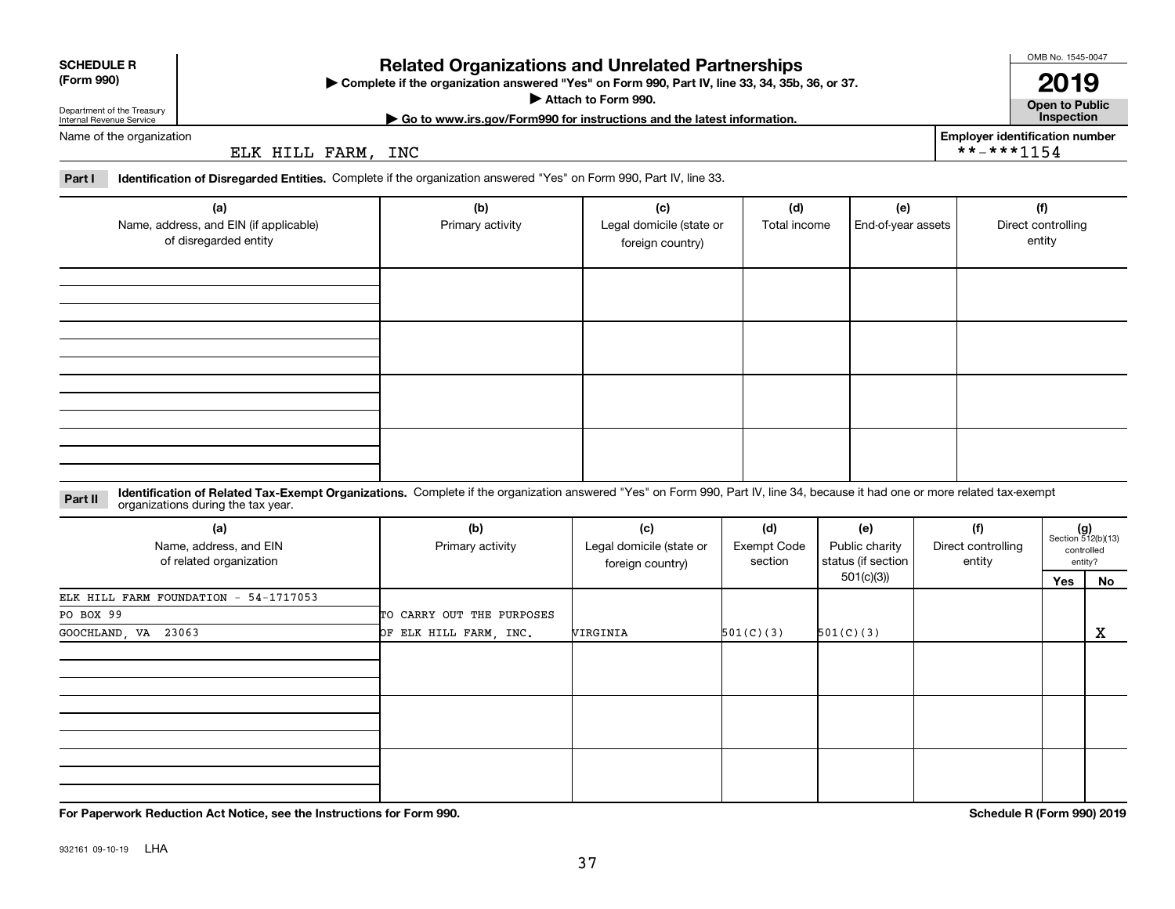|  | ٦<br>ranei |  |
|--|------------|--|

932161 09-10-19 LHA

# **Related Organizations and Unrelated Partnerships**

**Complete if the organization answered "Yes" on Form 990, Part IV, line 33, 34, 35b, 36, or 37.** |

**Attach to Form 990.**  |

**Open to Public | Go to www.irs.gov/Form990 for instructions and the latest information. Inspection Employer identification number**

\*\*-\*\*\*1154

Name of the organization

Department of the Treasury Internal Revenue Service

**SCHEDULE R (Form 990)**

ELK HILL FARM, INC

**Part I Identification of Disregarded Entities.**  Complete if the organization answered "Yes" on Form 990, Part IV, line 33.

| (a)<br>Name, address, and EIN (if applicable)<br>of disregarded entity | (b)<br>Primary activity | (c)<br>Legal domicile (state or<br>foreign country) | (d)<br>Total income | (e)<br>End-of-year assets | (f)<br>Direct controlling<br>entity |
|------------------------------------------------------------------------|-------------------------|-----------------------------------------------------|---------------------|---------------------------|-------------------------------------|
|                                                                        |                         |                                                     |                     |                           |                                     |
|                                                                        |                         |                                                     |                     |                           |                                     |
|                                                                        |                         |                                                     |                     |                           |                                     |
|                                                                        |                         |                                                     |                     |                           |                                     |

**Part II** Identification of Related Tax-Exempt Organizations. Complete if the organization answered "Yes" on Form 990, Part IV, line 34, because it had one or more related tax-exempt<br>Complete it is a series of the organiza

| (a)                                   | (b)                       | (c)                      | (d)                | (e)                | (f)                |                                                      |    |
|---------------------------------------|---------------------------|--------------------------|--------------------|--------------------|--------------------|------------------------------------------------------|----|
| Name, address, and EIN                | Primary activity          | Legal domicile (state or | <b>Exempt Code</b> | Public charity     | Direct controlling | $(g)$<br>Section 512(b)(13)<br>controlled<br>entity? |    |
| of related organization               |                           | foreign country)         | section            | status (if section | entity             |                                                      |    |
|                                       |                           |                          |                    | 501(c)(3)          |                    | Yes                                                  | No |
| ELK HILL FARM FOUNDATION - 54-1717053 |                           |                          |                    |                    |                    |                                                      |    |
| PO BOX 99                             | TO CARRY OUT THE PURPOSES |                          |                    |                    |                    |                                                      |    |
| GOOCHLAND, VA 23063                   | OF ELK HILL FARM, INC.    | VIRGINIA                 | 501(C)(3)          | 501(C)(3)          |                    |                                                      | X  |
|                                       |                           |                          |                    |                    |                    |                                                      |    |
|                                       |                           |                          |                    |                    |                    |                                                      |    |
|                                       |                           |                          |                    |                    |                    |                                                      |    |
|                                       |                           |                          |                    |                    |                    |                                                      |    |
|                                       |                           |                          |                    |                    |                    |                                                      |    |
|                                       |                           |                          |                    |                    |                    |                                                      |    |
|                                       |                           |                          |                    |                    |                    |                                                      |    |
|                                       |                           |                          |                    |                    |                    |                                                      |    |
|                                       |                           |                          |                    |                    |                    |                                                      |    |

**For Paperwork Reduction Act Notice, see the Instructions for Form 990. Schedule R (Form 990) 2019**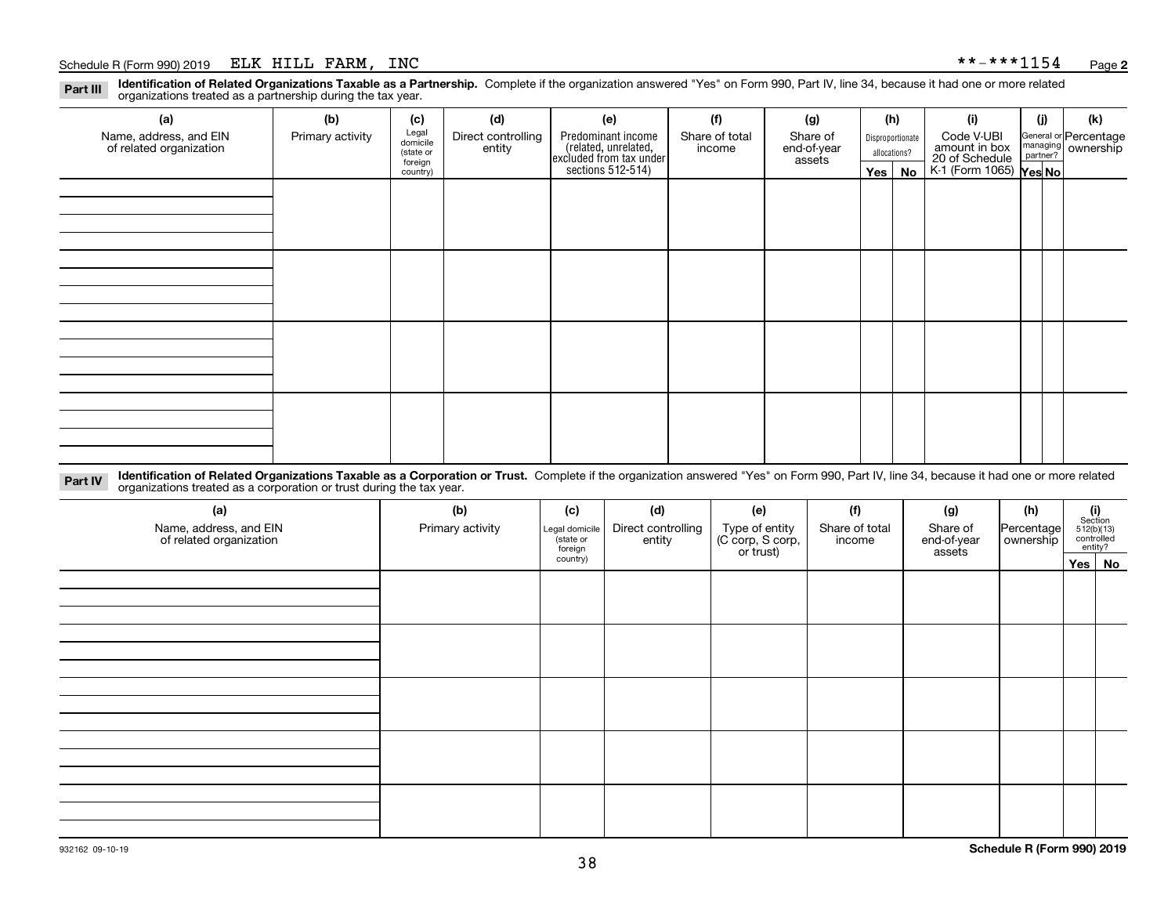#### Schedule R (Form 990) 2019 ELK HILL FARM, INC \* \*-\* \* \* 1154 <sub>Page</sub>

**Identification of Related Organizations Taxable as a Partnership.** Complete if the organization answered "Yes" on Form 990, Part IV, line 34, because it had one or more related **Part III** organizations treated as a partnership during the tax year.

| (a)                                               | (b)              | (c)                  | (d)                          | (e)                                                                                        | (f)                      | (g)                     | (h) |                  | (i)                                                       | (j) | (k)                                                     |
|---------------------------------------------------|------------------|----------------------|------------------------------|--------------------------------------------------------------------------------------------|--------------------------|-------------------------|-----|------------------|-----------------------------------------------------------|-----|---------------------------------------------------------|
| Name, address, and EIN<br>of related organization | Primary activity | Legal<br>domicile    | Direct controlling<br>entity | Predominant income<br>(related, unrelated,<br>excluded from tax under<br>sections 512-514) | Share of total<br>income | Share of<br>end-of-year |     | Disproportionate | Code V-UBI                                                |     | General or Percentage<br>managing ownership<br>partner? |
|                                                   |                  | (state or<br>foreign |                              |                                                                                            |                          | assets                  |     | allocations?     |                                                           |     |                                                         |
|                                                   |                  | country)             |                              |                                                                                            |                          |                         |     | Yes   No         | amount in box<br>20 of Schedule<br>K-1 (Form 1065) Yes No |     |                                                         |
|                                                   |                  |                      |                              |                                                                                            |                          |                         |     |                  |                                                           |     |                                                         |
|                                                   |                  |                      |                              |                                                                                            |                          |                         |     |                  |                                                           |     |                                                         |
|                                                   |                  |                      |                              |                                                                                            |                          |                         |     |                  |                                                           |     |                                                         |
|                                                   |                  |                      |                              |                                                                                            |                          |                         |     |                  |                                                           |     |                                                         |
|                                                   |                  |                      |                              |                                                                                            |                          |                         |     |                  |                                                           |     |                                                         |
|                                                   |                  |                      |                              |                                                                                            |                          |                         |     |                  |                                                           |     |                                                         |
|                                                   |                  |                      |                              |                                                                                            |                          |                         |     |                  |                                                           |     |                                                         |
|                                                   |                  |                      |                              |                                                                                            |                          |                         |     |                  |                                                           |     |                                                         |
|                                                   |                  |                      |                              |                                                                                            |                          |                         |     |                  |                                                           |     |                                                         |
|                                                   |                  |                      |                              |                                                                                            |                          |                         |     |                  |                                                           |     |                                                         |
|                                                   |                  |                      |                              |                                                                                            |                          |                         |     |                  |                                                           |     |                                                         |
|                                                   |                  |                      |                              |                                                                                            |                          |                         |     |                  |                                                           |     |                                                         |
|                                                   |                  |                      |                              |                                                                                            |                          |                         |     |                  |                                                           |     |                                                         |
|                                                   |                  |                      |                              |                                                                                            |                          |                         |     |                  |                                                           |     |                                                         |
|                                                   |                  |                      |                              |                                                                                            |                          |                         |     |                  |                                                           |     |                                                         |
|                                                   |                  |                      |                              |                                                                                            |                          |                         |     |                  |                                                           |     |                                                         |
|                                                   |                  |                      |                              |                                                                                            |                          |                         |     |                  |                                                           |     |                                                         |

**Identification of Related Organizations Taxable as a Corporation or Trust.** Complete if the organization answered "Yes" on Form 990, Part IV, line 34, because it had one or more related **Part IV** organizations treated as a corporation or trust during the tax year.

| (a)<br>Name, address, and EIN<br>of related organization | (b)<br>Primary activity | (c)<br>Legal domicile<br>(state or<br>foreign | (d)<br>Direct controlling<br>entity | (e)<br>Type of entity<br>(C corp, S corp,<br>or trust) | (f)<br>Share of total<br>income | (g)<br>Share of<br>end-of-year<br>assets | (h)<br>Percentage<br>ownership | $\begin{array}{c} \textbf{(i)}\\ \text{Section}\\ 512 \text{(b)} \text{(13)}\\ \text{controlled}\\ \text{entity?} \end{array}$ |        |
|----------------------------------------------------------|-------------------------|-----------------------------------------------|-------------------------------------|--------------------------------------------------------|---------------------------------|------------------------------------------|--------------------------------|--------------------------------------------------------------------------------------------------------------------------------|--------|
|                                                          |                         | country)                                      |                                     |                                                        |                                 |                                          |                                |                                                                                                                                | Yes No |
|                                                          |                         |                                               |                                     |                                                        |                                 |                                          |                                |                                                                                                                                |        |
|                                                          |                         |                                               |                                     |                                                        |                                 |                                          |                                |                                                                                                                                |        |
|                                                          |                         |                                               |                                     |                                                        |                                 |                                          |                                |                                                                                                                                |        |
|                                                          |                         |                                               |                                     |                                                        |                                 |                                          |                                |                                                                                                                                |        |
|                                                          |                         |                                               |                                     |                                                        |                                 |                                          |                                |                                                                                                                                |        |
|                                                          |                         |                                               |                                     |                                                        |                                 |                                          |                                |                                                                                                                                |        |
|                                                          |                         |                                               |                                     |                                                        |                                 |                                          |                                |                                                                                                                                |        |
|                                                          |                         |                                               |                                     |                                                        |                                 |                                          |                                |                                                                                                                                |        |
|                                                          |                         |                                               |                                     |                                                        |                                 |                                          |                                |                                                                                                                                |        |
|                                                          |                         |                                               |                                     |                                                        |                                 |                                          |                                |                                                                                                                                |        |
|                                                          |                         |                                               |                                     |                                                        |                                 |                                          |                                |                                                                                                                                |        |
|                                                          |                         |                                               |                                     |                                                        |                                 |                                          |                                |                                                                                                                                |        |
|                                                          |                         |                                               |                                     |                                                        |                                 |                                          |                                |                                                                                                                                |        |
|                                                          |                         |                                               |                                     |                                                        |                                 |                                          |                                |                                                                                                                                |        |
|                                                          |                         |                                               |                                     |                                                        |                                 |                                          |                                |                                                                                                                                |        |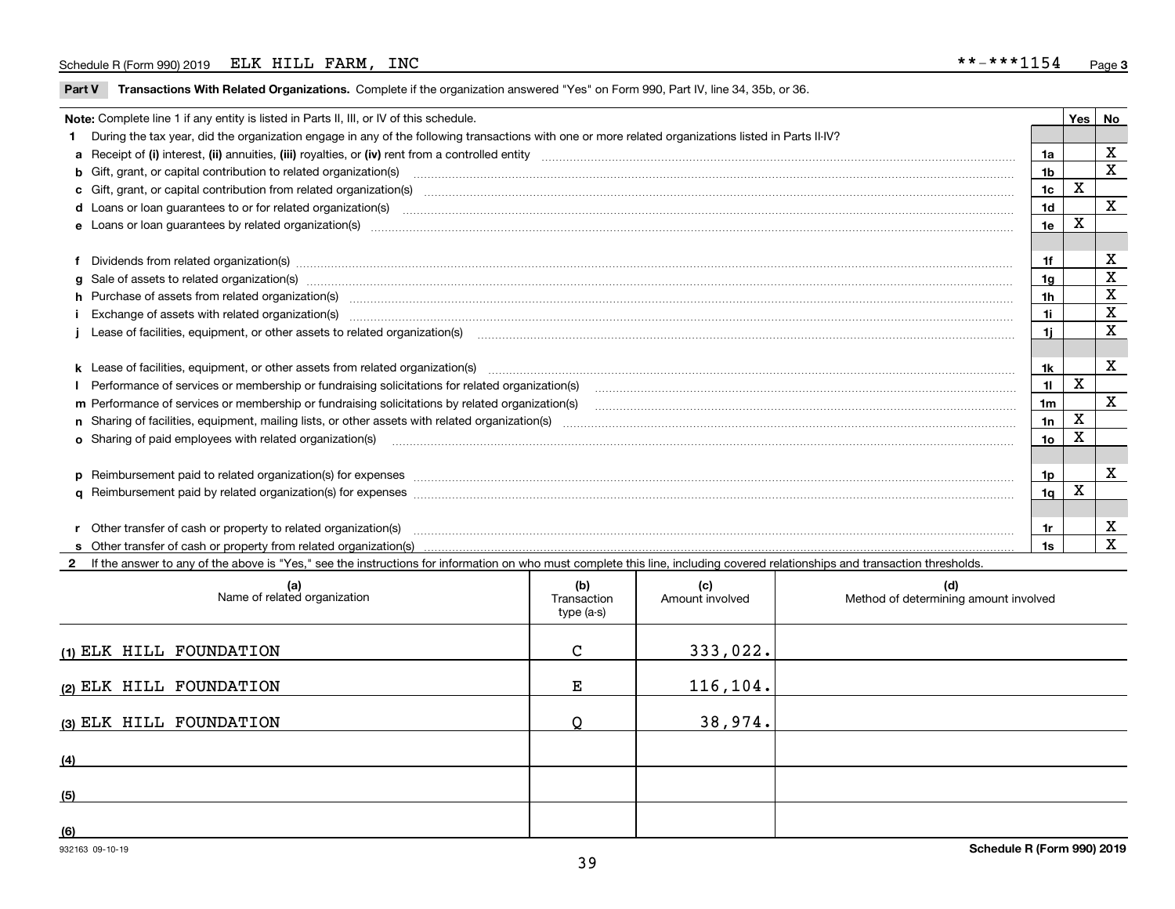### Schedule R (Form 990) 2019 ELK HILL FARM, INC \* \*-\* \* \* 1154 <sub>Page</sub>

**Part V** T**ransactions With Related Organizations.** Complete if the organization answered "Yes" on Form 990, Part IV, line 34, 35b, or 36.

| Note: Complete line 1 if any entity is listed in Parts II, III, or IV of this schedule.<br>Yes   No |                                                                                                                                                                                                                                |                 |             |   |
|-----------------------------------------------------------------------------------------------------|--------------------------------------------------------------------------------------------------------------------------------------------------------------------------------------------------------------------------------|-----------------|-------------|---|
|                                                                                                     | 1 During the tax year, did the organization engage in any of the following transactions with one or more related organizations listed in Parts II-IV?                                                                          |                 |             |   |
|                                                                                                     |                                                                                                                                                                                                                                | 1a              |             | X |
|                                                                                                     | <b>b</b> Gift, grant, or capital contribution to related organization(s)                                                                                                                                                       | 1 <sub>b</sub>  |             | X |
|                                                                                                     | c Gift, grant, or capital contribution from related organization(s)                                                                                                                                                            | 1 <sub>c</sub>  | X           |   |
|                                                                                                     |                                                                                                                                                                                                                                | 1 <sub>d</sub>  |             | X |
|                                                                                                     | e Loans or loan quarantees by related organization(s)                                                                                                                                                                          | 1e              | х           |   |
|                                                                                                     |                                                                                                                                                                                                                                |                 |             |   |
|                                                                                                     | f Dividends from related organization(s) manufactured contains and contained and contained contained and contained and contained and contained and contained and contained and contained and contained and contained and conta | 1f              |             | х |
|                                                                                                     | g Sale of assets to related organization(s) manufactured contains and contained contained and contained and contained and contained and contained and contained and contained and contained and contained and contained and co | 1g              |             | X |
|                                                                                                     | h Purchase of assets from related organization(s) manufactured and content to content the content of assets from related organization(s)                                                                                       | 1h              |             | X |
|                                                                                                     | Exchange of assets with related organization(s) www.assettion.com/www.assettion.com/www.assettion.com/www.assettion.com/www.assettion.com/www.assettion.com/www.assettion.com/www.assettion.com/www.assettion.com/www.assettio | 1i              |             | X |
|                                                                                                     |                                                                                                                                                                                                                                | 1i.             |             | X |
|                                                                                                     |                                                                                                                                                                                                                                |                 |             |   |
|                                                                                                     |                                                                                                                                                                                                                                | 1k              |             | X |
|                                                                                                     | Performance of services or membership or fundraising solicitations for related organization(s)                                                                                                                                 | 11              | X           |   |
|                                                                                                     | m Performance of services or membership or fundraising solicitations by related organization(s)                                                                                                                                | 1m              |             | X |
|                                                                                                     |                                                                                                                                                                                                                                | 1n              | $\mathbf X$ |   |
|                                                                                                     | <b>o</b> Sharing of paid employees with related organization(s)                                                                                                                                                                | 10 <sub>o</sub> | x           |   |
|                                                                                                     |                                                                                                                                                                                                                                |                 |             |   |
|                                                                                                     |                                                                                                                                                                                                                                | 1p              |             | x |
|                                                                                                     |                                                                                                                                                                                                                                | 1 <sub>q</sub>  | X           |   |
|                                                                                                     |                                                                                                                                                                                                                                |                 |             |   |
|                                                                                                     | r Other transfer of cash or property to related organization(s)                                                                                                                                                                | 1r              |             | х |
|                                                                                                     |                                                                                                                                                                                                                                | 1s              |             | X |

**2**If the answer to any of the above is "Yes," see the instructions for information on who must complete this line, including covered relationships and transaction thresholds.

| (a)<br>Name of related organization | (b)<br>Transaction<br>type (a-s) | (c)<br>Amount involved | (d)<br>Method of determining amount involved |
|-------------------------------------|----------------------------------|------------------------|----------------------------------------------|
| (1) ELK HILL FOUNDATION             | C                                | 333,022.               |                                              |
| (2) ELK HILL FOUNDATION             | Е                                | 116, 104.              |                                              |
| (3) ELK HILL FOUNDATION             | O                                | 38,974.                |                                              |
| (4)                                 |                                  |                        |                                              |
| (5)                                 |                                  |                        |                                              |
| (6)                                 |                                  |                        |                                              |

 $\overline{\phantom{a}}$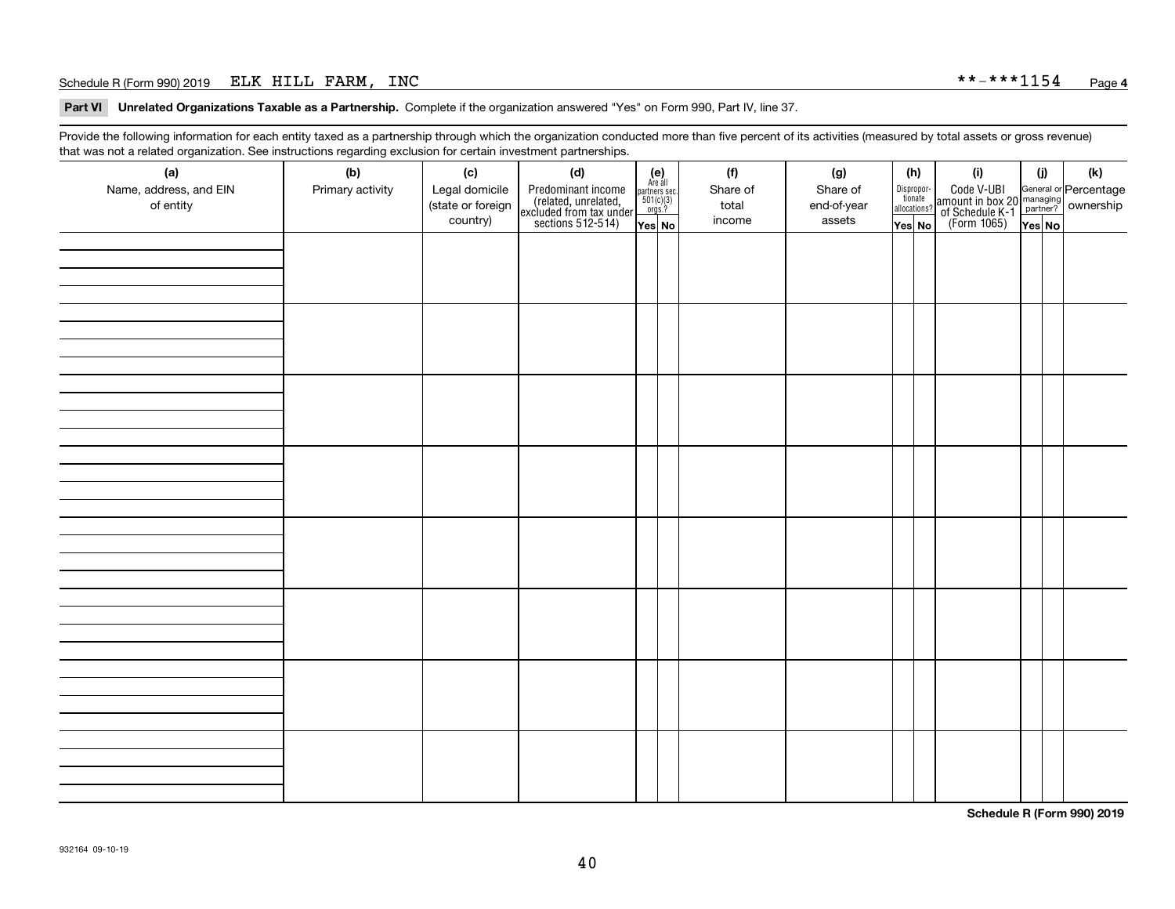### Schedule R (Form 990) 2019 ELK HILL FARM, INC \* \*-\* \* \* 1154 <sub>Page</sub>

**Part VI Unrelated Organizations Taxable as a Partnership. Complete if the organization answered "Yes" on Form 990, Part IV, line 37.** 

Provide the following information for each entity taxed as a partnership through which the organization conducted more than five percent of its activities (measured by total assets or gross revenue) that was not a related organization. See instructions regarding exclusion for certain investment partnerships.

| ັ                      | ັ<br>ັ           |                   |                                                                                            |                                                                                              |          |             |                                  |  |                                                                                                  |        |     |
|------------------------|------------------|-------------------|--------------------------------------------------------------------------------------------|----------------------------------------------------------------------------------------------|----------|-------------|----------------------------------|--|--------------------------------------------------------------------------------------------------|--------|-----|
| (a)                    | (b)              | (c)               | (d)                                                                                        | $(e)$<br>Are all                                                                             | (f)      | (g)         | (h)                              |  | (i)                                                                                              | (i)    | (k) |
| Name, address, and EIN | Primary activity | Legal domicile    | Predominant income<br>(related, unrelated,<br>excluded from tax under<br>sections 512-514) |                                                                                              | Share of | Share of    | Disproportionate<br>allocations? |  | Code V-UBI<br>amount in box 20 managing<br>of Schedule K-1<br>(Form 1065)<br>$\overline{Yes}$ No |        |     |
| of entity              |                  | (state or foreign |                                                                                            | $\begin{array}{c}\n\text{partners} & \text{sec.} \\ 501(c)(3) & \text{orgs.?} \n\end{array}$ | total    | end-of-year |                                  |  |                                                                                                  |        |     |
|                        |                  | country)          |                                                                                            |                                                                                              | income   | assets      |                                  |  |                                                                                                  |        |     |
|                        |                  |                   |                                                                                            | Yes No                                                                                       |          |             | Yes No                           |  |                                                                                                  | Yes No |     |
|                        |                  |                   |                                                                                            |                                                                                              |          |             |                                  |  |                                                                                                  |        |     |
|                        |                  |                   |                                                                                            |                                                                                              |          |             |                                  |  |                                                                                                  |        |     |
|                        |                  |                   |                                                                                            |                                                                                              |          |             |                                  |  |                                                                                                  |        |     |
|                        |                  |                   |                                                                                            |                                                                                              |          |             |                                  |  |                                                                                                  |        |     |
|                        |                  |                   |                                                                                            |                                                                                              |          |             |                                  |  |                                                                                                  |        |     |
|                        |                  |                   |                                                                                            |                                                                                              |          |             |                                  |  |                                                                                                  |        |     |
|                        |                  |                   |                                                                                            |                                                                                              |          |             |                                  |  |                                                                                                  |        |     |
|                        |                  |                   |                                                                                            |                                                                                              |          |             |                                  |  |                                                                                                  |        |     |
|                        |                  |                   |                                                                                            |                                                                                              |          |             |                                  |  |                                                                                                  |        |     |
|                        |                  |                   |                                                                                            |                                                                                              |          |             |                                  |  |                                                                                                  |        |     |
|                        |                  |                   |                                                                                            |                                                                                              |          |             |                                  |  |                                                                                                  |        |     |
|                        |                  |                   |                                                                                            |                                                                                              |          |             |                                  |  |                                                                                                  |        |     |
|                        |                  |                   |                                                                                            |                                                                                              |          |             |                                  |  |                                                                                                  |        |     |
|                        |                  |                   |                                                                                            |                                                                                              |          |             |                                  |  |                                                                                                  |        |     |
|                        |                  |                   |                                                                                            |                                                                                              |          |             |                                  |  |                                                                                                  |        |     |
|                        |                  |                   |                                                                                            |                                                                                              |          |             |                                  |  |                                                                                                  |        |     |
|                        |                  |                   |                                                                                            |                                                                                              |          |             |                                  |  |                                                                                                  |        |     |
|                        |                  |                   |                                                                                            |                                                                                              |          |             |                                  |  |                                                                                                  |        |     |
|                        |                  |                   |                                                                                            |                                                                                              |          |             |                                  |  |                                                                                                  |        |     |
|                        |                  |                   |                                                                                            |                                                                                              |          |             |                                  |  |                                                                                                  |        |     |
|                        |                  |                   |                                                                                            |                                                                                              |          |             |                                  |  |                                                                                                  |        |     |
|                        |                  |                   |                                                                                            |                                                                                              |          |             |                                  |  |                                                                                                  |        |     |
|                        |                  |                   |                                                                                            |                                                                                              |          |             |                                  |  |                                                                                                  |        |     |
|                        |                  |                   |                                                                                            |                                                                                              |          |             |                                  |  |                                                                                                  |        |     |
|                        |                  |                   |                                                                                            |                                                                                              |          |             |                                  |  |                                                                                                  |        |     |
|                        |                  |                   |                                                                                            |                                                                                              |          |             |                                  |  |                                                                                                  |        |     |
|                        |                  |                   |                                                                                            |                                                                                              |          |             |                                  |  |                                                                                                  |        |     |
|                        |                  |                   |                                                                                            |                                                                                              |          |             |                                  |  |                                                                                                  |        |     |
|                        |                  |                   |                                                                                            |                                                                                              |          |             |                                  |  |                                                                                                  |        |     |
|                        |                  |                   |                                                                                            |                                                                                              |          |             |                                  |  |                                                                                                  |        |     |
|                        |                  |                   |                                                                                            |                                                                                              |          |             |                                  |  |                                                                                                  |        |     |
|                        |                  |                   |                                                                                            |                                                                                              |          |             |                                  |  |                                                                                                  |        |     |
|                        |                  |                   |                                                                                            |                                                                                              |          |             |                                  |  |                                                                                                  |        |     |
|                        |                  |                   |                                                                                            |                                                                                              |          |             |                                  |  |                                                                                                  |        |     |
|                        |                  |                   |                                                                                            |                                                                                              |          |             |                                  |  |                                                                                                  |        |     |
|                        |                  |                   |                                                                                            |                                                                                              |          |             |                                  |  |                                                                                                  |        |     |
|                        |                  |                   |                                                                                            |                                                                                              |          |             |                                  |  |                                                                                                  |        |     |
|                        |                  |                   |                                                                                            |                                                                                              |          |             |                                  |  |                                                                                                  |        |     |
|                        |                  |                   |                                                                                            |                                                                                              |          |             |                                  |  |                                                                                                  |        |     |
|                        |                  |                   |                                                                                            |                                                                                              |          |             |                                  |  |                                                                                                  |        |     |
|                        |                  |                   |                                                                                            |                                                                                              |          |             |                                  |  |                                                                                                  |        |     |
|                        |                  |                   |                                                                                            |                                                                                              |          |             |                                  |  |                                                                                                  |        |     |
|                        |                  |                   |                                                                                            |                                                                                              |          |             |                                  |  |                                                                                                  |        |     |

**Schedule R (Form 990) 2019**